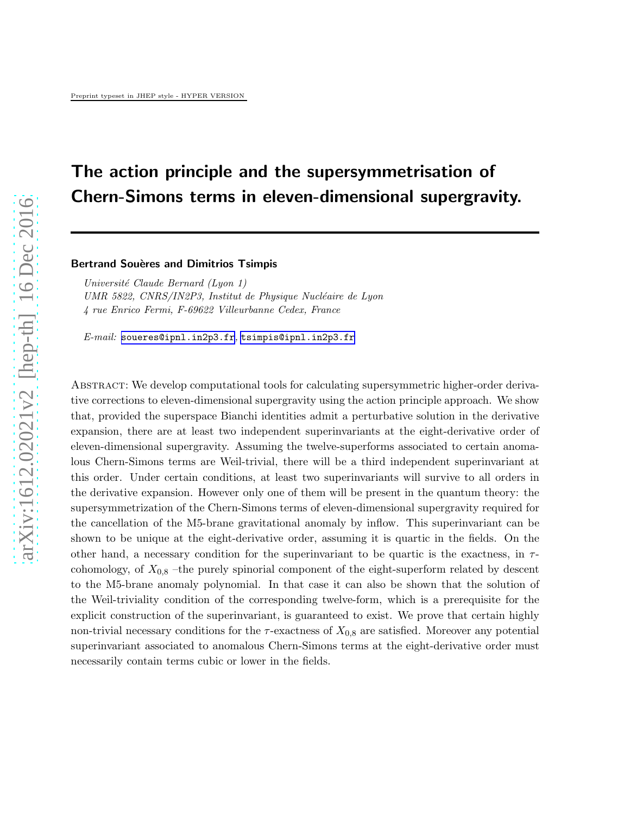# The action principle and the supersymmetrisation of Chern-Simons terms in eleven-dimensional supergravity.

#### Bertrand Souères and Dimitrios Tsimpis

*Universit´e Claude Bernard (Lyon 1) UMR 5822, CNRS/IN2P3, Institut de Physique Nucléaire de Lyon 4 rue Enrico Fermi, F-69622 Villeurbanne Cedex, France*

*E-mail:* [soueres@ipnl.in2p3.fr](mailto:soueres@ipnl.in2p3.fr)*,* [tsimpis@ipnl.in2p3.fr](mailto:tsimpis@ipnl.in2p3.fr)

Abstract: We develop computational tools for calculating supersymmetric higher-order derivative corrections to eleven-dimensional supergravity using the action principle approach. We show that, provided the superspace Bianchi identities admit a perturbative solution in the derivative expansion, there are at least two independent superinvariants at the eight-derivative order of eleven-dimensional supergravity. Assuming the twelve-superforms associated to certain anomalous Chern-Simons terms are Weil-trivial, there will be a third independent superinvariant at this order. Under certain conditions, at least two superinvariants will survive to all orders in the derivative expansion. However only one of them will be present in the quantum theory: the supersymmetrization of the Chern-Simons terms of eleven-dimensional supergravity required for the cancellation of the M5-brane gravitational anomaly by inflow. This superinvariant can be shown to be unique at the eight-derivative order, assuming it is quartic in the fields. On the other hand, a necessary condition for the superinvariant to be quartic is the exactness, in  $\tau$ cohomology, of  $X_{0,8}$  –the purely spinorial component of the eight-superform related by descent to the M5-brane anomaly polynomial. In that case it can also be shown that the solution of the Weil-triviality condition of the corresponding twelve-form, which is a prerequisite for the explicit construction of the superinvariant, is guaranteed to exist. We prove that certain highly non-trivial necessary conditions for the  $\tau$ -exactness of  $X_{0,8}$  are satisfied. Moreover any potential superinvariant associated to anomalous Chern-Simons terms at the eight-derivative order must necessarily contain terms cubic or lower in the fields.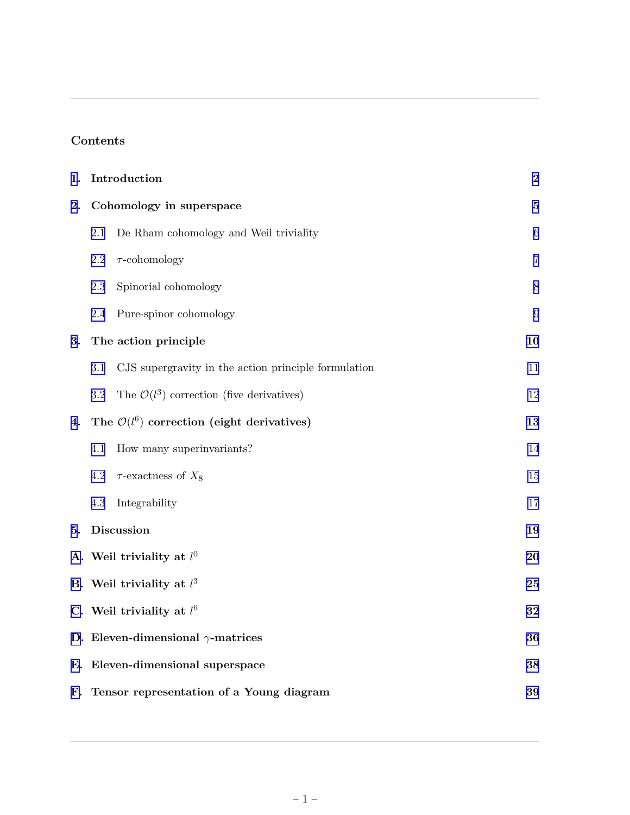## Contents

| 1. | Introduction                                                    | $\bf{2}$       |
|----|-----------------------------------------------------------------|----------------|
| 2. | Cohomology in superspace                                        | $\bf{5}$       |
|    | De Rham cohomology and Weil triviality<br>2.1                   | 6              |
|    | $\tau$ -cohomology<br>2.2                                       | $\overline{7}$ |
|    | Spinorial cohomology<br>2.3                                     | 8              |
|    | Pure-spinor cohomology<br>2.4                                   | 9              |
| 3. | The action principle                                            | 10             |
|    | 3.1<br>CJS supergravity in the action principle formulation     | 11             |
|    | The $\mathcal{O}(l^3)$ correction (five derivatives)<br>$3.2\,$ | 12             |
| 4. | The $\mathcal{O}(l^6)$ correction (eight derivatives)           | 13             |
|    | How many superinvariants?<br>4.1                                | 14             |
|    | $4.2\,$<br>$\tau$ -exactness of $X_8$                           | 15             |
|    | 4.3<br>Integrability                                            | 17             |
| 5. | <b>Discussion</b>                                               | 19             |
|    | A. Weil triviality at $l^0$                                     | 20             |
|    | B. Weil triviality at $l^3$                                     | 25             |
|    | C. Weil triviality at $l^6$                                     | 32             |
|    | D. Eleven-dimensional $\gamma$ -matrices                        | 36             |
| Е. | Eleven-dimensional superspace                                   | 38             |
|    | F. Tensor representation of a Young diagram                     | 39             |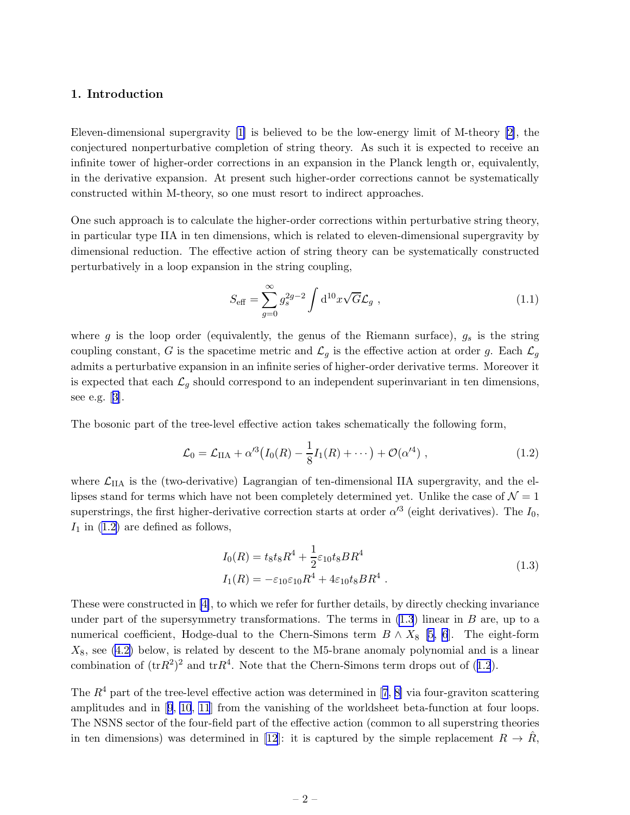#### <span id="page-2-0"></span>1. Introduction

Eleven-dimensional supergravity [\[1\]](#page-42-0) is believed to be the low-energy limit of M-theory [\[2\]](#page-42-0), the conjectured nonperturbative completion of string theory. As such it is expected to receive an infinite tower of higher-order corrections in an expansion in the Planck length or, equivalently, in the derivative expansion. At present such higher-order corrections cannot be systematically constructed within M-theory, so one must resort to indirect approaches.

One such approach is to calculate the higher-order corrections within perturbative string theory, in particular type IIA in ten dimensions, which is related to eleven-dimensional supergravity by dimensional reduction. The effective action of string theory can be systematically constructed perturbatively in a loop expansion in the string coupling,

$$
S_{\text{eff}} = \sum_{g=0}^{\infty} g_s^{2g-2} \int d^{10}x \sqrt{G} \mathcal{L}_g , \qquad (1.1)
$$

where g is the loop order (equivalently, the genus of the Riemann surface),  $g_s$  is the string coupling constant, G is the spacetime metric and  $\mathcal{L}_g$  is the effective action at order g. Each  $\mathcal{L}_g$ admits a perturbative expansion in an infinite series of higher-order derivative terms. Moreover it is expected that each  $\mathcal{L}_g$  should correspond to an independent superinvariant in ten dimensions, see e.g.[[3](#page-42-0)].

The bosonic part of the tree-level effective action takes schematically the following form,

$$
\mathcal{L}_0 = \mathcal{L}_{\text{IIA}} + \alpha'^3 \big( I_0(R) - \frac{1}{8} I_1(R) + \cdots \big) + \mathcal{O}(\alpha'^4) \;, \tag{1.2}
$$

where  $\mathcal{L}_{IIA}$  is the (two-derivative) Lagrangian of ten-dimensional IIA supergravity, and the ellipses stand for terms which have not been completely determined yet. Unlike the case of  $\mathcal{N} = 1$ superstrings, the first higher-derivative correction starts at order  $\alpha'^3$  (eight derivatives). The  $I_0$ ,  $I_1$  in  $(1.2)$  are defined as follows,

$$
I_0(R) = t_8 t_8 R^4 + \frac{1}{2} \varepsilon_{10} t_8 BR^4
$$
  
\n
$$
I_1(R) = -\varepsilon_{10} \varepsilon_{10} R^4 + 4\varepsilon_{10} t_8 BR^4
$$
 (1.3)

These were constructed in [\[4\]](#page-42-0), to which we refer for further details, by directly checking invariance under part of the supersymmetry transformations. The terms in  $(1.3)$  linear in B are, up to a numerical coefficient, Hodge-dual to the Chern-Simons term  $B \wedge X_8$  [\[5, 6](#page-42-0)]. The eight-form  $X_8$ , see [\(4.2\)](#page-13-0) below, is related by descent to the M5-brane anomaly polynomial and is a linear combination of  $(\text{tr}R^2)^2$  and  $\text{tr}R^4$ . Note that the Chern-Simons term drops out of (1.2).

The $R<sup>4</sup>$  part of the tree-level effective action was determined in [[7](#page-42-0), [8\]](#page-42-0) via four-graviton scattering amplitudes and in[[9](#page-42-0), [10](#page-42-0), [11](#page-42-0)] from the vanishing of the worldsheet beta-function at four loops. The NSNS sector of the four-field part of the effective action (common to all superstring theories in ten dimensions) was determined in [\[12](#page-42-0)]: it is captured by the simple replacement  $R \to R$ ,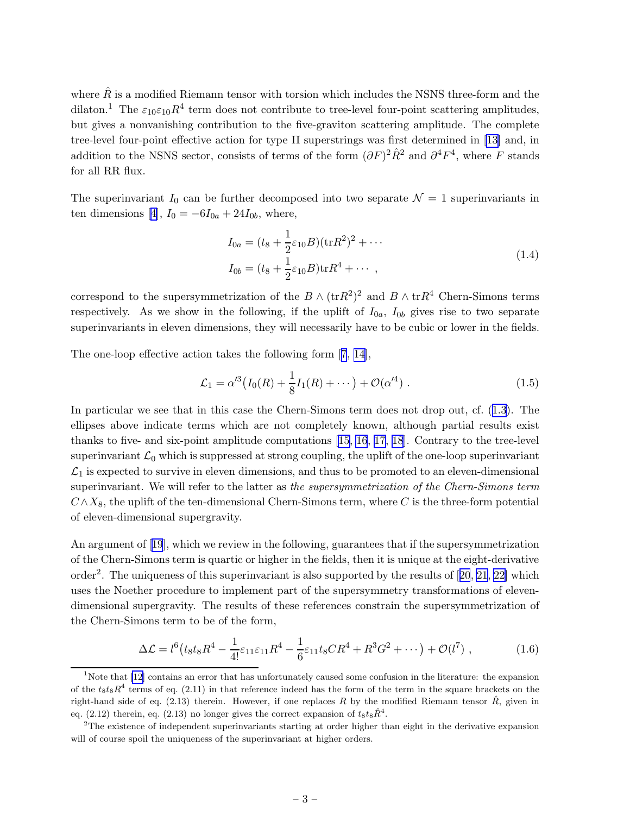<span id="page-3-0"></span>where  $\hat{R}$  is a modified Riemann tensor with torsion which includes the NSNS three-form and the dilaton.<sup>1</sup> The  $\varepsilon_{10}\varepsilon_{10}R^4$  term does not contribute to tree-level four-point scattering amplitudes, but gives a nonvanishing contribution to the five-graviton scattering amplitude. The complete tree-level four-point effective action for type II superstrings was first determined in [\[13](#page-42-0)] and, in addition to the NSNS sector, consists of terms of the form  $(\partial F)^2 \hat{R}^2$  and  $\partial^4 F^4$ , where F stands for all RR flux.

The superinvariant  $I_0$  can be further decomposed into two separate  $\mathcal{N}=1$  superinvariants in tendimensions [[4](#page-42-0)],  $I_0 = -6I_{0a} + 24I_{0b}$ , where,

$$
I_{0a} = (t_8 + \frac{1}{2}\varepsilon_{10}B)(\text{tr}R^2)^2 + \cdots
$$
  
\n
$$
I_{0b} = (t_8 + \frac{1}{2}\varepsilon_{10}B)\text{tr}R^4 + \cdots,
$$
\n(1.4)

correspond to the supersymmetrization of the  $B \wedge (\text{tr} R^2)^2$  and  $B \wedge \text{tr} R^4$  Chern-Simons terms respectively. As we show in the following, if the uplift of  $I_{0a}$ ,  $I_{0b}$  gives rise to two separate superinvariants in eleven dimensions, they will necessarily have to be cubic or lower in the fields.

The one-loop effective action takes the following form[[7](#page-42-0), [14\]](#page-42-0),

$$
\mathcal{L}_1 = \alpha'^3 \big( I_0(R) + \frac{1}{8} I_1(R) + \cdots \big) + \mathcal{O}(\alpha'^4) \ . \tag{1.5}
$$

In particular we see that in this case the Chern-Simons term does not drop out, cf.([1.3](#page-2-0)). The ellipses above indicate terms which are not completely known, although partial results exist thanks to five- and six-point amplitude computations [\[15, 16](#page-42-0), [17, 18](#page-42-0)]. Contrary to the tree-level superinvariant  $\mathcal{L}_0$  which is suppressed at strong coupling, the uplift of the one-loop superinvariant  $\mathcal{L}_1$  is expected to survive in eleven dimensions, and thus to be promoted to an eleven-dimensional superinvariant. We will refer to the latter as *the supersymmetrization of the Chern-Simons term*  $C \wedge X_8$ , the uplift of the ten-dimensional Chern-Simons term, where C is the three-form potential of eleven-dimensional supergravity.

An argument of[[19](#page-42-0)], which we review in the following, guarantees that if the supersymmetrization of the Chern-Simons term is quartic or higher in the fields, then it is unique at the eight-derivative order<sup>2</sup>.The uniqueness of this superinvariant is also supported by the results of  $[20, 21, 22]$  $[20, 21, 22]$  $[20, 21, 22]$  $[20, 21, 22]$  $[20, 21, 22]$  $[20, 21, 22]$  which uses the Noether procedure to implement part of the supersymmetry transformations of elevendimensional supergravity. The results of these references constrain the supersymmetrization of the Chern-Simons term to be of the form,

$$
\Delta \mathcal{L} = l^6 \left( t_8 t_8 R^4 - \frac{1}{4!} \varepsilon_{11} \varepsilon_{11} R^4 - \frac{1}{6} \varepsilon_{11} t_8 C R^4 + R^3 G^2 + \cdots \right) + \mathcal{O}(l^7) \;, \tag{1.6}
$$

<sup>&</sup>lt;sup>1</sup>Note that [\[12\]](#page-42-0) contains an error that has unfortunately caused some confusion in the literature: the expansion of the  $t_8t_8R^4$  terms of eq. (2.11) in that reference indeed has the form of the term in the square brackets on the right-hand side of eq. (2.13) therein. However, if one replaces R by the modified Riemann tensor  $\hat{R}$ , given in eq. (2.12) therein, eq. (2.13) no longer gives the correct expansion of  $t_8t_8\hat{R}^4$ .

<sup>&</sup>lt;sup>2</sup>The existence of independent superinvariants starting at order higher than eight in the derivative expansion will of course spoil the uniqueness of the superinvariant at higher orders.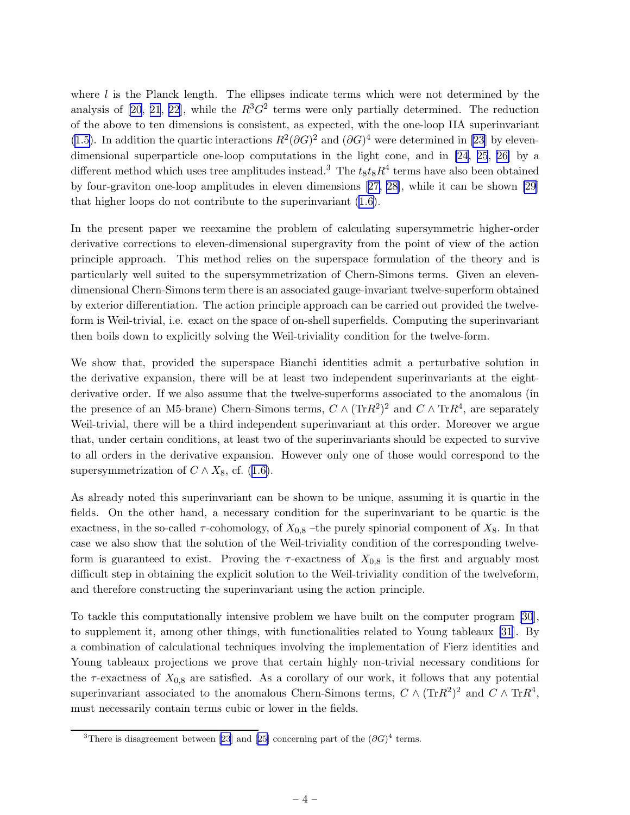where  $l$  is the Planck length. The ellipses indicate terms which were not determined by the analysis of [\[20,](#page-42-0) [21](#page-43-0), [22\]](#page-43-0), while the  $R^3G^2$  terms were only partially determined. The reduction of the above to ten dimensions is consistent, as expected, with the one-loop IIA superinvariant [\(1.5\)](#page-3-0). In addition the quartic interactions  $R^2(\partial G)^2$  and  $(\partial G)^4$  were determined in [\[23\]](#page-43-0) by elevendimensional superparticle one-loop computations in the light cone, and in [\[24](#page-43-0), [25](#page-43-0), [26\]](#page-43-0) by a different method which uses tree amplitudes instead.<sup>3</sup> The  $t_8t_8R^4$  terms have also been obtained by four-graviton one-loop amplitudes in eleven dimensions [[27, 28\]](#page-43-0), while it can be shown [\[29](#page-43-0)] that higher loops do not contribute to the superinvariant [\(1.6\)](#page-3-0).

In the present paper we reexamine the problem of calculating supersymmetric higher-order derivative corrections to eleven-dimensional supergravity from the point of view of the action principle approach. This method relies on the superspace formulation of the theory and is particularly well suited to the supersymmetrization of Chern-Simons terms. Given an elevendimensional Chern-Simons term there is an associated gauge-invariant twelve-superform obtained by exterior differentiation. The action principle approach can be carried out provided the twelveform is Weil-trivial, i.e. exact on the space of on-shell superfields. Computing the superinvariant then boils down to explicitly solving the Weil-triviality condition for the twelve-form.

We show that, provided the superspace Bianchi identities admit a perturbative solution in the derivative expansion, there will be at least two independent superinvariants at the eightderivative order. If we also assume that the twelve-superforms associated to the anomalous (in the presence of an M5-brane) Chern-Simons terms,  $C \wedge (\text{Tr} R^2)^2$  and  $C \wedge \text{Tr} R^4$ , are separately Weil-trivial, there will be a third independent superinvariant at this order. Moreover we argue that, under certain conditions, at least two of the superinvariants should be expected to survive to all orders in the derivative expansion. However only one of those would correspond to the supersymmetrizationof  $C \wedge X_8$ , cf. ([1.6\)](#page-3-0).

As already noted this superinvariant can be shown to be unique, assuming it is quartic in the fields. On the other hand, a necessary condition for the superinvariant to be quartic is the exactness, in the so-called  $\tau$ -cohomology, of  $X_{0,8}$  –the purely spinorial component of  $X_8$ . In that case we also show that the solution of the Weil-triviality condition of the corresponding twelveform is guaranteed to exist. Proving the  $\tau$ -exactness of  $X_{0,8}$  is the first and arguably most difficult step in obtaining the explicit solution to the Weil-triviality condition of the twelveform, and therefore constructing the superinvariant using the action principle.

To tackle this computationally intensive problem we have built on the computer program [\[30](#page-43-0)], to supplement it, among other things, with functionalities related to Young tableaux [\[31](#page-43-0)]. By a combination of calculational techniques involving the implementation of Fierz identities and Young tableaux projections we prove that certain highly non-trivial necessary conditions for the  $\tau$ -exactness of  $X_{0,8}$  are satisfied. As a corollary of our work, it follows that any potential superinvariant associated to the anomalous Chern-Simons terms,  $C \wedge (\text{Tr} R^2)^2$  and  $C \wedge \text{Tr} R^4$ , must necessarily contain terms cubic or lower in the fields.

<sup>&</sup>lt;sup>3</sup>There is disagreement between [\[23](#page-43-0)]and [[25\]](#page-43-0) concerning part of the  $(\partial G)^4$  terms.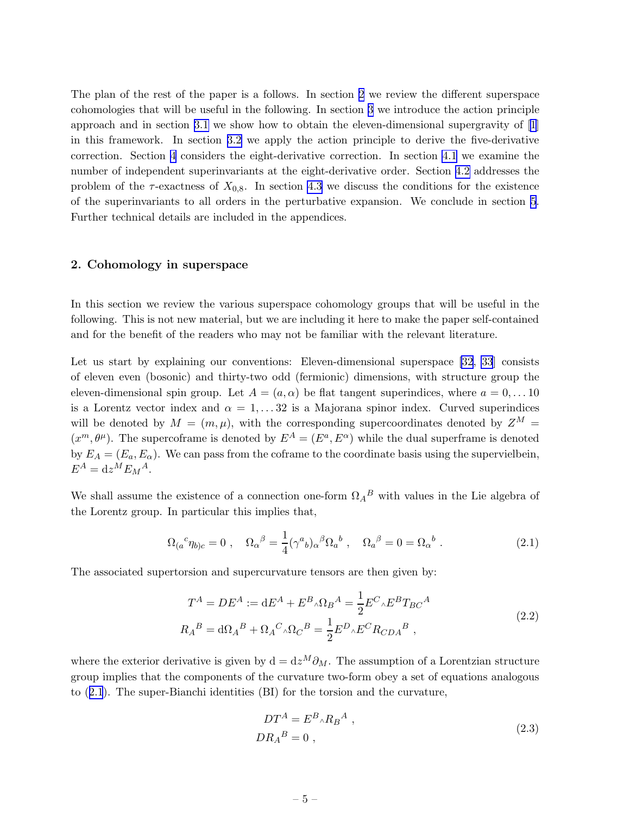<span id="page-5-0"></span>The plan of the rest of the paper is a follows. In section 2 we review the different superspace cohomologies that will be useful in the following. In section [3](#page-10-0) we introduce the action principle approach and in section [3.1](#page-11-0) we show how to obtain the eleven-dimensional supergravity of[[1](#page-42-0)] in this framework. In section [3.2](#page-12-0) we apply the action principle to derive the five-derivative correction. Section [4](#page-13-0) considers the eight-derivative correction. In section [4.1](#page-14-0) we examine the number of independent superinvariants at the eight-derivative order. Section [4.2](#page-15-0) addresses the problem of the  $\tau$ -exactness of  $X_{0,8}$ . In section [4.3](#page-17-0) we discuss the conditions for the existence of the superinvariants to all orders in the perturbative expansion. We conclude in section [5](#page-19-0). Further technical details are included in the appendices.

#### 2. Cohomology in superspace

In this section we review the various superspace cohomology groups that will be useful in the following. This is not new material, but we are including it here to make the paper self-contained and for the benefit of the readers who may not be familiar with the relevant literature.

Let us start by explaining our conventions: Eleven-dimensional superspace [\[32](#page-43-0), [33](#page-43-0)] consists of eleven even (bosonic) and thirty-two odd (fermionic) dimensions, with structure group the eleven-dimensional spin group. Let  $A = (a, \alpha)$  be flat tangent superindices, where  $a = 0, \ldots 10$ is a Lorentz vector index and  $\alpha = 1, \ldots 32$  is a Majorana spinor index. Curved superindices will be denoted by  $M = (m, \mu)$ , with the corresponding supercoordinates denoted by  $Z^M =$  $(x^m, \theta^{\mu})$ . The supercoframe is denoted by  $E^A = (E^a, E^{\alpha})$  while the dual superframe is denoted by  $E_A = (E_a, E_\alpha)$ . We can pass from the coframe to the coordinate basis using the supervielbein,  $E^A = dz^M E_M^A.$ 

We shall assume the existence of a connection one-form  $\Omega_A{}^B$  with values in the Lie algebra of the Lorentz group. In particular this implies that,

$$
\Omega_{(a}{}^{c}\eta_{b)c} = 0 \ , \quad \Omega_{\alpha}{}^{\beta} = \frac{1}{4} (\gamma^{a}{}_{b})_{\alpha}{}^{\beta} \Omega_{a}{}^{b} \ , \quad \Omega_{a}{}^{\beta} = 0 = \Omega_{\alpha}{}^{b} \ . \tag{2.1}
$$

The associated supertorsion and supercurvature tensors are then given by:

$$
T^{A} = DE^{A} := dE^{A} + E^{B} \wedge \Omega_{B}^{A} = \frac{1}{2} E^{C} \wedge E^{B} T_{BC}^{A}
$$
  

$$
R_{A}^{B} = d\Omega_{A}^{B} + \Omega_{A}^{C} \wedge \Omega_{C}^{B} = \frac{1}{2} E^{D} \wedge E^{C} R_{CDA}^{B},
$$
\n(2.2)

where the exterior derivative is given by  $d = dz^M \partial_M$ . The assumption of a Lorentzian structure group implies that the components of the curvature two-form obey a set of equations analogous to (2.1). The super-Bianchi identities (BI) for the torsion and the curvature,

$$
DT^{A} = E^{B} \wedge R_{B}{}^{A} ,
$$
  
\n
$$
DR_{A}{}^{B} = 0 ,
$$
\n(2.3)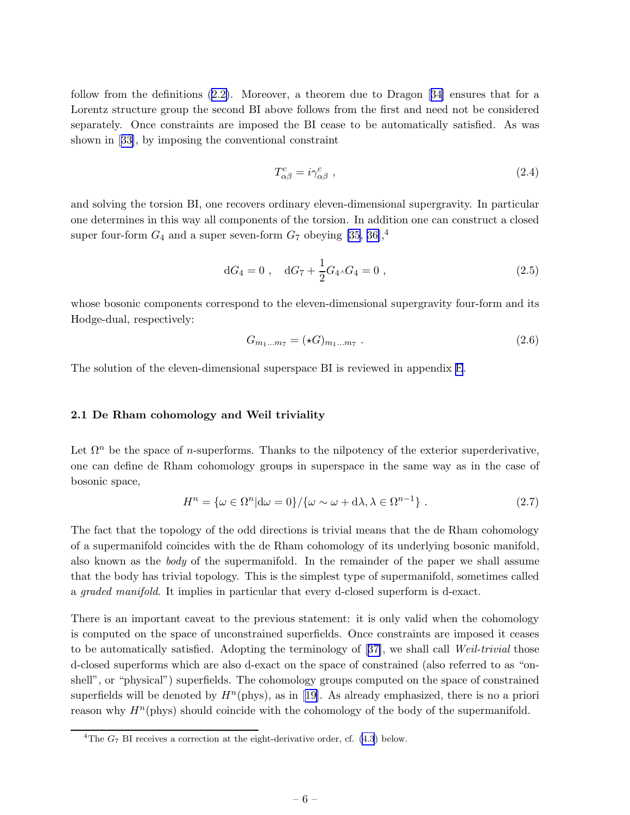<span id="page-6-0"></span>follow from the definitions([2.2\)](#page-5-0). Moreover, a theorem due to Dragon[[34\]](#page-43-0) ensures that for a Lorentz structure group the second BI above follows from the first and need not be considered separately. Once constraints are imposed the BI cease to be automatically satisfied. As was shown in[[33\]](#page-43-0), by imposing the conventional constraint

$$
T_{\alpha\beta}^c = i\gamma_{\alpha\beta}^c \t\t(2.4)
$$

and solving the torsion BI, one recovers ordinary eleven-dimensional supergravity. In particular one determines in this way all components of the torsion. In addition one can construct a closed super four-form  $G_4$  and a super seven-form  $G_7$  obeying [\[35](#page-43-0), [36\]](#page-43-0),<sup>4</sup>

$$
dG_4 = 0 , \quad dG_7 + \frac{1}{2} G_4 \wedge G_4 = 0 , \qquad (2.5)
$$

whose bosonic components correspond to the eleven-dimensional supergravity four-form and its Hodge-dual, respectively:

$$
G_{m_1...m_7} = (\star G)_{m_1...m_7} \tag{2.6}
$$

The solution of the eleven-dimensional superspace BI is reviewed in appendix [E](#page-38-0).

#### 2.1 De Rham cohomology and Weil triviality

Let  $\Omega^n$  be the space of *n*-superforms. Thanks to the nilpotency of the exterior superderivative, one can define de Rham cohomology groups in superspace in the same way as in the case of bosonic space,

$$
H^{n} = \{\omega \in \Omega^{n} | \mathrm{d}\omega = 0\} / \{\omega \sim \omega + \mathrm{d}\lambda, \lambda \in \Omega^{n-1}\} . \tag{2.7}
$$

The fact that the topology of the odd directions is trivial means that the de Rham cohomology of a supermanifold coincides with the de Rham cohomology of its underlying bosonic manifold, also known as the *body* of the supermanifold. In the remainder of the paper we shall assume that the body has trivial topology. This is the simplest type of supermanifold, sometimes called a *graded manifold*. It implies in particular that every d-closed superform is d-exact.

There is an important caveat to the previous statement: it is only valid when the cohomology is computed on the space of unconstrained superfields. Once constraints are imposed it ceases to be automatically satisfied. Adopting the terminology of[[37\]](#page-43-0), we shall call *Weil-trivial* those d-closed superforms which are also d-exact on the space of constrained (also referred to as "onshell", or "physical") superfields. The cohomology groups computed on the space of constrained superfieldswill be denoted by  $H<sup>n</sup>(phys)$ , as in [[19\]](#page-42-0). As already emphasized, there is no a priori reason why  $H<sup>n</sup>(phys)$  should coincide with the cohomology of the body of the supermanifold.

<sup>&</sup>lt;sup>4</sup>The  $G_7$  BI receives a correction at the eight-derivative order, cf. [\(4.3](#page-13-0)) below.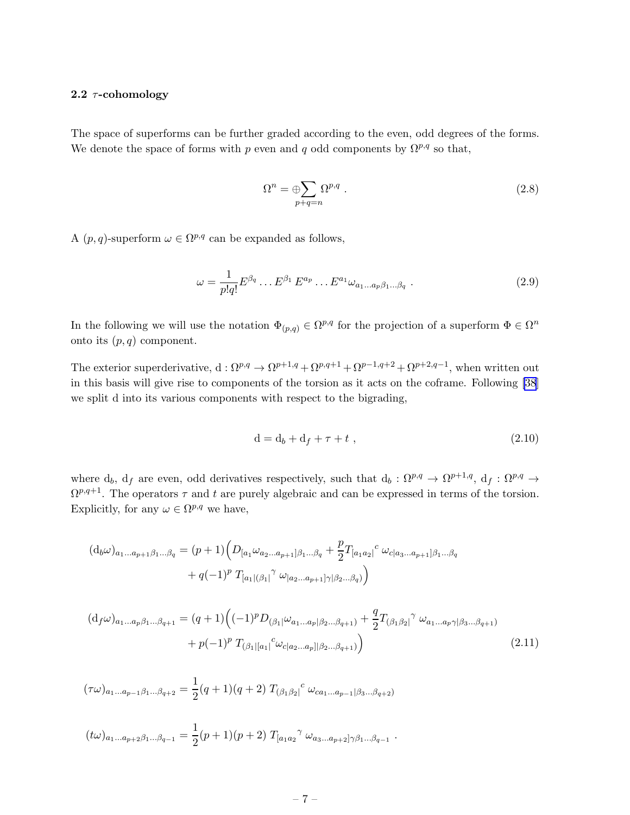#### <span id="page-7-0"></span>2.2  $\tau$ -cohomology

The space of superforms can be further graded according to the even, odd degrees of the forms. We denote the space of forms with p even and q odd components by  $\Omega^{p,q}$  so that,

$$
\Omega^n = \bigoplus_{p+q=n} \Omega^{p,q} . \tag{2.8}
$$

A  $(p, q)$ -superform  $\omega \in \Omega^{p,q}$  can be expanded as follows,

$$
\omega = \frac{1}{p!q!} E^{\beta_q} \dots E^{\beta_1} E^{a_p} \dots E^{a_1} \omega_{a_1 \dots a_p \beta_1 \dots \beta_q} . \tag{2.9}
$$

In the following we will use the notation  $\Phi_{(p,q)} \in \Omega^{p,q}$  for the projection of a superform  $\Phi \in \Omega^n$ onto its  $(p, q)$  component.

The exterior superderivative,  $d: \Omega^{p,q} \to \Omega^{p+1,q} + \Omega^{p,q+1} + \Omega^{p-1,q+2} + \Omega^{p+2,q-1}$ , when written out in this basis will give rise to components of the torsion as it acts on the coframe. Following [\[38](#page-43-0)] we split d into its various components with respect to the bigrading,

$$
\mathbf{d} = \mathbf{d}_b + \mathbf{d}_f + \tau + t \tag{2.10}
$$

where  $d_b$ ,  $d_f$  are even, odd derivatives respectively, such that  $d_b$  :  $\Omega^{p,q} \to \Omega^{p+1,q}$ ,  $d_f$  :  $\Omega^{p,q} \to$  $\Omega^{p,q+1}$ . The operators  $\tau$  and t are purely algebraic and can be expressed in terms of the torsion. Explicitly, for any  $\omega \in \Omega^{p,q}$  we have,

$$
(d_b\omega)_{a_1...a_{p+1}\beta_1...\beta_q} = (p+1) \Big( D_{[a_1}\omega_{a_2...a_{p+1}]\beta_1...\beta_q} + \frac{p}{2} T_{[a_1a_2]}^c \omega_{c|a_3...a_{p+1}]\beta_1...\beta_q}
$$
  
+  $q(-1)^p T_{[a_1|(\beta_1)]}^c \omega_{[a_2...a_{p+1}]\gamma|\beta_2...\beta_q)}$ 

$$
(d_f\omega)_{a_1...a_p\beta_1...\beta_{q+1}} = (q+1)\left((-1)^p D_{(\beta_1}|\omega_{a_1...a_p|\beta_2...\beta_{q+1}}) + \frac{q}{2}T_{(\beta_1\beta_2|}^{\gamma}\omega_{a_1...a_p\gamma|\beta_3...\beta_{q+1}}) + p(-1)^p T_{(\beta_1|[a_1]}^c\omega_{c|a_2...a_p||\beta_2...\beta_{q+1})}\right)
$$
\n(2.11)

$$
(\tau\omega)_{a_1...a_{p-1}\beta_1...\beta_{q+2}} = \frac{1}{2}(q+1)(q+2) T_{(\beta_1\beta_2|}^c \omega_{ca_1...a_{p-1}|\beta_3...\beta_{q+2})}
$$

$$
(t\omega)_{a_1...a_{p+2}\beta_1...\beta_{q-1}} = \frac{1}{2}(p+1)(p+2) T_{[a_1a_2}^{\gamma} \omega_{a_3...a_{p+2}]\gamma\beta_1...\beta_{q-1}}.
$$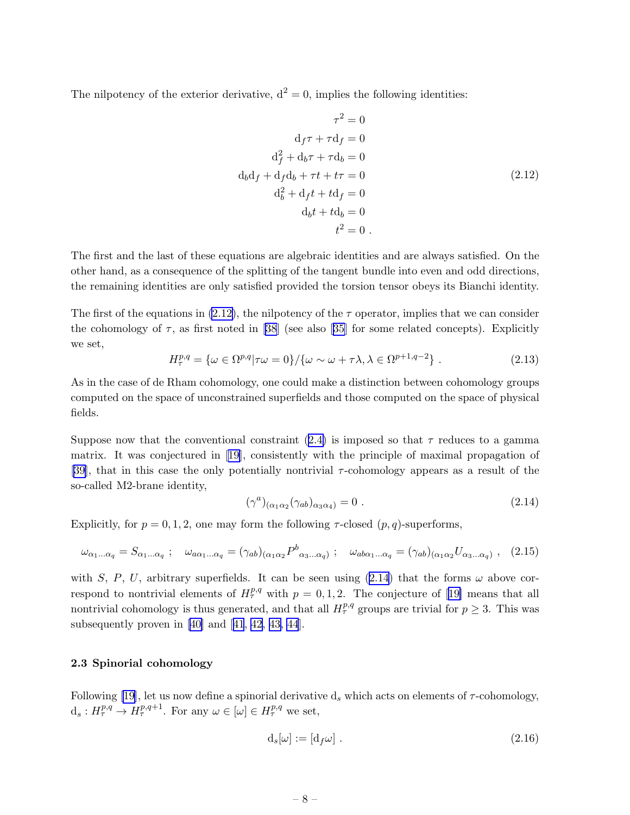<span id="page-8-0"></span>The nilpotency of the exterior derivative,  $d^2 = 0$ , implies the following identities:

$$
\tau^2 = 0
$$
  
\n
$$
d_f \tau + \tau d_f = 0
$$
  
\n
$$
d_f^2 + d_b \tau + \tau d_b = 0
$$
  
\n
$$
d_b d_f + d_f d_b + \tau t + t \tau = 0
$$
  
\n
$$
d_b^2 + d_f t + t d_f = 0
$$
  
\n
$$
d_b t + t d_b = 0
$$
  
\n
$$
t^2 = 0
$$

The first and the last of these equations are algebraic identities and are always satisfied. On the other hand, as a consequence of the splitting of the tangent bundle into even and odd directions, the remaining identities are only satisfied provided the torsion tensor obeys its Bianchi identity.

The first of the equations in (2.12), the nilpotency of the  $\tau$  operator, implies that we can consider the cohomology of  $\tau$ , as first noted in [\[38](#page-43-0)] (see also [\[35](#page-43-0)] for some related concepts). Explicitly we set,

$$
H^{p,q}_{\tau} = \{ \omega \in \Omega^{p,q} | \tau \omega = 0 \} / \{ \omega \sim \omega + \tau \lambda, \lambda \in \Omega^{p+1,q-2} \} . \tag{2.13}
$$

As in the case of de Rham cohomology, one could make a distinction between cohomology groups computed on the space of unconstrained superfields and those computed on the space of physical fields.

Supposenow that the conventional constraint  $(2.4)$  $(2.4)$  is imposed so that  $\tau$  reduces to a gamma matrix. It was conjectured in[[19\]](#page-42-0), consistently with the principle of maximal propagation of [[39\]](#page-43-0), that in this case the only potentially nontrivial  $\tau$ -cohomology appears as a result of the so-called M2-brane identity,

$$
(\gamma^a)_{(\alpha_1 \alpha_2} (\gamma_{ab})_{\alpha_3 \alpha_4)} = 0.
$$
\n(2.14)

Explicitly, for  $p = 0, 1, 2$ , one may form the following  $\tau$ -closed  $(p, q)$ -superforms,

$$
\omega_{\alpha_1...\alpha_q} = S_{\alpha_1...\alpha_q} \; ; \quad \omega_{a\alpha_1...\alpha_q} = (\gamma_{ab})_{(\alpha_1\alpha_2} P^b{}_{\alpha_3...\alpha_q)} \; ; \quad \omega_{ab\alpha_1...\alpha_q} = (\gamma_{ab})_{(\alpha_1\alpha_2} U_{\alpha_3...\alpha_q)} \; , \quad (2.15)
$$

with S, P, U, arbitrary superfields. It can be seen using (2.14) that the forms  $\omega$  above correspondto nontrivial elements of  $H^{p,q}_\tau$  with  $p = 0, 1, 2$ . The conjecture of [[19\]](#page-42-0) means that all nontrivial cohomology is thus generated, and that all  $H^{p,q}_{\tau}$  groups are trivial for  $p \geq 3$ . This was subsequently proven in[[40\]](#page-43-0) and[[41](#page-43-0), [42](#page-44-0), [43, 44](#page-44-0)].

#### 2.3 Spinorial cohomology

Following [\[19\]](#page-42-0), let us now define a spinorial derivative  $d_s$  which acts on elements of  $\tau$ -cohomology,  $d_s: H^{p,q}_{\tau} \to H^{p,q+1}_{\tau}$ . For any  $\omega \in [\omega] \in H^{p,q}_{\tau}$  we set,

$$
d_s[\omega] := [d_f \omega] \tag{2.16}
$$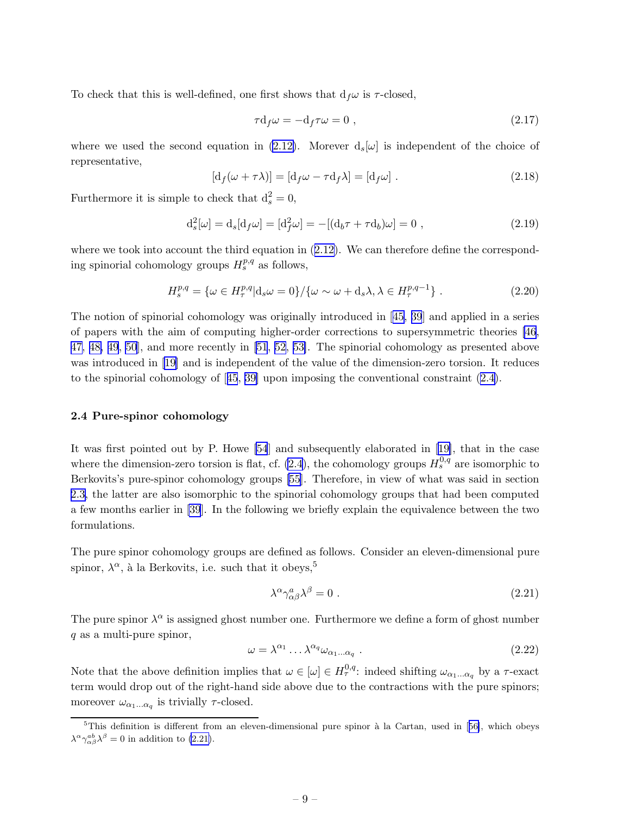<span id="page-9-0"></span>To check that this is well-defined, one first shows that  $d_f\omega$  is  $\tau$ -closed,

$$
\tau d_f \omega = -d_f \tau \omega = 0 , \qquad (2.17)
$$

where we used the second equation in [\(2.12\)](#page-8-0). Morever  $d_s(\omega)$  is independent of the choice of representative,

$$
[d_f(\omega + \tau \lambda)] = [d_f \omega - \tau d_f \lambda] = [d_f \omega]. \qquad (2.18)
$$

Furthermore it is simple to check that  $d_s^2 = 0$ ,

$$
d_s^2[\omega] = d_s[d_f\omega] = [d_f^2\omega] = -[(d_b\tau + \tau d_b)\omega] = 0,
$$
\n(2.19)

wherewe took into account the third equation in  $(2.12)$  $(2.12)$ . We can therefore define the corresponding spinorial cohomology groups  $H_s^{p,q}$  as follows,

$$
H_s^{p,q} = \{ \omega \in H_\tau^{p,q} | \mathbf{d}_s \omega = 0 \} / \{ \omega \sim \omega + \mathbf{d}_s \lambda, \lambda \in H_\tau^{p,q-1} \} . \tag{2.20}
$$

The notion of spinorial cohomology was originally introduced in[[45,](#page-44-0) [39](#page-43-0)] and applied in a series of papers with the aim of computing higher-order corrections to supersymmetric theories [\[46](#page-44-0), [47, 48, 49](#page-44-0), [50](#page-44-0)], and more recently in [\[51](#page-44-0), [52](#page-44-0), [53\]](#page-44-0). The spinorial cohomology as presented above was introduced in [\[19\]](#page-42-0) and is independent of the value of the dimension-zero torsion. It reduces to the spinorial cohomology of[[45](#page-44-0), [39\]](#page-43-0) upon imposing the conventional constraint [\(2.4\)](#page-6-0).

#### 2.4 Pure-spinor cohomology

It was first pointed out by P. Howe [\[54](#page-44-0)] and subsequently elaborated in [\[19\]](#page-42-0), that in the case where the dimension-zero torsion is flat, cf.  $(2.4)$ , the cohomology groups  $H_s^{0,q}$  are isomorphic to Berkovits's pure-spinor cohomology groups [\[55](#page-44-0)]. Therefore, in view of what was said in section [2.3,](#page-8-0) the latter are also isomorphic to the spinorial cohomology groups that had been computed a few months earlier in [\[39](#page-43-0)]. In the following we briefly explain the equivalence between the two formulations.

The pure spinor cohomology groups are defined as follows. Consider an eleven-dimensional pure spinor,  $\lambda^{\alpha}$ , à la Berkovits, i.e. such that it obeys,<sup>5</sup>

$$
\lambda^{\alpha} \gamma^a_{\alpha \beta} \lambda^{\beta} = 0 \tag{2.21}
$$

The pure spinor  $\lambda^{\alpha}$  is assigned ghost number one. Furthermore we define a form of ghost number q as a multi-pure spinor,

$$
\omega = \lambda^{\alpha_1} \dots \lambda^{\alpha_q} \omega_{\alpha_1 \dots \alpha_q} \tag{2.22}
$$

Note that the above definition implies that  $\omega \in [\omega] \in H^{0,q}_{\tau}$ : indeed shifting  $\omega_{\alpha_1...\alpha_q}$  by a  $\tau$ -exact term would drop out of the right-hand side above due to the contractions with the pure spinors; moreover  $\omega_{\alpha_1...\alpha_q}$  is trivially  $\tau$ -closed.

 $5$ Thisdefinition is different from an eleven-dimensional pure spinor à la Cartan, used in [[56\]](#page-44-0), which obeys  $\lambda^{\alpha} \gamma_{\alpha\beta}^{ab} \lambda^{\beta} = 0$  in addition to (2.21).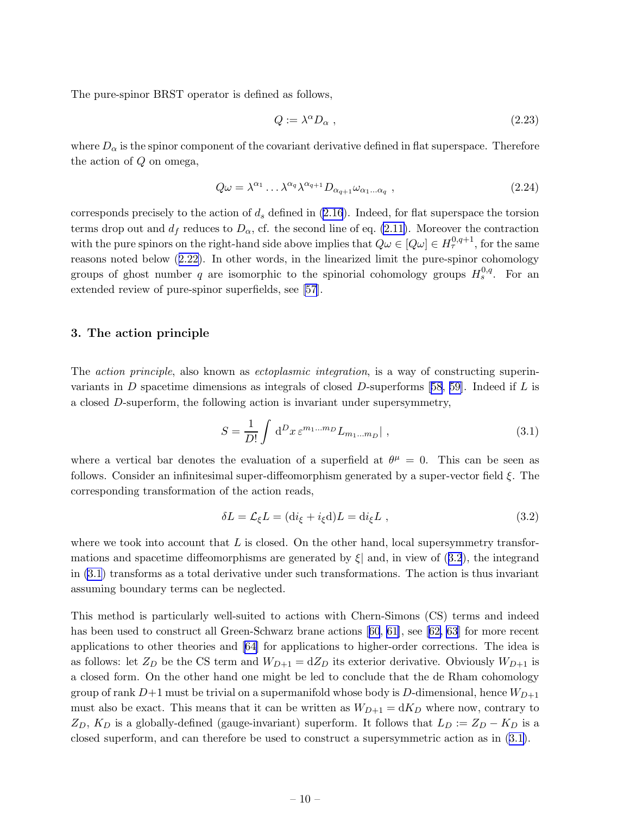<span id="page-10-0"></span>The pure-spinor BRST operator is defined as follows,

$$
Q := \lambda^{\alpha} D_{\alpha} , \qquad (2.23)
$$

where  $D_{\alpha}$  is the spinor component of the covariant derivative defined in flat superspace. Therefore the action of Q on omega,

$$
Q\omega = \lambda^{\alpha_1} \dots \lambda^{\alpha_q} \lambda^{\alpha_{q+1}} D_{\alpha_{q+1}} \omega_{\alpha_1 \dots \alpha_q} , \qquad (2.24)
$$

corresponds precisely to the action of  $d_s$  defined in [\(2.16](#page-8-0)). Indeed, for flat superspace the torsion terms drop out and  $d_f$  reduces to  $D_\alpha$ , cf. the second line of eq. [\(2.11\)](#page-7-0). Moreover the contraction with the pure spinors on the right-hand side above implies that  $Q\omega \in [Q\omega] \in H^{0,q+1}_{\tau}$ , for the same reasons noted below([2.22\)](#page-9-0). In other words, in the linearized limit the pure-spinor cohomology groups of ghost number q are isomorphic to the spinorial cohomology groups  $H_s^{0,q}$ . For an extended review of pure-spinor superfields, see [\[57](#page-44-0)].

#### 3. The action principle

The *action principle*, also known as *ectoplasmic integration*, is a way of constructing superin-variants in D spacetime dimensions as integrals of closed D-superforms [\[58, 59\]](#page-44-0). Indeed if L is a closed D-superform, the following action is invariant under supersymmetry,

$$
S = \frac{1}{D!} \int d^D x \, \varepsilon^{m_1 \dots m_D} L_{m_1 \dots m_D} \vert \;, \tag{3.1}
$$

where a vertical bar denotes the evaluation of a superfield at  $\theta^{\mu} = 0$ . This can be seen as follows. Consider an infinitesimal super-diffeomorphism generated by a super-vector field  $\xi$ . The corresponding transformation of the action reads,

$$
\delta L = \mathcal{L}_{\xi} L = (\text{d}i_{\xi} + i_{\xi} \text{d})L = \text{d}i_{\xi} L , \qquad (3.2)
$$

where we took into account that  $L$  is closed. On the other hand, local supersymmetry transformations and spacetime diffeomorphisms are generated by  $\xi$  and, in view of (3.2), the integrand in (3.1) transforms as a total derivative under such transformations. The action is thus invariant assuming boundary terms can be neglected.

This method is particularly well-suited to actions with Chern-Simons (CS) terms and indeed hasbeen used to construct all Green-Schwarz brane actions [[60](#page-44-0), [61\]](#page-44-0), see [\[62,](#page-44-0) [63](#page-45-0)] for more recent applications to other theories and [\[64](#page-45-0)] for applications to higher-order corrections. The idea is as follows: let  $Z_D$  be the CS term and  $W_{D+1} = dZ_D$  its exterior derivative. Obviously  $W_{D+1}$  is a closed form. On the other hand one might be led to conclude that the de Rham cohomology group of rank  $D+1$  must be trivial on a supermanifold whose body is D-dimensional, hence  $W_{D+1}$ must also be exact. This means that it can be written as  $W_{D+1} = dK_D$  where now, contrary to  $Z_D$ ,  $K_D$  is a globally-defined (gauge-invariant) superform. It follows that  $L_D := Z_D - K_D$  is a closed superform, and can therefore be used to construct a supersymmetric action as in (3.1).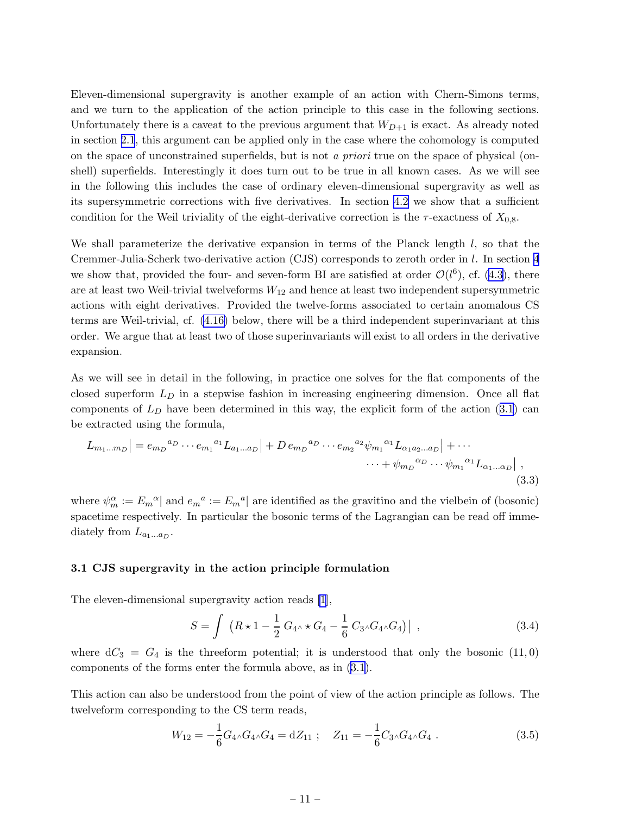<span id="page-11-0"></span>Eleven-dimensional supergravity is another example of an action with Chern-Simons terms, and we turn to the application of the action principle to this case in the following sections. Unfortunately there is a caveat to the previous argument that  $W_{D+1}$  is exact. As already noted in section [2.1](#page-6-0), this argument can be applied only in the case where the cohomology is computed on the space of unconstrained superfields, but is not *a priori* true on the space of physical (onshell) superfields. Interestingly it does turn out to be true in all known cases. As we will see in the following this includes the case of ordinary eleven-dimensional supergravity as well as its supersymmetric corrections with five derivatives. In section [4.2](#page-15-0) we show that a sufficient condition for the Weil triviality of the eight-derivative correction is the  $\tau$ -exactness of  $X_{0,8}$ .

We shall parameterize the derivative expansion in terms of the Planck length  $l$ , so that the Cremmer-Julia-Scherk two-derivative action (CJS) corresponds to zeroth order in l. In section [4](#page-13-0) we show that, provided the four- and seven-form BI are satisfied at order  $\mathcal{O}(l^6)$ , cf. [\(4.3\)](#page-13-0), there are at least two Weil-trivial twelveforms  $W_{12}$  and hence at least two independent supersymmetric actions with eight derivatives. Provided the twelve-forms associated to certain anomalous CS terms are Weil-trivial, cf. [\(4.16\)](#page-15-0) below, there will be a third independent superinvariant at this order. We argue that at least two of those superinvariants will exist to all orders in the derivative expansion.

As we will see in detail in the following, in practice one solves for the flat components of the closed superform  $L<sub>D</sub>$  in a stepwise fashion in increasing engineering dimension. Once all flat componentsof  $L<sub>D</sub>$  have been determined in this way, the explicit form of the action ([3.1](#page-10-0)) can be extracted using the formula,

$$
L_{m_1...m_D}| = e_{m_D}^{a_D} \cdots e_{m_1}^{a_1} L_{a_1...a_D}| + D e_{m_D}^{a_D} \cdots e_{m_2}^{a_2} \psi_{m_1}^{a_1} L_{\alpha_1 a_2...a_D}| + \cdots
$$
  

$$
\cdots + \psi_{m_D}^{a_D} \cdots \psi_{m_1}^{a_1} L_{\alpha_1...\alpha_D}| ,
$$
  
(3.3)

where  $\psi_m^{\alpha} := E_m{}^{\alpha}$  and  $e_m{}^a := E_m{}^a$  are identified as the gravitino and the vielbein of (bosonic) spacetime respectively. In particular the bosonic terms of the Lagrangian can be read off immediately from  $L_{a_1...a_D}$ .

#### 3.1 CJS supergravity in the action principle formulation

The eleven-dimensional supergravity action reads [\[1\]](#page-42-0),

$$
S = \int (R \star 1 - \frac{1}{2} G_{4} \star G_4 - \frac{1}{6} C_{3} \Lambda G_{4} \Lambda G_4) | , \qquad (3.4)
$$

where  $dC_3 = G_4$  is the threeform potential; it is understood that only the bosonic  $(11,0)$ components of the forms enter the formula above, as in [\(3.1\)](#page-10-0).

This action can also be understood from the point of view of the action principle as follows. The twelveform corresponding to the CS term reads,

$$
W_{12} = -\frac{1}{6}G_{4} \wedge G_{4} \wedge G_{4} = dZ_{11} \; ; \quad Z_{11} = -\frac{1}{6}C_{3} \wedge G_{4} \wedge G_{4} \; . \tag{3.5}
$$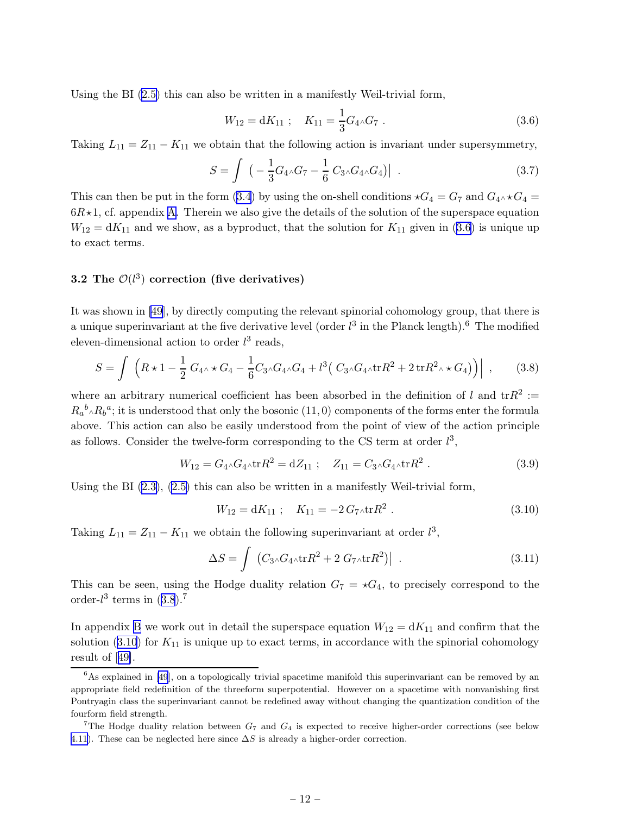<span id="page-12-0"></span>Using the BI([2.5\)](#page-6-0) this can also be written in a manifestly Weil-trivial form,

$$
W_{12} = dK_{11} \; ; \quad K_{11} = \frac{1}{3} G_4 \wedge G_7 \; . \tag{3.6}
$$

Taking  $L_{11} = Z_{11} - K_{11}$  we obtain that the following action is invariant under supersymmetry,

$$
S = \int \left( -\frac{1}{3} G_4 \wedge G_7 - \frac{1}{6} C_3 \wedge G_4 \wedge G_4 \right) | . \tag{3.7}
$$

This can then be put in the form [\(3.4\)](#page-11-0) by using the on-shell conditions  $\star G_4 = G_7$  and  $G_4 \star G_4 =$  $6R \star 1$ , cf. appendix [A.](#page-20-0) Therein we also give the details of the solution of the superspace equation  $W_{12} = dK_{11}$  and we show, as a byproduct, that the solution for  $K_{11}$  given in (3.6) is unique up to exact terms.

## 3.2 The  $\mathcal{O}(l^3)$  correction (five derivatives)

It was shown in [\[49](#page-44-0)], by directly computing the relevant spinorial cohomology group, that there is a unique superinvariant at the five derivative level (order  $l^3$  in the Planck length).<sup>6</sup> The modified eleven-dimensional action to order  $l^3$  reads,

$$
S = \int \left( R \star 1 - \frac{1}{2} G_{4} \star G_4 - \frac{1}{6} C_3 \Lambda G_4 \Lambda G_4 + l^3 (C_3 \Lambda G_4 \Lambda \text{tr} R^2 + 2 \text{tr} R^2 \Lambda \star G_4) \right) \Big| , \qquad (3.8)
$$

where an arbitrary numerical coefficient has been absorbed in the definition of l and  $\text{tr}R^2$ :  $R_a{}^b \wedge R_b{}^a$ ; it is understood that only the bosonic  $(11,0)$  components of the forms enter the formula above. This action can also be easily understood from the point of view of the action principle as follows. Consider the twelve-form corresponding to the CS term at order  $l^3$ ,

$$
W_{12} = G_{4} \wedge G_{4} \wedge \text{tr} R^2 = dZ_{11} \; ; \quad Z_{11} = C_{3} \wedge G_{4} \wedge \text{tr} R^2 \; . \tag{3.9}
$$

Using the BI([2.3\)](#page-5-0), [\(2.5\)](#page-6-0) this can also be written in a manifestly Weil-trivial form,

$$
W_{12} = dK_{11} \; ; \quad K_{11} = -2 \, G_7 \wedge \text{tr} R^2 \; . \tag{3.10}
$$

Taking  $L_{11} = Z_{11} - K_{11}$  we obtain the following superinvariant at order  $l^3$ ,

$$
\Delta S = \int \left( C_3 \Delta G_4 \Delta \text{tr} R^2 + 2 G_7 \Delta \text{tr} R^2 \right) \Big| \tag{3.11}
$$

This can be seen, using the Hodge duality relation  $G_7 = \star G_4$ , to precisely correspond to the order- $l^3$  terms in  $(3.8).^7$ 

In appendix [B](#page-25-0) we work out in detail the superspace equation  $W_{12} = dK_{11}$  and confirm that the solution  $(3.10)$  for  $K_{11}$  is unique up to exact terms, in accordance with the spinorial cohomology result of[[49\]](#page-44-0).

<sup>&</sup>lt;sup>6</sup>As explained in [\[49](#page-44-0)], on a topologically trivial spacetime manifold this superinvariant can be removed by an appropriate field redefinition of the threeform superpotential. However on a spacetime with nonvanishing first Pontryagin class the superinvariant cannot be redefined away without changing the quantization condition of the fourform field strength.

<sup>&</sup>lt;sup>7</sup>The Hodge duality relation between  $G_7$  and  $G_4$  is expected to receive higher-order corrections (see below [4.11](#page-14-0)). These can be neglected here since  $\Delta S$  is already a higher-order correction.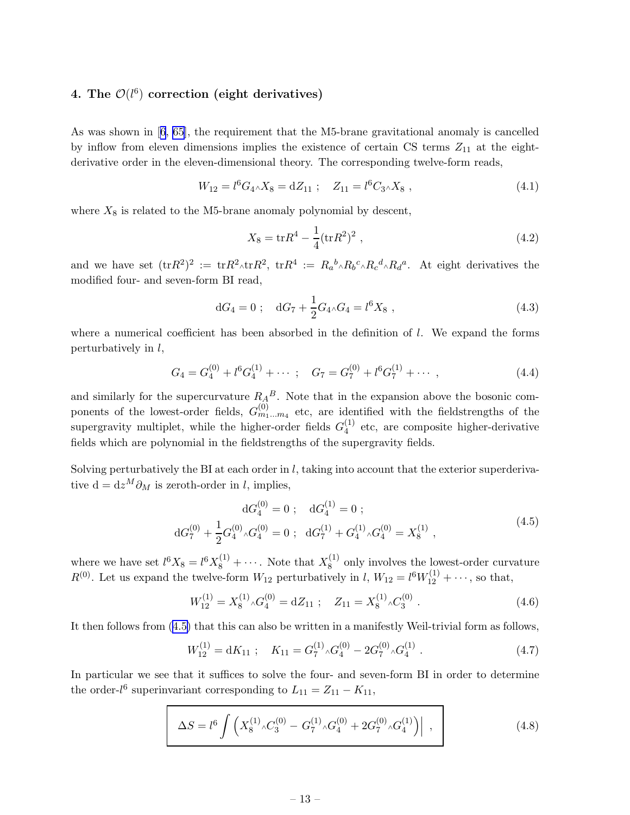## <span id="page-13-0"></span>4. The  $\mathcal{O}(l^6)$  correction (eight derivatives)

As was shown in[[6](#page-42-0), [65](#page-45-0)], the requirement that the M5-brane gravitational anomaly is cancelled by inflow from eleven dimensions implies the existence of certain CS terms  $Z_{11}$  at the eightderivative order in the eleven-dimensional theory. The corresponding twelve-form reads,

$$
W_{12} = l^6 G_4 \wedge X_8 = dZ_{11} \ ; \quad Z_{11} = l^6 C_3 \wedge X_8 \ , \tag{4.1}
$$

where  $X_8$  is related to the M5-brane anomaly polynomial by descent,

$$
X_8 = \text{tr}R^4 - \frac{1}{4}(\text{tr}R^2)^2 \,,\tag{4.2}
$$

and we have set  $(\text{tr}R^2)^2 := \text{tr}R^2 \wedge \text{tr}R^2$ ,  $\text{tr}R^4 := R_a{}^b \wedge R_b{}^c \wedge R_c{}^d \wedge R_d{}^a$ . At eight derivatives the modified four- and seven-form BI read,

$$
dG_4 = 0 \; ; \quad dG_7 + \frac{1}{2}G_4 \wedge G_4 = l^6 X_8 \; , \tag{4.3}
$$

where a numerical coefficient has been absorbed in the definition of  $l$ . We expand the forms perturbatively in l,

$$
G_4 = G_4^{(0)} + l^6 G_4^{(1)} + \cdots ; \quad G_7 = G_7^{(0)} + l^6 G_7^{(1)} + \cdots , \qquad (4.4)
$$

and similarly for the supercurvature  $R_A^B$ . Note that in the expansion above the bosonic components of the lowest-order fields,  $G_{m_1...m_4}^{(0)}$  etc, are identified with the fieldstrengths of the supergravity multiplet, while the higher-order fields  $G_4^{(1)}$  $_4^{\text{(1)}}$  etc, are composite higher-derivative fields which are polynomial in the fieldstrengths of the supergravity fields.

Solving perturbatively the BI at each order in  $l$ , taking into account that the exterior superderivative d =  $dz^M \partial_M$  is zeroth-order in l, implies,

$$
dG_4^{(0)} = 0; \quad dG_4^{(1)} = 0; dG_7^{(0)} + \frac{1}{2}G_4^{(0)} \, {}_{\wedge}G_4^{(0)} = 0; \quad dG_7^{(1)} + G_4^{(1)} \, {}_{\wedge}G_4^{(0)} = X_8^{(1)} \,,
$$
\n
$$
(4.5)
$$

where we have set  $l^6 X_8 = l^6 X_8^{(1)} + \cdots$ . Note that  $X_8^{(1)}$  $\frac{1}{8}$  only involves the lowest-order curvature  $R^{(0)}$ . Let us expand the twelve-form  $W_{12}$  perturbatively in l,  $W_{12} = l^6 W_{12}^{(1)} + \cdots$ , so that,

$$
W_{12}^{(1)} = X_8^{(1)} \circ G_4^{(0)} = dZ_{11} \; ; \quad Z_{11} = X_8^{(1)} \circ C_3^{(0)} \; . \tag{4.6}
$$

It then follows from (4.5) that this can also be written in a manifestly Weil-trivial form as follows,

$$
W_{12}^{(1)} = dK_{11} \; ; \quad K_{11} = G_7^{(1)} \, {}_{\wedge} G_4^{(0)} - 2G_7^{(0)} \, {}_{\wedge} G_4^{(1)} \; . \tag{4.7}
$$

In particular we see that it suffices to solve the four- and seven-form BI in order to determine the order- $l^6$  superinvariant corresponding to  $L_{11} = Z_{11} - K_{11}$ ,

$$
\Delta S = l^6 \int \left( X_8^{(1)} \wedge C_3^{(0)} - G_7^{(1)} \wedge G_4^{(0)} + 2G_7^{(0)} \wedge G_4^{(1)} \right) \Big| , \qquad (4.8)
$$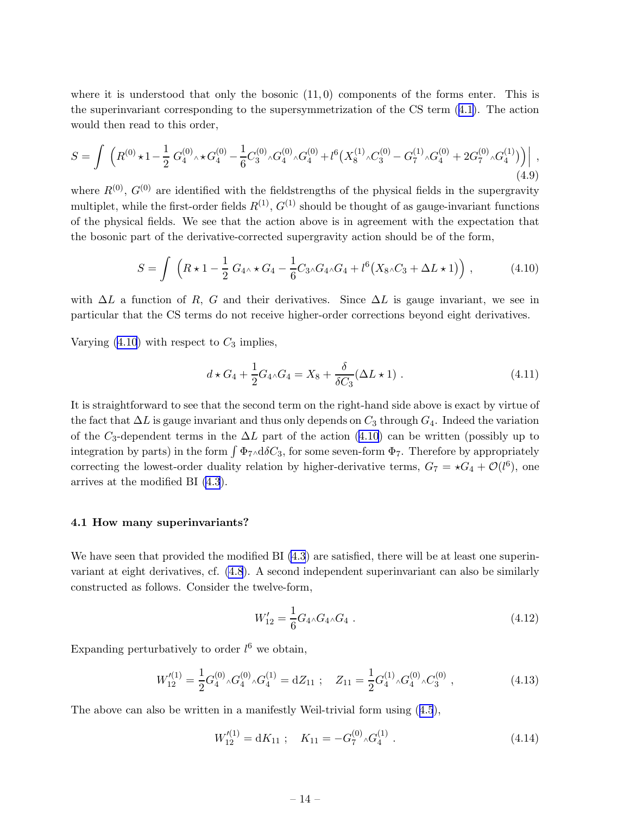<span id="page-14-0"></span>where it is understood that only the bosonic  $(11,0)$  components of the forms enter. This is the superinvariant corresponding to the supersymmetrization of the CS term([4.1\)](#page-13-0). The action would then read to this order,

$$
S = \int \left( R^{(0)} \star 1 - \frac{1}{2} G_4^{(0)} \star \kappa G_4^{(0)} - \frac{1}{6} C_3^{(0)} \star G_4^{(0)} \star G_4^{(0)} + l^6 \left( X_8^{(1)} \star C_3^{(0)} - G_7^{(1)} \star G_4^{(0)} + 2G_7^{(0)} \star G_4^{(1)} \right) \right) \tag{4.9}
$$

where  $R^{(0)}$ ,  $G^{(0)}$  are identified with the fieldstrengths of the physical fields in the supergravity multiplet, while the first-order fields  $R^{(1)}$ ,  $G^{(1)}$  should be thought of as gauge-invariant functions of the physical fields. We see that the action above is in agreement with the expectation that the bosonic part of the derivative-corrected supergravity action should be of the form,

$$
S = \int \left( R \star 1 - \frac{1}{2} G_{4} \star G_4 - \frac{1}{6} C_{3} \Lambda G_4 \Lambda G_4 + l^6 (X_8 \Lambda C_3 + \Delta L \star 1) \right), \tag{4.10}
$$

with  $\Delta L$  a function of R, G and their derivatives. Since  $\Delta L$  is gauge invariant, we see in particular that the CS terms do not receive higher-order corrections beyond eight derivatives.

Varying  $(4.10)$  with respect to  $C_3$  implies,

$$
d \star G_4 + \frac{1}{2} G_4 \wedge G_4 = X_8 + \frac{\delta}{\delta C_3} (\Delta L \star 1) \ . \tag{4.11}
$$

It is straightforward to see that the second term on the right-hand side above is exact by virtue of the fact that  $\Delta L$  is gauge invariant and thus only depends on  $C_3$  through  $G_4$ . Indeed the variation of the C<sub>3</sub>-dependent terms in the  $\Delta L$  part of the action (4.10) can be written (possibly up to integration by parts) in the form  $\int \Phi_7 \wedge d\delta C_3$ , for some seven-form  $\Phi_7$ . Therefore by appropriately correcting the lowest-order duality relation by higher-derivative terms,  $G_7 = \star G_4 + \mathcal{O}(l^6)$ , one arrives at the modified BI [\(4.3](#page-13-0)).

#### 4.1 How many superinvariants?

We have seen that provided the modified BI [\(4.3](#page-13-0)) are satisfied, there will be at least one superinvariant at eight derivatives, cf. [\(4.8](#page-13-0)). A second independent superinvariant can also be similarly constructed as follows. Consider the twelve-form,

$$
W'_{12} = \frac{1}{6} G_4 \wedge G_4 \wedge G_4 \ . \tag{4.12}
$$

Expanding perturbatively to order  $l^6$  we obtain,

$$
W_{12}^{\prime(1)} = \frac{1}{2} G_4^{(0)} \, {}_{\Lambda} G_4^{(0)} \, {}_{\Lambda} G_4^{(1)} = dZ_{11} \; ; \quad Z_{11} = \frac{1}{2} G_4^{(1)} \, {}_{\Lambda} G_4^{(0)} \, {}_{\Lambda} G_3^{(0)} \; , \tag{4.13}
$$

The above can also be written in a manifestly Weil-trivial form using([4.5](#page-13-0)),

$$
W_{12}'^{(1)} = dK_{11} \; ; \quad K_{11} = -G_7^{(0)} \, {}_{\wedge} G_4^{(1)} \; . \tag{4.14}
$$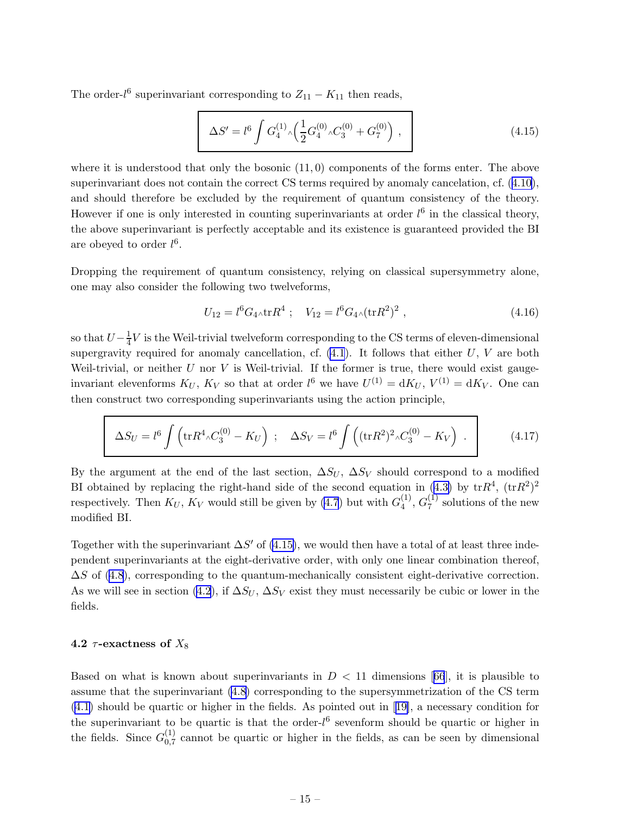<span id="page-15-0"></span>The order- $l^6$  superinvariant corresponding to  $Z_{11} - K_{11}$  then reads,

$$
\Delta S' = l^6 \int G_4^{(1)} \left( \frac{1}{2} G_4^{(0)} \right) C_3^{(0)} + G_7^{(0)} \right) , \qquad (4.15)
$$

where it is understood that only the bosonic  $(11,0)$  components of the forms enter. The above superinvariant does not contain the correct CS terms required by anomaly cancelation, cf.([4.10\)](#page-14-0), and should therefore be excluded by the requirement of quantum consistency of the theory. However if one is only interested in counting superinvariants at order  $l^6$  in the classical theory, the above superinvariant is perfectly acceptable and its existence is guaranteed provided the BI are obeyed to order  $l^6$ .

Dropping the requirement of quantum consistency, relying on classical supersymmetry alone, one may also consider the following two twelveforms,

$$
U_{12} = l^6 G_4 \wedge \text{tr} R^4 \; ; \quad V_{12} = l^6 G_4 \wedge (\text{tr} R^2)^2 \; , \tag{4.16}
$$

so that  $U-\frac{1}{4}$  $\frac{1}{4}V$  is the Weil-trivial twelveform corresponding to the CS terms of eleven-dimensional supergravity required for anomaly cancellation, cf.  $(4.1)$ . It follows that either U, V are both Weil-trivial, or neither  $U$  nor  $V$  is Weil-trivial. If the former is true, there would exist gaugeinvariant elevenforms  $K_U$ ,  $K_V$  so that at order  $l^6$  we have  $U^{(1)} = dK_U$ ,  $V^{(1)} = dK_V$ . One can then construct two corresponding superinvariants using the action principle,

$$
\Delta S_U = l^6 \int \left( \text{tr} R^4 \wedge C_3^{(0)} - K_U \right) ; \quad \Delta S_V = l^6 \int \left( (\text{tr} R^2)^2 \wedge C_3^{(0)} - K_V \right) . \tag{4.17}
$$

By the argument at the end of the last section,  $\Delta S_U$ ,  $\Delta S_V$  should correspond to a modified BIobtained by replacing the right-hand side of the second equation in ([4.3\)](#page-13-0) by  $\text{tr}R^4$ ,  $(\text{tr}R^2)^2$ respectively. Then  $K_U$ ,  $K_V$  would still be given by [\(4.7](#page-13-0)) but with  $G_4^{(1)}$  $\stackrel{(1)}{4},\stackrel{(1)}{G_7^{\left( 1\right) }}$  $\frac{1}{7}$  solutions of the new modified BI.

Together with the superinvariant  $\Delta S'$  of (4.15), we would then have a total of at least three independent superinvariants at the eight-derivative order, with only one linear combination thereof,  $\Delta S$  of [\(4.8](#page-13-0)), corresponding to the quantum-mechanically consistent eight-derivative correction. As we will see in section (4.2), if  $\Delta S_U$ ,  $\Delta S_V$  exist they must necessarily be cubic or lower in the fields.

#### 4.2  $\tau$ -exactness of  $X_8$

Basedon what is known about superinvariants in  $D < 11$  dimensions [[66](#page-45-0)], it is plausible to assume that the superinvariant [\(4.8](#page-13-0)) corresponding to the supersymmetrization of the CS term [\(4.1\)](#page-13-0) should be quartic or higher in the fields. As pointed out in[[19\]](#page-42-0), a necessary condition for the superinvariant to be quartic is that the order- $l^6$  sevenform should be quartic or higher in the fields. Since  $G_{0.7}^{(1)}$  $_{0,7}^{(1)}$  cannot be quartic or higher in the fields, as can be seen by dimensional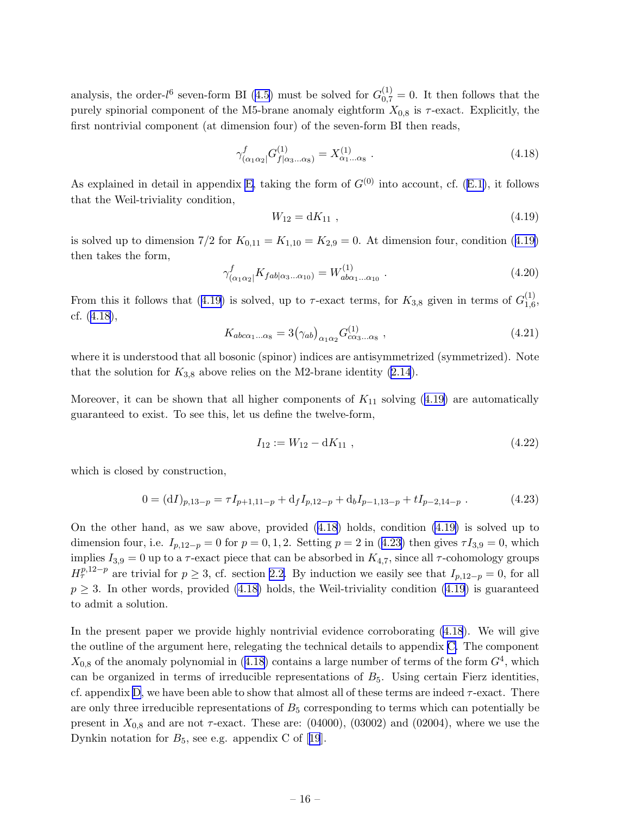<span id="page-16-0"></span>analysis, the order- $l^6$  seven-form BI [\(4.5\)](#page-13-0) must be solved for  $G_{0,7}^{(1)} = 0$ . It then follows that the purely spinorial component of the M5-brane anomaly eightform  $X_{0,8}$  is  $\tau$ -exact. Explicitly, the first nontrivial component (at dimension four) of the seven-form BI then reads,

$$
\gamma_{(\alpha_1\alpha_2)}^f G^{(1)}_{f|\alpha_3...\alpha_8} = X^{(1)}_{\alpha_1...\alpha_8} . \tag{4.18}
$$

As explained in detail in appendix [E,](#page-38-0)taking the form of  $G^{(0)}$  into account, cf. ([E.1\)](#page-38-0), it follows that the Weil-triviality condition,

$$
W_{12} = dK_{11} \t\t(4.19)
$$

is solved up to dimension  $7/2$  for  $K_{0,11} = K_{1,10} = K_{2,9} = 0$ . At dimension four, condition (4.19) then takes the form,

$$
\gamma_{(\alpha_1\alpha_2)}^f K_{fab|\alpha_3...\alpha_{10})} = W_{ab\alpha_1...\alpha_{10}}^{(1)}.
$$
\n(4.20)

From this it follows that (4.19) is solved, up to  $\tau$ -exact terms, for  $K_{3,8}$  given in terms of  $G_{1,6}^{(1)}$  $\frac{(1)}{1,6}$ cf. (4.18),

$$
K_{abc\alpha_1...\alpha_8} = 3(\gamma_{ab})_{\alpha_1\alpha_2} G^{(1)}_{c\alpha_3...\alpha_8} , \qquad (4.21)
$$

where it is understood that all bosonic (spinor) indices are antisymmetrized (symmetrized). Note that the solution for  $K_{3,8}$  above relies on the M2-brane identity [\(2.14](#page-8-0)).

Moreover, it can be shown that all higher components of  $K_{11}$  solving (4.19) are automatically guaranteed to exist. To see this, let us define the twelve-form,

$$
I_{12} := W_{12} - dK_{11} \t\t(4.22)
$$

which is closed by construction,

$$
0 = (dI)_{p,13-p} = \tau I_{p+1,11-p} + d_f I_{p,12-p} + d_b I_{p-1,13-p} + t I_{p-2,14-p} . \tag{4.23}
$$

On the other hand, as we saw above, provided (4.18) holds, condition (4.19) is solved up to dimension four, i.e.  $I_{p,12-p} = 0$  for  $p = 0,1,2$ . Setting  $p = 2$  in (4.23) then gives  $\tau I_{3,9} = 0$ , which implies  $I_{3,9} = 0$  up to a  $\tau$ -exact piece that can be absorbed in  $K_{4,7}$ , since all  $\tau$ -cohomology groups  $H^{p,12-p}_{\tau}$  are trivial for  $p \geq 3$ , cf. section [2.2.](#page-7-0) By induction we easily see that  $I_{p,12-p} = 0$ , for all  $p \geq 3$ . In other words, provided (4.18) holds, the Weil-triviality condition (4.19) is guaranteed to admit a solution.

In the present paper we provide highly nontrivial evidence corroborating (4.18). We will give the outline of the argument here, relegating the technical details to appendix [C.](#page-32-0) The component  $X_{0,8}$  of the anomaly polynomial in (4.18) contains a large number of terms of the form  $G<sup>4</sup>$ , which can be organized in terms of irreducible representations of  $B_5$ . Using certain Fierz identities, cf. appendix [D](#page-36-0), we have been able to show that almost all of these terms are indeed  $\tau$ -exact. There are only three irreducible representations of  $B_5$  corresponding to terms which can potentially be present in  $X_{0,8}$  and are not  $\tau$ -exact. These are: (04000), (03002) and (02004), where we use the Dynkinnotation for  $B_5$ , see e.g. appendix C of [[19](#page-42-0)].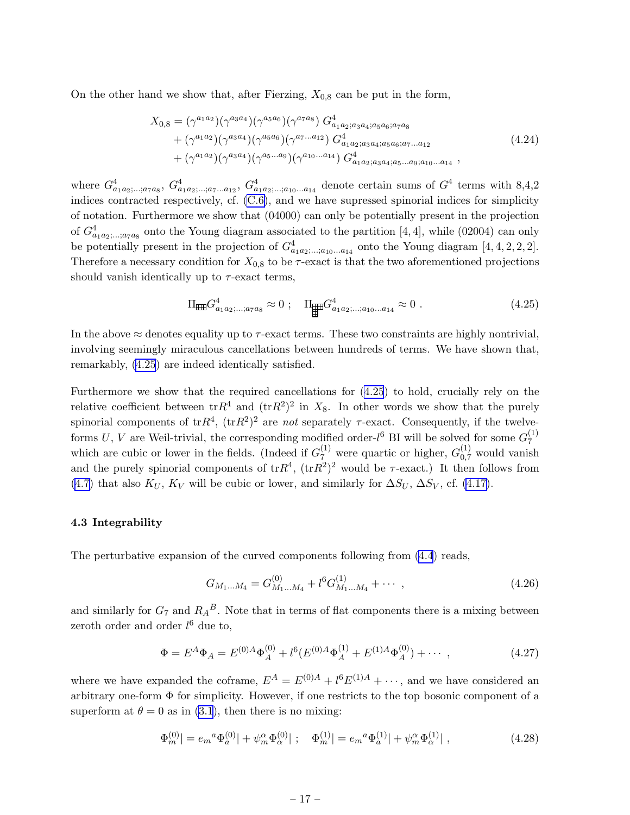<span id="page-17-0"></span>On the other hand we show that, after Fierzing,  $X_{0,8}$  can be put in the form,

$$
X_{0,8} = (\gamma^{a_1 a_2})(\gamma^{a_3 a_4})(\gamma^{a_5 a_6})(\gamma^{a_7 a_8}) G_{a_1 a_2; a_3 a_4; a_5 a_6; a_7 a_8}^4 + (\gamma^{a_1 a_2})(\gamma^{a_3 a_4})(\gamma^{a_5 a_6})(\gamma^{a_7 \dots a_{12}}) G_{a_1 a_2; a_3 a_4; a_5 a_6; a_7 \dots a_{12}}^4 + (\gamma^{a_1 a_2})(\gamma^{a_3 a_4})(\gamma^{a_5 \dots a_9})(\gamma^{a_{10} \dots a_{14}}) G_{a_1 a_2; a_3 a_4; a_5 \dots a_9; a_{10} \dots a_{14}}^4,
$$
\n
$$
(4.24)
$$

where  $G_{a_1a_2; \dots; a_7a_8}^4$ ,  $G_{a_1a_2; \dots; a_7\ldots a_{12}}^4$ ,  $G_{a_1a_2; \dots; a_{10}\ldots a_{14}}^4$  denote certain sums of  $G^4$  terms with 8,4,2 indices contracted respectively, cf. [\(C.6\)](#page-34-0), and we have supressed spinorial indices for simplicity of notation. Furthermore we show that (04000) can only be potentially present in the projection of  $G_{a_1a_2,\ldots,a_{7}a_{8}}^{4}$  onto the Young diagram associated to the partition [4, 4], while (02004) can only be potentially present in the projection of  $G^4_{a_1a_2;\dots;a_{10}\dots a_{14}}$  onto the Young diagram [4, 4, 2, 2, 2]. Therefore a necessary condition for  $X_{0,8}$  to be  $\tau$ -exact is that the two aforementioned projections should vanish identically up to  $\tau$ -exact terms,

$$
\Pi_{\text{eff}} G_{a_1 a_2; \dots; a_7 a_8}^4 \approx 0 \; ; \quad \Pi_{\text{eff}} G_{a_1 a_2; \dots; a_{10} \dots a_{14}}^4 \approx 0 \; . \tag{4.25}
$$

In the above  $\approx$  denotes equality up to  $\tau$ -exact terms. These two constraints are highly nontrivial, involving seemingly miraculous cancellations between hundreds of terms. We have shown that, remarkably, (4.25) are indeed identically satisfied.

Furthermore we show that the required cancellations for (4.25) to hold, crucially rely on the relative coefficient between  $trR^4$  and  $(trR^2)^2$  in  $X_8$ . In other words we show that the purely spinorial components of  $trR^4$ ,  $(trR^2)^2$  are *not* separately  $\tau$ -exact. Consequently, if the twelveforms U, V are Weil-trivial, the corresponding modified order- $l^6$  BI will be solved for some  $G_7^{(1)}$ 7 which are cubic or lower in the fields. (Indeed if  $G_7^{(1)}$  were quartic or higher,  $G_{0,7}^{(1)}$  would vanish and the purely spinorial components of  $tr R<sup>4</sup>$ ,  $(tr R<sup>2</sup>)<sup>2</sup>$  would be  $\tau$ -exact.) It then follows from [\(4.7\)](#page-13-0) that also  $K_U$ ,  $K_V$  will be cubic or lower, and similarly for  $\Delta S_U$ ,  $\Delta S_V$ , cf. [\(4.17\)](#page-15-0).

#### 4.3 Integrability

The perturbative expansion of the curved components following from [\(4.4](#page-13-0)) reads,

$$
G_{M_1...M_4} = G_{M_1...M_4}^{(0)} + l^6 G_{M_1...M_4}^{(1)} + \cdots , \qquad (4.26)
$$

and similarly for  $G_7$  and  $R_A{}^B$ . Note that in terms of flat components there is a mixing between zeroth order and order  $l^6$  due to,

$$
\Phi = E^{A} \Phi_{A} = E^{(0)A} \Phi_{A}^{(0)} + l^{6} (E^{(0)A} \Phi_{A}^{(1)} + E^{(1)A} \Phi_{A}^{(0)}) + \cdots , \qquad (4.27)
$$

where we have expanded the coframe,  $E^A = E^{(0)A} + l^6 E^{(1)A} + \cdots$ , and we have considered an arbitrary one-form  $\Phi$  for simplicity. However, if one restricts to the top bosonic component of a superform at  $\theta = 0$  as in [\(3.1](#page-10-0)), then there is no mixing:

$$
\Phi_m^{(0)}| = e_m{}^a \Phi_a^{(0)}| + \psi_m{}^a \Phi_\alpha^{(0)}| \; ; \quad \Phi_m^{(1)}| = e_m{}^a \Phi_a^{(1)}| + \psi_m{}^a \Phi_\alpha^{(1)}| \; , \tag{4.28}
$$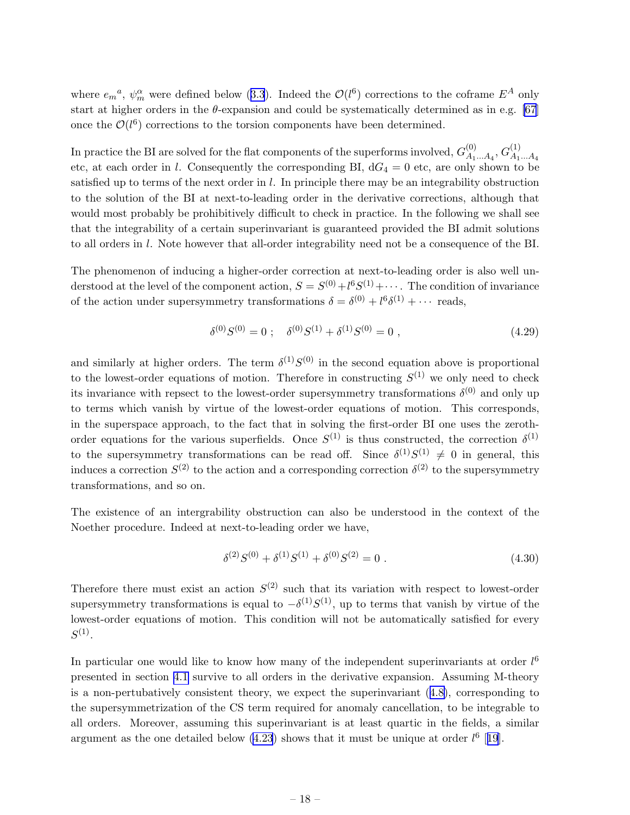where $e_m{}^a$ ,  $\psi_m^{\alpha}$  were defined below ([3.3](#page-11-0)). Indeed the  $\mathcal{O}(l^6)$  corrections to the coframe  $E^A$  only start at higher orders in the  $\theta$ -expansion and could be systematically determined as in e.g. [\[67](#page-45-0)] once the  $\mathcal{O}(l^6)$  corrections to the torsion components have been determined.

In practice the BI are solved for the flat components of the superforms involved,  $G_{A_1}^{(0)}$  $\alpha_{A_1...A_4}^{(0)}, G_{A_1}^{(1)}$  $A_1...A_4$ etc, at each order in l. Consequently the corresponding BI,  $dG_4 = 0$  etc, are only shown to be satisfied up to terms of the next order in  $l$ . In principle there may be an integrability obstruction to the solution of the BI at next-to-leading order in the derivative corrections, although that would most probably be prohibitively difficult to check in practice. In the following we shall see that the integrability of a certain superinvariant is guaranteed provided the BI admit solutions to all orders in l. Note however that all-order integrability need not be a consequence of the BI.

The phenomenon of inducing a higher-order correction at next-to-leading order is also well understood at the level of the component action,  $S = S^{(0)} + l^6 S^{(1)} + \cdots$ . The condition of invariance of the action under supersymmetry transformations  $\delta = \delta^{(0)} + l^6 \delta^{(1)} + \cdots$  reads,

$$
\delta^{(0)}S^{(0)} = 0 \; ; \quad \delta^{(0)}S^{(1)} + \delta^{(1)}S^{(0)} = 0 \; , \tag{4.29}
$$

and similarly at higher orders. The term  $\delta^{(1)}S^{(0)}$  in the second equation above is proportional to the lowest-order equations of motion. Therefore in constructing  $S^{(1)}$  we only need to check its invariance with repsect to the lowest-order supersymmetry transformations  $\delta^{(0)}$  and only up to terms which vanish by virtue of the lowest-order equations of motion. This corresponds, in the superspace approach, to the fact that in solving the first-order BI one uses the zerothorder equations for the various superfields. Once  $S^{(1)}$  is thus constructed, the correction  $\delta^{(1)}$ to the supersymmetry transformations can be read off. Since  $\delta^{(1)}S^{(1)} \neq 0$  in general, this induces a correction  $S^{(2)}$  to the action and a corresponding correction  $\delta^{(2)}$  to the supersymmetry transformations, and so on.

The existence of an intergrability obstruction can also be understood in the context of the Noether procedure. Indeed at next-to-leading order we have,

$$
\delta^{(2)}S^{(0)} + \delta^{(1)}S^{(1)} + \delta^{(0)}S^{(2)} = 0.
$$
\n(4.30)

Therefore there must exist an action  $S^{(2)}$  such that its variation with respect to lowest-order supersymmetry transformations is equal to  $-\delta^{(1)}S^{(1)}$ , up to terms that vanish by virtue of the lowest-order equations of motion. This condition will not be automatically satisfied for every  $S^{(1)}$ .

In particular one would like to know how many of the independent superinvariants at order  $l^6$ presented in section [4.1](#page-14-0) survive to all orders in the derivative expansion. Assuming M-theory is a non-pertubatively consistent theory, we expect the superinvariant([4.8\)](#page-13-0), corresponding to the supersymmetrization of the CS term required for anomaly cancellation, to be integrable to all orders. Moreover, assuming this superinvariant is at least quartic in the fields, a similar argument as the one detailed below  $(4.23)$  shows that it must be unique at order  $l^6$  [[19](#page-42-0)].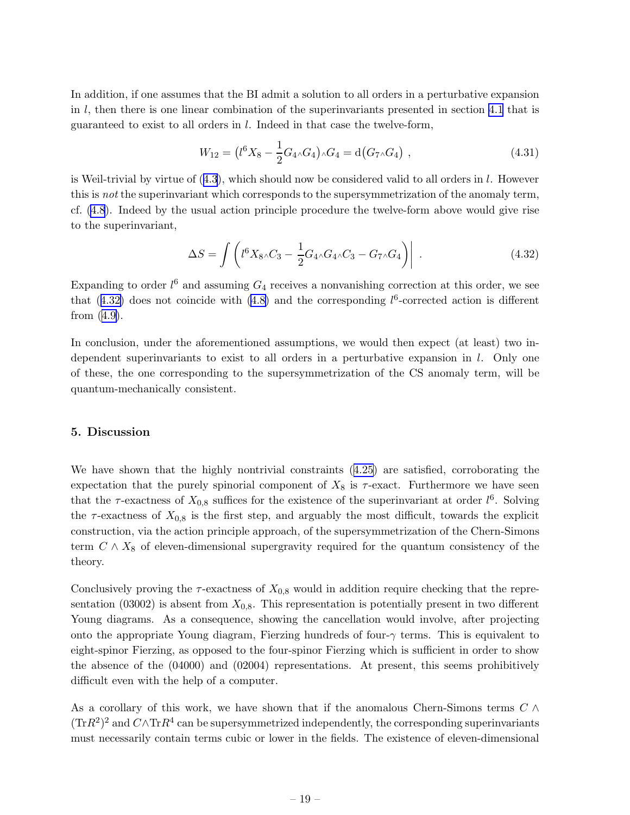<span id="page-19-0"></span>In addition, if one assumes that the BI admit a solution to all orders in a perturbative expansion in  $l$ , then there is one linear combination of the superinvariants presented in section [4.1](#page-14-0) that is guaranteed to exist to all orders in l. Indeed in that case the twelve-form,

$$
W_{12} = (l^6 X_8 - \frac{1}{2} G_{4} \wedge G_4) \wedge G_4 = \mathrm{d}(G_{7} \wedge G_4) \;, \tag{4.31}
$$

isWeil-trivial by virtue of  $(4.3)$  $(4.3)$  $(4.3)$ , which should now be considered valid to all orders in l. However this is *not* the superinvariant which corresponds to the supersymmetrization of the anomaly term, cf. [\(4.8](#page-13-0)). Indeed by the usual action principle procedure the twelve-form above would give rise to the superinvariant,

$$
\Delta S = \int \left( l^6 X_8 \wedge C_3 - \frac{1}{2} G_4 \wedge G_4 \wedge C_3 - G_7 \wedge G_4 \right) \Bigg| \tag{4.32}
$$

Expanding to order  $l^6$  and assuming  $G_4$  receives a nonvanishing correction at this order, we see that  $(4.32)$  does not coincide with  $(4.8)$  and the corresponding  $l<sup>6</sup>$ -corrected action is different from([4.9\)](#page-14-0).

In conclusion, under the aforementioned assumptions, we would then expect (at least) two independent superinvariants to exist to all orders in a perturbative expansion in  $l$ . Only one of these, the one corresponding to the supersymmetrization of the CS anomaly term, will be quantum-mechanically consistent.

#### 5. Discussion

We have shown that the highly nontrivial constraints([4.25\)](#page-17-0) are satisfied, corroborating the expectation that the purely spinorial component of  $X_8$  is  $\tau$ -exact. Furthermore we have seen that the  $\tau$ -exactness of  $X_{0,8}$  suffices for the existence of the superinvariant at order  $l^6$ . Solving the  $\tau$ -exactness of  $X_{0,8}$  is the first step, and arguably the most difficult, towards the explicit construction, via the action principle approach, of the supersymmetrization of the Chern-Simons term  $C \wedge X_8$  of eleven-dimensional supergravity required for the quantum consistency of the theory.

Conclusively proving the  $\tau$ -exactness of  $X_{0,8}$  would in addition require checking that the representation (03002) is absent from  $X_{0,8}$ . This representation is potentially present in two different Young diagrams. As a consequence, showing the cancellation would involve, after projecting onto the appropriate Young diagram, Fierzing hundreds of four- $\gamma$  terms. This is equivalent to eight-spinor Fierzing, as opposed to the four-spinor Fierzing which is sufficient in order to show the absence of the (04000) and (02004) representations. At present, this seems prohibitively difficult even with the help of a computer.

As a corollary of this work, we have shown that if the anomalous Chern-Simons terms  $C \wedge$  $(\text{Tr}R^2)^2$  and  $C \wedge \text{Tr}R^4$  can be supersymmetrized independently, the corresponding superinvariants must necessarily contain terms cubic or lower in the fields. The existence of eleven-dimensional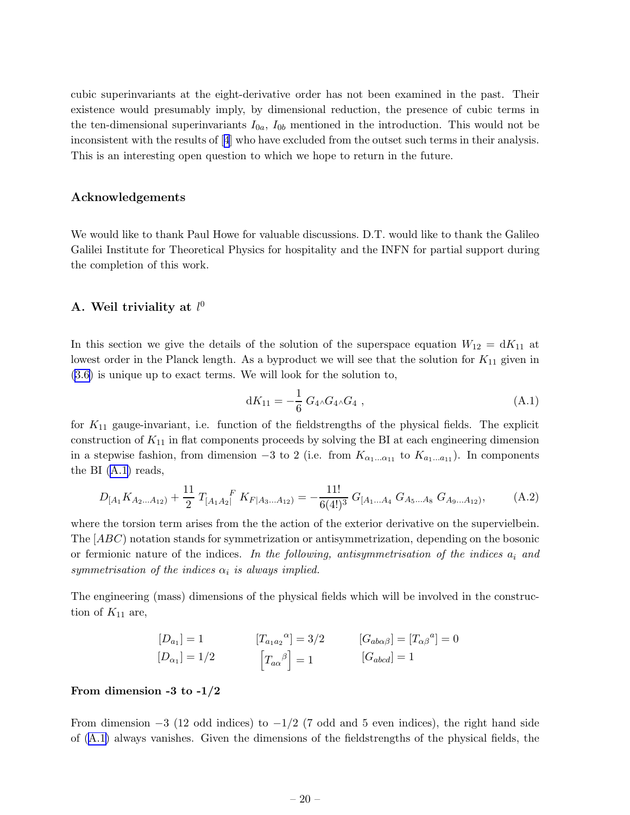<span id="page-20-0"></span>cubic superinvariants at the eight-derivative order has not been examined in the past. Their existence would presumably imply, by dimensional reduction, the presence of cubic terms in the ten-dimensional superinvariants  $I_{0a}$ ,  $I_{0b}$  mentioned in the introduction. This would not be inconsistent with the results of[[4](#page-42-0)] who have excluded from the outset such terms in their analysis. This is an interesting open question to which we hope to return in the future.

#### Acknowledgements

We would like to thank Paul Howe for valuable discussions. D.T. would like to thank the Galileo Galilei Institute for Theoretical Physics for hospitality and the INFN for partial support during the completion of this work.

## A. Weil triviality at  $l^0$

In this section we give the details of the solution of the superspace equation  $W_{12} = dK_{11}$  at lowest order in the Planck length. As a byproduct we will see that the solution for  $K_{11}$  given in [\(3.6\)](#page-12-0) is unique up to exact terms. We will look for the solution to,

$$
dK_{11} = -\frac{1}{6} G_4 \wedge G_4 \wedge G_4 , \qquad (A.1)
$$

for  $K_{11}$  gauge-invariant, i.e. function of the fieldstrengths of the physical fields. The explicit construction of  $K_{11}$  in flat components proceeds by solving the BI at each engineering dimension in a stepwise fashion, from dimension  $-3$  to 2 (i.e. from  $K_{\alpha_1...\alpha_{11}}$  to  $K_{a_1...a_{11}}$ ). In components the BI (A.1) reads,

$$
D_{[A_1}K_{A_2...A_{12}} + \frac{11}{2}T_{[A_1A_2]}^F K_{F|A_3...A_{12}} = -\frac{11!}{6(4!)^3} G_{[A_1...A_4} G_{A_5...A_8} G_{A_9...A_{12}},
$$
 (A.2)

where the torsion term arises from the the action of the exterior derivative on the supervielbein. The [ABC) notation stands for symmetrization or antisymmetrization, depending on the bosonic or fermionic nature of the indices. *In the following, antisymmetrisation of the indices* a<sup>i</sup> *and*  $symmetrisation of the indices  $\alpha_i$  is always implied.$ 

The engineering (mass) dimensions of the physical fields which will be involved in the construction of  $K_{11}$  are,

$$
[D_{a_1}] = 1
$$
  
\n
$$
[D_{a_1}] = 1/2
$$
  
\n
$$
[T_{a_1 a_2}{}^{\alpha}] = 3/2
$$
  
\n
$$
[G_{a b \alpha \beta}] = [T_{\alpha \beta}{}^{\alpha}] = 0
$$
  
\n
$$
[G_{a b c d}] = 1
$$
  
\n
$$
[G_{a b c d}] = 1
$$

#### From dimension -3 to  $-1/2$

From dimension  $-3$  (12 odd indices) to  $-1/2$  (7 odd and 5 even indices), the right hand side of (A.1) always vanishes. Given the dimensions of the fieldstrengths of the physical fields, the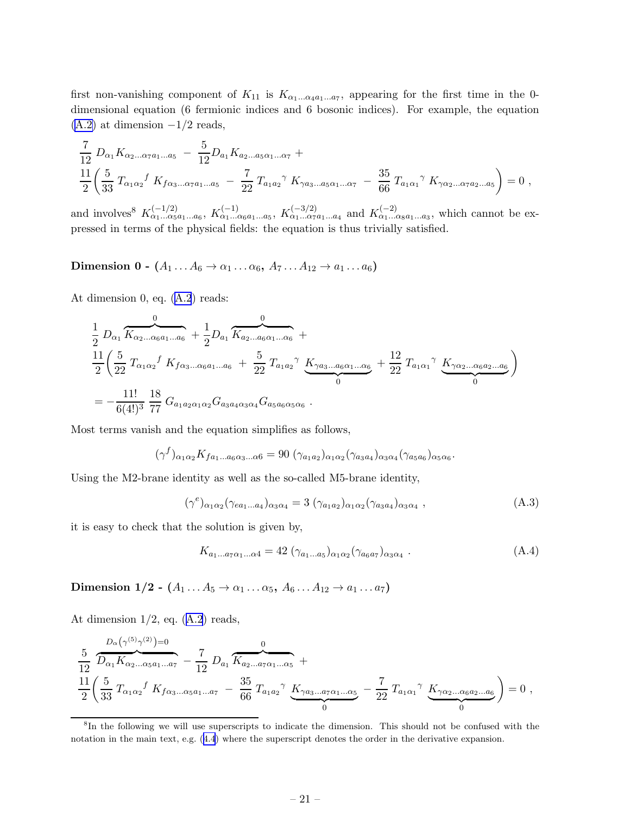first non-vanishing component of  $K_{11}$  is  $K_{\alpha_1...\alpha_4 a_1...\alpha_7}$ , appearing for the first time in the 0dimensional equation (6 fermionic indices and 6 bosonic indices). For example, the equation  $(A.2)$  at dimension  $-1/2$  reads,

$$
\frac{7}{12} D_{\alpha_1} K_{\alpha_2...\alpha_7 a_1...\alpha_5} - \frac{5}{12} D_{a_1} K_{a_2...\alpha_5 \alpha_1...\alpha_7} + \n\frac{11}{2} \left( \frac{5}{33} T_{\alpha_1 \alpha_2} f K_{f \alpha_3...\alpha_7 a_1...\alpha_5} - \frac{7}{22} T_{a_1 a_2} \gamma K_{\gamma a_3...\alpha_5 \alpha_1...\alpha_7} - \frac{35}{66} T_{a_1 \alpha_1} \gamma K_{\gamma \alpha_2...\alpha_7 a_2...\alpha_5} \right) = 0,
$$

and involves<sup>8</sup>  $K_{\alpha_1...\alpha_5a_1...\alpha_6}^{(-1/2)}$ ,  $K_{\alpha_1...\alpha_6a_1...a_5}^{(-1)}$ ,  $K_{\alpha_1...\alpha_7a_1...a_4}^{(-3/2)}$  and  $K_{\alpha_1...\alpha_8a_1...a_3}^{(-2)}$ , which cannot be expressed in terms of the physical fields: the equation is thus trivially satisfied.

Dimension 0 -  $(A_1 \ldots A_6 \rightarrow \alpha_1 \ldots \alpha_6, A_7 \ldots A_{12} \rightarrow a_1 \ldots a_6)$ 

At dimension 0, eq.([A.2](#page-20-0)) reads:

$$
\frac{1}{2} D_{\alpha_1} \overbrace{K_{\alpha_2...\alpha_6 a_1...a_6}}^{0} + \frac{1}{2} D_{a_1} \overbrace{K_{a_2...a_6 \alpha_1...a_6}}^{0} + \frac{1}{22} \left( \frac{5}{22} T_{\alpha_1 \alpha_2} f K_{f \alpha_3...\alpha_6 a_1...a_6} + \frac{5}{22} T_{a_1 a_2} \gamma K_{\gamma a_3...a_6 \alpha_1...\alpha_6} + \frac{12}{22} T_{a_1 \alpha_1} \gamma K_{\gamma \alpha_2...\alpha_6 a_2...a_6} \right)
$$
\n
$$
= -\frac{11!}{6(4!)^3} \frac{18}{77} G_{a_1 a_2 \alpha_1 \alpha_2} G_{a_3 a_4 \alpha_3 \alpha_4} G_{a_5 a_6 \alpha_5 \alpha_6}.
$$

Most terms vanish and the equation simplifies as follows,

$$
(\gamma^f)_{\alpha_1\alpha_2} K_{f a_1\ldots a_6\alpha_3\ldots\alpha_6} = 90 \; (\gamma_{a_1a_2})_{\alpha_1\alpha_2} (\gamma_{a_3a_4})_{\alpha_3\alpha_4} (\gamma_{a_5a_6})_{\alpha_5\alpha_6}.
$$

Using the M2-brane identity as well as the so-called M5-brane identity,

$$
(\gamma^e)_{\alpha_1\alpha_2}(\gamma_{ea_1\ldots a_4})_{\alpha_3\alpha_4} = 3\;(\gamma_{a_1a_2})_{\alpha_1\alpha_2}(\gamma_{a_3a_4})_{\alpha_3\alpha_4}\;, \tag{A.3}
$$

it is easy to check that the solution is given by,

$$
K_{a_1...a_7\alpha_1...\alpha_4} = 42 \left( \gamma_{a_1...a_5} \right)_{\alpha_1 \alpha_2} \left( \gamma_{a_6 a_7} \right)_{\alpha_3 \alpha_4} . \tag{A.4}
$$

Dimension 1/2 -  $(A_1 \ldots A_5 \rightarrow \alpha_1 \ldots \alpha_5, A_6 \ldots A_{12} \rightarrow a_1 \ldots a_7)$ 

Atdimension  $1/2$ , eq.  $(A.2)$  $(A.2)$  $(A.2)$  reads,

$$
\frac{5}{12} \frac{D_{\alpha}(\gamma^{(5)}\gamma^{(2)})=0}{D_{\alpha_1}K_{\alpha_2...\alpha_5a_1...\alpha_7}} - \frac{7}{12} D_{a_1} \overbrace{K_{a_2...a_7\alpha_1...\alpha_5}}^{0} + \frac{11}{2} \left(\frac{5}{33} T_{\alpha_1\alpha_2} f K_{f\alpha_3...\alpha_5a_1...\alpha_7} - \frac{35}{66} T_{a_1a_2} \gamma \underbrace{K_{\gamma a_3}...a_7\alpha_1...\alpha_5}_{0} - \frac{7}{22} T_{a_1\alpha_1} \gamma \underbrace{K_{\gamma\alpha_2}...\alpha_6a_2...\alpha_6}_{0}\right) = 0,
$$

<sup>8</sup> In the following we will use superscripts to indicate the dimension. This should not be confused with the notationin the main text, e.g.  $(4.4)$  $(4.4)$  $(4.4)$  where the superscript denotes the order in the derivative expansion.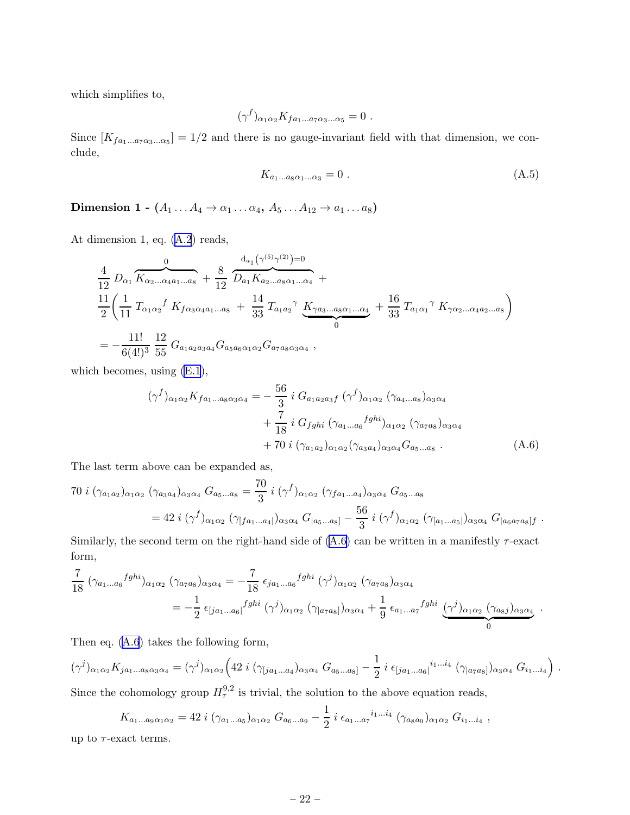which simplifies to,

$$
(\gamma^f)_{\alpha_1\alpha_2} K_{fa_1\ldots a_7\alpha_3\ldots \alpha_5} = 0.
$$

Since  $[K_{fa_1...a_7\alpha_3...\alpha_5}] = 1/2$  and there is no gauge-invariant field with that dimension, we conclude,

$$
K_{a_1\ldots a_8\alpha_1\ldots\alpha_3} = 0\tag{A.5}
$$

Dimension 1 -  $(A_1 \ldots A_4 \rightarrow \alpha_1 \ldots \alpha_4, A_5 \ldots A_{12} \rightarrow a_1 \ldots a_8)$ 

At dimension 1, eq.([A.2](#page-20-0)) reads,

$$
\frac{4}{12} D_{\alpha_1} \overbrace{K_{\alpha_2...\alpha_4 a_1...a_8}}^{0} + \frac{8}{12} \overbrace{\frac{d_{a_1}(\gamma^{(5)}\gamma^{(2)})=0}{D_{a_1}K_{a_2...a_8\alpha_1...a_4}}}^{d_{a_1}(\gamma^{(5)}\gamma^{(2)})=0} + \frac{11}{2} \left(\frac{1}{11} T_{\alpha_1\alpha_2} f K_{f\alpha_3\alpha_4 a_1...a_8} + \frac{14}{33} T_{a_1a_2} \gamma K_{\gamma a_3...a_8\alpha_1...a_4} + \frac{16}{33} T_{a_1\alpha_1} \gamma K_{\gamma\alpha_2...\alpha_4 a_2...a_8}\right) = -\frac{11!}{6(4!)^3} \frac{12}{55} G_{a_1a_2a_3a_4} G_{a_5a_6\alpha_1\alpha_2} G_{a_7a_8\alpha_3\alpha_4} ,
$$

which becomes, using [\(E.1](#page-38-0)),

$$
(\gamma^{f})_{\alpha_{1}\alpha_{2}} K_{f a_{1}...a_{8}\alpha_{3}\alpha_{4}} = -\frac{56}{3} i G_{a_{1}a_{2}a_{3}f} (\gamma^{f})_{\alpha_{1}\alpha_{2}} (\gamma_{a_{4}...a_{8}})_{\alpha_{3}\alpha_{4}} + \frac{7}{18} i G_{fghi} (\gamma_{a_{1}...a_{6}}^{fghi})_{\alpha_{1}\alpha_{2}} (\gamma_{a_{7}a_{8}})_{\alpha_{3}\alpha_{4}} + 70 i (\gamma_{a_{1}a_{2}})_{\alpha_{1}\alpha_{2}} (\gamma_{a_{3}a_{4}})_{\alpha_{3}\alpha_{4}} G_{a_{5}...a_{8}} .
$$
 (A.6)

The last term above can be expanded as,

70 
$$
i (\gamma_{a_1 a_2})_{\alpha_1 \alpha_2} (\gamma_{a_3 a_4})_{\alpha_3 \alpha_4} G_{a_5...a_8} = \frac{70}{3} i (\gamma^f)_{\alpha_1 \alpha_2} (\gamma_{f a_1...a_4})_{\alpha_3 \alpha_4} G_{a_5...a_8}
$$
  
= 42  $i (\gamma^f)_{\alpha_1 \alpha_2} (\gamma_{[f a_1...a_4]})_{\alpha_3 \alpha_4} G_{[a_5...a_8]} - \frac{56}{3} i (\gamma^f)_{\alpha_1 \alpha_2} (\gamma_{[a_1...a_5]})_{\alpha_3 \alpha_4} G_{[a_6 a_7 a_8]f}.$ 

Similarly, the second term on the right-hand side of  $(A.6)$  can be written in a manifestly  $\tau$ -exact form,

$$
\frac{7}{18} \left( \gamma_{a_1...a_6} f g h i \right)_{\alpha_1 \alpha_2} \left( \gamma_{a_7 a_8} \right)_{\alpha_3 \alpha_4} = -\frac{7}{18} \epsilon_{j a_1...a_6} f g h i \left( \gamma^j \right)_{\alpha_1 \alpha_2} \left( \gamma_{a_7 a_8} \right)_{\alpha_3 \alpha_4}
$$

$$
= -\frac{1}{2} \epsilon_{[j a_1...a_6]} f g h i \left( \gamma^j \right)_{\alpha_1 \alpha_2} \left( \gamma_{[a_7 a_8]} \right)_{\alpha_3 \alpha_4} + \frac{1}{9} \epsilon_{a_1...a_7} f g h i \underbrace{(\gamma^j)_{\alpha_1 \alpha_2} \left( \gamma_{a_8 j} \right)_{\alpha_3 \alpha_4}}_{0}.
$$

Then eq. (A.6) takes the following form,

 $(\gamma^j)_{\alpha_1\alpha_2} K_{j a_1...a_8 \alpha_3 \alpha_4} = (\gamma^j)_{\alpha_1\alpha_2} \Big( 42 \ i \ (\gamma_{[ja_1...a_4})_{\alpha_3\alpha_4} \ G_{a_5...a_8]} - \frac{1}{2}$  $\frac{1}{2} i \epsilon_{[ja_1...a_6]}^{i_1...i_4} (\gamma_{[a_7a_8]})_{\alpha_3\alpha_4} G_{i_1...i_4} \right)$ . Since the cohomology group  $H_{\tau}^{9,2}$  is trivial, the solution to the above equation reads,

1

$$
K_{a_1...a_9\alpha_1\alpha_2} = 42 i \left(\gamma_{a_1...a_5}\right)_{\alpha_1\alpha_2} G_{a_6...a_9} - \frac{1}{2} i \epsilon_{a_1...a_7}^{i_1...i_4} \left(\gamma_{a_8a_9}\right)_{\alpha_1\alpha_2} G_{i_1...i_4} ,
$$

up to  $\tau$ -exact terms.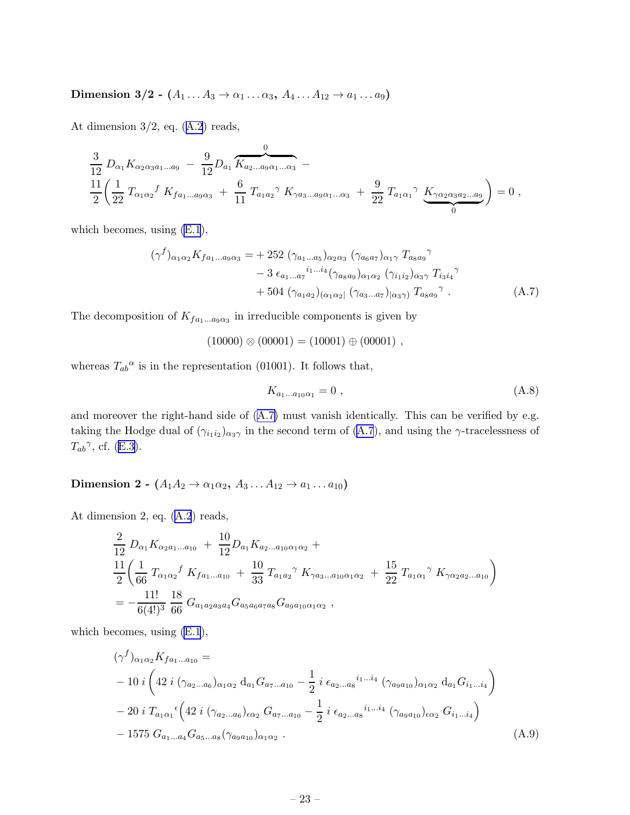<span id="page-23-0"></span>Dimension 3/2 -  $(A_1 \ldots A_3 \rightarrow \alpha_1 \ldots \alpha_3, A_4 \ldots A_{12} \rightarrow \alpha_1 \ldots \alpha_9)$ 

Atdimension  $3/2$ , eq.  $(A.2)$  $(A.2)$  $(A.2)$  reads,

$$
\frac{3}{12} D_{\alpha_1} K_{\alpha_2 \alpha_3 a_1 \dots a_9} - \frac{9}{12} D_{a_1} \overbrace{K_{a_2 \dots a_9 \alpha_1 \dots \alpha_3}^{0}}^{0} - \n\frac{11}{2} \left( \frac{1}{22} T_{\alpha_1 \alpha_2} f K_{f a_1 \dots a_9 \alpha_3} + \frac{6}{11} T_{a_1 a_2} \gamma K_{\gamma a_3 \dots a_9 \alpha_1 \dots \alpha_3} + \frac{9}{22} T_{a_1 \alpha_1} \gamma K_{\gamma \alpha_2 \alpha_3 a_2 \dots a_9} \right) = 0,
$$

which becomes, using [\(E.1](#page-38-0)),

$$
(\gamma^{f})_{\alpha_{1}\alpha_{2}} K_{f a_{1}...a_{9}\alpha_{3}} = + 252 \ (\gamma_{a_{1}...a_{5}})_{\alpha_{2}\alpha_{3}} \ (\gamma_{a_{6}a_{7}})_{\alpha_{1}\gamma} T_{a_{8}a_{9}}^{\gamma} - 3 \ \epsilon_{a_{1}...a_{7}}^{i_{1}...i_{4}} (\gamma_{a_{8}a_{9}})_{\alpha_{1}\alpha_{2}} \ (\gamma_{i_{1}i_{2}})_{\alpha_{3}\gamma} T_{i_{3}i_{4}}^{\gamma} + 504 \ (\gamma_{a_{1}a_{2}})_{(\alpha_{1}\alpha_{2}} \ (\gamma_{a_{3}...a_{7}})_{|\alpha_{3}\gamma)} T_{a_{8}a_{9}}^{\gamma} .
$$
\n(A.7)

The decomposition of  $K_{fa_1...a_9\alpha_3}$  in irreducible components is given by

$$
(10000) \otimes (00001) = (10001) \oplus (00001) ,
$$

whereas  $T_{ab}^{\alpha}$  is in the representation (01001). It follows that,

$$
K_{a_1...a_{10}\alpha_1} = 0 \t{,} \t(A.8)
$$

and moreover the right-hand side of (A.7) must vanish identically. This can be verified by e.g. taking the Hodge dual of  $(\gamma_{i_1i_2})_{\alpha_3\gamma}$  in the second term of (A.7), and using the  $\gamma$ -tracelessness of  $T_{ab}^{\gamma}$ ,cf. ([E.3\)](#page-39-0).

Dimension 2 -  $(A_1A_2 \rightarrow \alpha_1\alpha_2, A_3 \dots A_{12} \rightarrow a_1 \dots a_{10})$ 

At dimension 2, eq.([A.2](#page-20-0)) reads,

$$
\frac{2}{12} D_{\alpha_1} K_{\alpha_2 a_1 \dots a_{10}} + \frac{10}{12} D_{a_1} K_{a_2 \dots a_{10} \alpha_1 \alpha_2} + \n\frac{11}{2} \left( \frac{1}{66} T_{\alpha_1 \alpha_2} f K_{f a_1 \dots a_{10}} + \frac{10}{33} T_{a_1 a_2} \gamma K_{\gamma a_3 \dots a_{10} \alpha_1 \alpha_2} + \frac{15}{22} T_{a_1 \alpha_1} \gamma K_{\gamma \alpha_2 a_2 \dots a_{10}} \right) \n= -\frac{11!}{6(4!)^3} \frac{18}{66} G_{a_1 a_2 a_3 a_4} G_{a_5 a_6 a_7 a_8} G_{a_9 a_{10} \alpha_1 \alpha_2} ,
$$

which becomes, using [\(E.1](#page-38-0)),

$$
(\gamma^{f})_{\alpha_{1}\alpha_{2}}K_{fa_{1}...a_{10}} =
$$
  
\n
$$
-10 i \left( 42 i \left( \gamma_{a_{2}...a_{6}} \right)_{\alpha_{1}\alpha_{2}} d_{a_{1}} G_{a_{7}...a_{10}} - \frac{1}{2} i \epsilon_{a_{2}...a_{8}}^{i_{1}...i_{4}} \left( \gamma_{a_{9}a_{10}} \right)_{\alpha_{1}\alpha_{2}} d_{a_{1}} G_{i_{1}...i_{4}} \right)
$$
  
\n
$$
-20 i T_{a_{1}\alpha_{1}}^{i} \left( 42 i \left( \gamma_{a_{2}...a_{6}} \right)_{\epsilon\alpha_{2}} G_{a_{7}...a_{10}} - \frac{1}{2} i \epsilon_{a_{2}...a_{8}}^{i_{1}...i_{4}} \left( \gamma_{a_{9}a_{10}} \right)_{\epsilon\alpha_{2}} G_{i_{1}...i_{4}} \right)
$$
  
\n
$$
-1575 G_{a_{1}...a_{4}} G_{a_{5}...a_{8}} (\gamma_{a_{9}a_{10}})_{\alpha_{1}\alpha_{2}} . \tag{A.9}
$$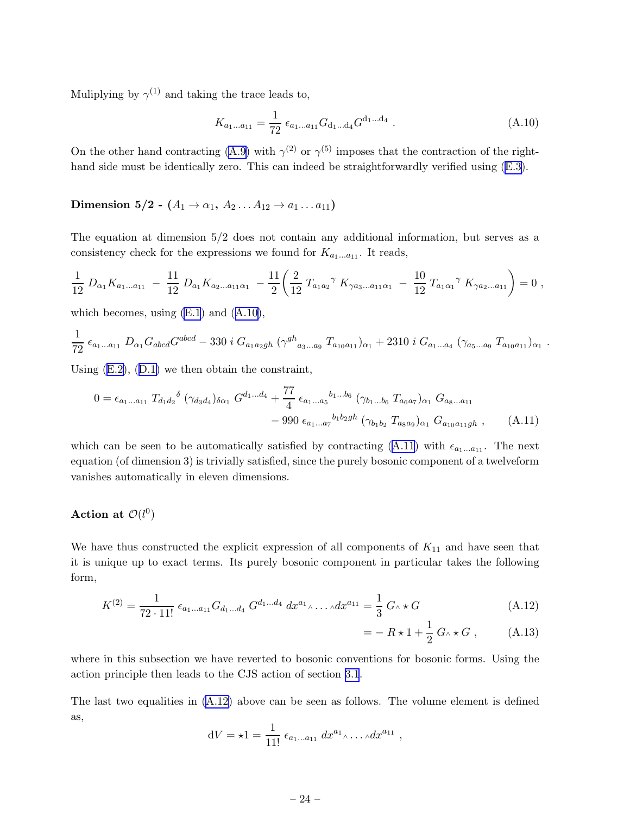Muliplying by  $\gamma^{(1)}$  and taking the trace leads to,

$$
K_{a_1...a_{11}} = \frac{1}{72} \epsilon_{a_1...a_{11}} G_{d_1...d_4} G^{d_1...d_4} . \tag{A.10}
$$

On the other hand contracting [\(A.9](#page-23-0)) with  $\gamma^{(2)}$  or  $\gamma^{(5)}$  imposes that the contraction of the righthandside must be identically zero. This can indeed be straightforwardly verified using  $(E.3)$  $(E.3)$ .

## Dimension 5/2 -  $(A_1 \to \alpha_1, A_2 ... A_{12} \to a_1 ... a_{11})$

The equation at dimension 5/2 does not contain any additional information, but serves as a consistency check for the expressions we found for  $K_{a_1...a_{11}}$ . It reads,

$$
\frac{1}{12} D_{\alpha_1} K_{a_1 \dots a_{11}} - \frac{11}{12} D_{a_1} K_{a_2 \dots a_{11} \alpha_1} - \frac{11}{2} \left( \frac{2}{12} T_{a_1 a_2} \gamma K_{\gamma a_3 \dots a_{11} \alpha_1} - \frac{10}{12} T_{a_1 \alpha_1} \gamma K_{\gamma a_2 \dots a_{11}} \right) = 0,
$$

which becomes, using  $(E.1)$  and  $(A.10)$ ,

$$
\frac{1}{72} \epsilon_{a_1...a_{11}} D_{\alpha_1} G_{abcd} G^{abcd} - 330 i G_{a_1 a_2 gh} (\gamma^{gh}_{a_3...a_9} T_{a_{10} a_{11}})_{\alpha_1} + 2310 i G_{a_1...a_4} (\gamma_{a_5...a_9} T_{a_{10} a_{11}})_{\alpha_1}.
$$

Using([E.2\)](#page-39-0),([D.1\)](#page-36-0) we then obtain the constraint,

$$
0 = \epsilon_{a_1...a_{11}} T_{d_1 d_2}^{\delta} \left( \gamma_{d_3 d_4} \right)_{\delta \alpha_1} G^{d_1...d_4} + \frac{77}{4} \epsilon_{a_1...a_5}^{b_1...b_6} \left( \gamma_{b_1...b_6} T_{a_6 a_7} \right)_{\alpha_1} G_{a_8...a_{11}} - 990 \epsilon_{a_1...a_7}^{b_1 b_2 g h} \left( \gamma_{b_1 b_2} T_{a_8 a_9} \right)_{\alpha_1} G_{a_{10} a_{11} g h} , \qquad (A.11)
$$

which can be seen to be automatically satisfied by contracting (A.11) with  $\epsilon_{a_1...a_{11}}$ . The next equation (of dimension 3) is trivially satisfied, since the purely bosonic component of a twelveform vanishes automatically in eleven dimensions.

## Action at  $\mathcal{O}(l^0)$

We have thus constructed the explicit expression of all components of  $K_{11}$  and have seen that it is unique up to exact terms. Its purely bosonic component in particular takes the following form,

$$
K^{(2)} = \frac{1}{72 \cdot 11!} \epsilon_{a_1 \dots a_{11}} G_{d_1 \dots d_4} G^{d_1 \dots d_4} dx^{a_1} \dots \dots dx^{a_{11}} = \frac{1}{3} G \wedge \star G
$$
 (A.12)

$$
= - R \star 1 + \frac{1}{2} G \wedge \star G , \qquad (A.13)
$$

where in this subsection we have reverted to bosonic conventions for bosonic forms. Using the action principle then leads to the CJS action of section [3.1](#page-11-0).

The last two equalities in (A.12) above can be seen as follows. The volume element is defined as,

$$
dV = \star 1 = \frac{1}{11!} \epsilon_{a_1...a_{11}} dx^{a_1} \dots dx^{a_{11}},
$$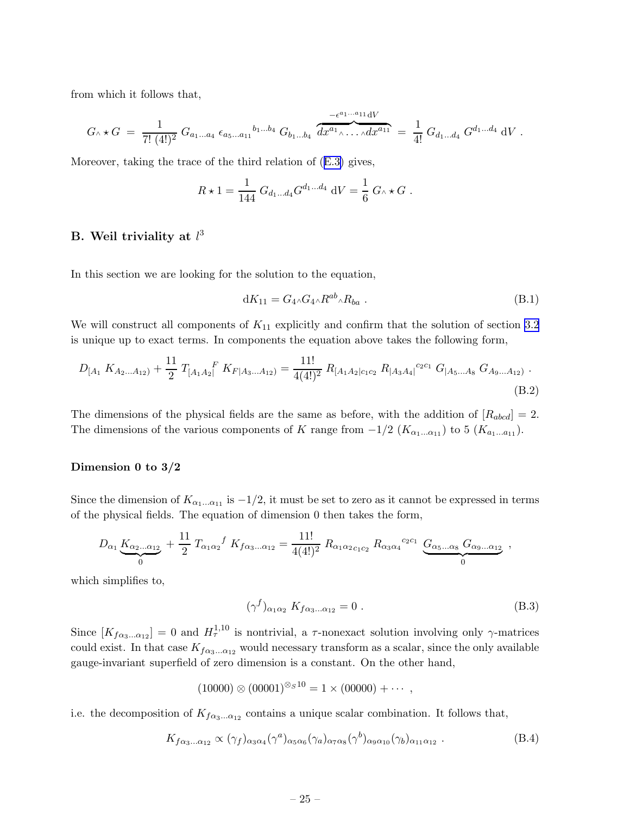<span id="page-25-0"></span>from which it follows that,

$$
G \wedge \star G = \frac{1}{7! \ (4!)^2} \ G_{a_1...a_4} \ \epsilon_{a_5...a_{11}}^{b_1...b_4} \ G_{b_1...b_4} \ \overbrace{dx^{a_1} \wedge ... \wedge dx^{a_{11}}}^{-\epsilon^{a_1...a_{11}} \ dV} = \frac{1}{4!} \ G_{d_1...d_4} \ G^{d_1...d_4} \ dV \ .
$$

Moreover, taking the trace of the third relation of([E.3\)](#page-39-0) gives,

$$
R \star 1 = \frac{1}{144} G_{d_1...d_4} G^{d_1...d_4} dV = \frac{1}{6} G \wedge \star G.
$$

## B. Weil triviality at  $l^3$

In this section we are looking for the solution to the equation,

$$
dK_{11} = G_4 \wedge G_4 \wedge R^{ab} \wedge R_{ba} . \tag{B.1}
$$

We will construct all components of  $K_{11}$  explicitly and confirm that the solution of section [3.2](#page-12-0) is unique up to exact terms. In components the equation above takes the following form,

$$
D_{[A_1 \, K_{A_2...A_{12}})} + \frac{11}{2} T_{[A_1 A_2]}^{\dagger} K_{F|A_3...A_{12}} = \frac{11!}{4(4!)^2} R_{[A_1 A_2]c_1c_2} R_{[A_3 A_4]}^{c_2c_1} G_{[A_5...A_8]} G_{A_9...A_{12}}.
$$
\n(B.2)

The dimensions of the physical fields are the same as before, with the addition of  $[R_{abcd}] = 2$ . The dimensions of the various components of K range from  $-1/2$  ( $K_{\alpha_1...\alpha_{11}}$ ) to 5 ( $K_{a_1...a_{11}}$ ).

#### Dimension 0 to 3/2

Since the dimension of  $K_{\alpha_1...\alpha_{11}}$  is  $-1/2$ , it must be set to zero as it cannot be expressed in terms of the physical fields. The equation of dimension 0 then takes the form,

$$
D_{\alpha_1} \underbrace{K_{\alpha_2...\alpha_{12}}}_{0} + \frac{11}{2} T_{\alpha_1 \alpha_2}{}^f K_{f\alpha_3...\alpha_{12}} = \frac{11!}{4(4!)^2} R_{\alpha_1 \alpha_2 c_1 c_2} R_{\alpha_3 \alpha_4}{}^{c_2 c_1} \underbrace{G_{\alpha_5...\alpha_8}}_{0} G_{\alpha_9...\alpha_{12}} ,
$$

which simplifies to,

$$
(\gamma^f)_{\alpha_1 \alpha_2} K_{f \alpha_3 \dots \alpha_{12}} = 0.
$$
 (B.3)

Since  $[K_{f\alpha_3...\alpha_{12}}] = 0$  and  $H_{\tau}^{1,10}$  is nontrivial, a  $\tau$ -nonexact solution involving only  $\gamma$ -matrices could exist. In that case  $K_{f\alpha_3...\alpha_{12}}$  would necessary transform as a scalar, since the only available gauge-invariant superfield of zero dimension is a constant. On the other hand,

$$
(10000) \otimes (00001)^{\otimes_S 10} = 1 \times (00000) + \cdots,
$$

i.e. the decomposition of  $K_{f\alpha_3...\alpha_{12}}$  contains a unique scalar combination. It follows that,

$$
K_{f\alpha_3...\alpha_{12}} \propto (\gamma_f)_{\alpha_3\alpha_4} (\gamma^a)_{\alpha_5\alpha_6} (\gamma_a)_{\alpha_7\alpha_8} (\gamma^b)_{\alpha_9\alpha_{10}} (\gamma_b)_{\alpha_{11}\alpha_{12}} . \tag{B.4}
$$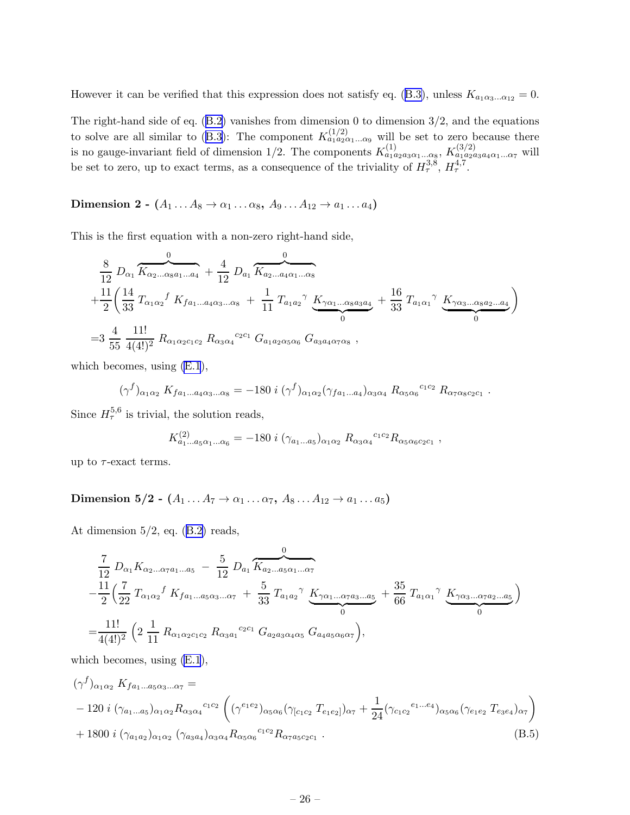<span id="page-26-0"></span>Howeverit can be verified that this expression does not satisfy eq. ([B.3\)](#page-25-0), unless  $K_{a_1a_3...a_{12}} = 0$ .

Theright-hand side of eq.  $(B.2)$  $(B.2)$  vanishes from dimension 0 to dimension  $3/2$ , and the equations tosolve are all similar to ([B.3\)](#page-25-0): The component  $K_{a_1a_2a_1...a_9}^{(1/2)}$  will be set to zero because there is no gauge-invariant field of dimension 1/2. The components  $K_{a_1a_2a_3a_1\dots a_8}^{(1)}$ ,  $K_{a_1a_2a_3a_4a_1\dots a_7}^{(3/2)}$  will be set to zero, up to exact terms, as a consequence of the triviality of  $H^{3,8}_\tau$ ,  $H^{4,7}_\tau$ .

Dimension 2 -  $(A_1 \ldots A_8 \rightarrow \alpha_1 \ldots \alpha_8, A_9 \ldots A_{12} \rightarrow \alpha_1 \ldots \alpha_4)$ 

This is the first equation with a non-zero right-hand side,

$$
\frac{8}{12} D_{\alpha_1} \overbrace{K_{\alpha_2...\alpha_8 a_1...a_4}}^{0} + \frac{4}{12} D_{a_1} \overbrace{K_{a_2...\alpha_4\alpha_1...\alpha_8}}^{0}
$$
\n
$$
+ \frac{11}{2} \left( \frac{14}{33} T_{\alpha_1\alpha_2} f K_{f a_1...\alpha_4\alpha_3...\alpha_8} + \frac{1}{11} T_{a_1a_2} \gamma K_{\gamma\alpha_1...\alpha_8 a_3 a_4} + \frac{16}{33} T_{a_1\alpha_1} \gamma K_{\gamma\alpha_3...\alpha_8 a_2...\alpha_4} \right)
$$
\n
$$
= 3 \frac{4}{55} \frac{11!}{4(4!)^2} R_{\alpha_1\alpha_2c_1c_2} R_{\alpha_3\alpha_4}^{c_2c_1} G_{a_1a_2\alpha_5\alpha_6} G_{a_3a_4\alpha_7\alpha_8} ,
$$

which becomes, using [\(E.1](#page-38-0)),

$$
(\gamma^f)_{\alpha_1 \alpha_2} K_{f a_1 \dots a_4 \alpha_3 \dots \alpha_8} = -180 \; i \; (\gamma^f)_{\alpha_1 \alpha_2} (\gamma_{f a_1 \dots a_4})_{\alpha_3 \alpha_4} R_{\alpha_5 \alpha_6}^{c_1 c_2} R_{\alpha_7 \alpha_8 c_2 c_1} \; .
$$

Since  $H_{\tau}^{5,6}$  is trivial, the solution reads,

$$
K_{a_1...a_5\alpha_1...\alpha_6}^{(2)} = -180 \; i \; (\gamma_{a_1...a_5})_{\alpha_1\alpha_2} \; R_{\alpha_3\alpha_4}{}^{c_1c_2} R_{\alpha_5\alpha_6c_2c_1} \; ,
$$

up to  $\tau$ -exact terms.

Dimension 5/2 -  $(A_1 \ldots A_7 \rightarrow \alpha_1 \ldots \alpha_7, A_8 \ldots A_{12} \rightarrow a_1 \ldots a_5)$ 

Atdimension  $5/2$ , eq.  $(B.2)$  $(B.2)$  reads,

$$
\frac{7}{12} D_{\alpha_1} K_{\alpha_2...\alpha_7 a_1...\alpha_5} - \frac{5}{12} D_{a_1} \overbrace{K_{a_2...a_5\alpha_1...\alpha_7}}^{0}
$$
\n
$$
-\frac{11}{2} \Big( \frac{7}{22} T_{\alpha_1\alpha_2} f K_{f a_1...\alpha_5\alpha_3...\alpha_7} + \frac{5}{33} T_{a_1a_2} \gamma K_{\gamma\alpha_1...\alpha_7 a_3...\alpha_5} + \frac{35}{66} T_{a_1\alpha_1} \gamma K_{\gamma\alpha_3...\alpha_7 a_2...\alpha_5}
$$
\n
$$
=\frac{11!}{4(4!)^2} \Big( 2 \frac{1}{11} R_{\alpha_1\alpha_2c_1c_2} R_{\alpha_3a_1}^{c_2c_1} G_{a_2a_3\alpha_4\alpha_5} G_{a_4a_5\alpha_6\alpha_7} \Big),
$$

which becomes, using [\(E.1](#page-38-0)),

$$
(\gamma^{f})_{\alpha_{1}\alpha_{2}} K_{f a_{1}...a_{5}\alpha_{3}...\alpha_{7}} =
$$
  
- 120 *i* ( $\gamma_{a_{1}...a_{5}}_{\alpha_{1}\alpha_{2}} R_{\alpha_{3}\alpha_{4}}^{c_{1}c_{2}} \left( (\gamma^{e_{1}e_{2}})_{\alpha_{5}\alpha_{6}} (\gamma_{[c_{1}c_{2}} T_{e_{1}e_{2}]})_{\alpha_{7}} + \frac{1}{24} (\gamma_{c_{1}c_{2}}^{e_{1}...e_{4}})_{\alpha_{5}\alpha_{6}} (\gamma_{e_{1}e_{2}} T_{e_{3}e_{4}})_{\alpha_{7}} \right)+ 1800 i ( $\gamma_{a_{1}a_{2}}_{\alpha_{1}\alpha_{2}} (\gamma_{a_{3}a_{4}})_{\alpha_{3}\alpha_{4}} R_{\alpha_{5}\alpha_{6}}^{c_{1}c_{2}} R_{\alpha_{7}a_{5}c_{2}c_{1}}$ . (B.5)$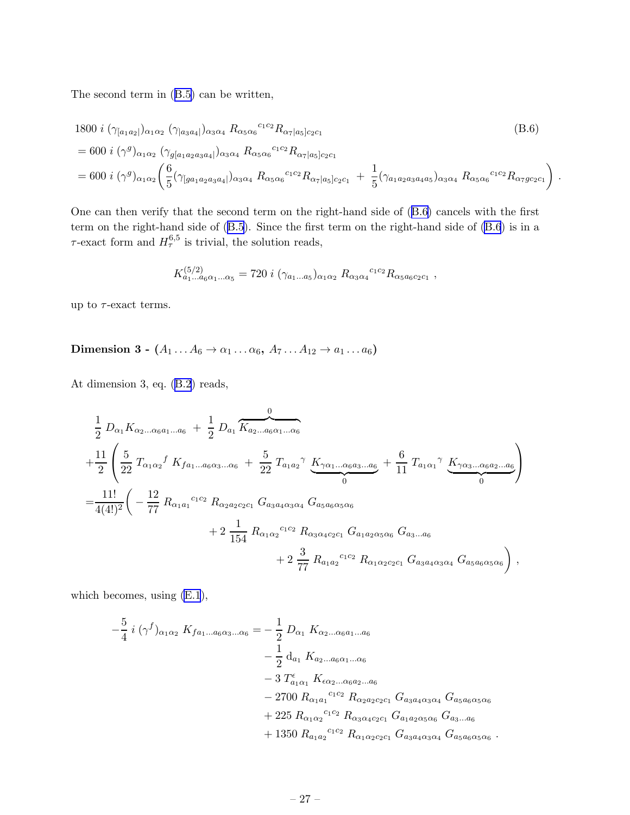The second term in([B.5\)](#page-26-0) can be written,

$$
1800 \, i \, (\gamma_{[a_1 a_2]})_{\alpha_1 \alpha_2} \, (\gamma_{[a_3 a_4]})_{\alpha_3 \alpha_4} \, R_{\alpha_5 \alpha_6}{}^{c_1 c_2} R_{\alpha_7 |a_5] c_2 c_1}
$$
\n
$$
= 600 \, i \, (\gamma^g)_{\alpha_1 \alpha_2} \, (\gamma_{g[a_1 a_2 a_3 a_4]})_{\alpha_3 \alpha_4} \, R_{\alpha_5 \alpha_6}{}^{c_1 c_2} R_{\alpha_7 |a_5] c_2 c_1}
$$
\n
$$
= 600 \, i \, (\gamma^g)_{\alpha_1 \alpha_2} \left( \frac{6}{5} (\gamma_{[g a_1 a_2 a_3 a_4]})_{\alpha_3 \alpha_4} \, R_{\alpha_5 \alpha_6}{}^{c_1 c_2} R_{\alpha_7 |a_5] c_2 c_1} + \frac{1}{5} (\gamma_{a_1 a_2 a_3 a_4 a_5})_{\alpha_3 \alpha_4} \, R_{\alpha_5 \alpha_6}{}^{c_1 c_2} R_{\alpha_7 g c_2 c_1} \right) \, .
$$
\n(B.6)

One can then verify that the second term on the right-hand side of (B.6) cancels with the first term on the right-hand side of [\(B.5](#page-26-0)). Since the first term on the right-hand side of (B.6) is in a  $\tau$ -exact form and  $H_{\tau}^{6,5}$  is trivial, the solution reads,

$$
K_{a_1...a_6\alpha_1...\alpha_5}^{(5/2)} = 720 \; i \; (\gamma_{a_1...a_5})_{\alpha_1\alpha_2} \; R_{\alpha_3\alpha_4}{}^{c_1c_2} R_{\alpha_5a_6c_2c_1} \; ,
$$

up to  $\tau$ -exact terms.

Dimension 3 -  $(A_1 \ldots A_6 \rightarrow \alpha_1 \ldots \alpha_6, A_7 \ldots A_{12} \rightarrow \alpha_1 \ldots \alpha_6)$ 

At dimension 3, eq.([B.2](#page-25-0)) reads,

$$
\frac{1}{2} D_{\alpha_1} K_{\alpha_2...\alpha_6 a_1...\alpha_6} + \frac{1}{2} D_{a_1} \overbrace{K_{a_2...\alpha_6\alpha_1...\alpha_6}}^{0}
$$
\n
$$
+ \frac{11}{2} \left( \frac{5}{22} T_{\alpha_1 \alpha_2} f K_{f a_1...\alpha_6 \alpha_3...\alpha_6} + \frac{5}{22} T_{a_1 a_2} \gamma K_{\gamma \alpha_1...\alpha_6 a_3...\alpha_6} + \frac{6}{11} T_{a_1 \alpha_1} \gamma K_{\gamma \alpha_3...\alpha_6 a_2...\alpha_6} \right)
$$
\n
$$
= \frac{11!}{4(4!)^2} \left( -\frac{12}{77} R_{\alpha_1 a_1}{}^{c_1 c_2} R_{\alpha_2 a_2 c_2 c_1} G_{a_3 a_4 \alpha_3 \alpha_4} G_{a_5 a_6 \alpha_5 \alpha_6} + 2 \frac{1}{154} R_{\alpha_1 \alpha_2}{}^{c_1 c_2} R_{\alpha_3 \alpha_4 c_2 c_1} G_{a_1 a_2 \alpha_5 \alpha_6} G_{a_3...\alpha_6} + 2 \frac{3}{77} R_{a_1 a_2}{}^{c_1 c_2} R_{\alpha_1 \alpha_2 c_2 c_1} G_{a_3 a_4 \alpha_3 \alpha_4} G_{a_5 a_6 \alpha_5 \alpha_6} \right),
$$

which becomes, using [\(E.1](#page-38-0)),

$$
-\frac{5}{4} i (\gamma^f)_{\alpha_1 \alpha_2} K_{f a_1 \dots a_6 \alpha_3 \dots \alpha_6} = -\frac{1}{2} D_{\alpha_1} K_{\alpha_2 \dots \alpha_6 a_1 \dots a_6}
$$
  

$$
-\frac{1}{2} d_{a_1} K_{a_2 \dots a_6 \alpha_1 \dots \alpha_6}
$$
  

$$
- 3 T_{a_1 \alpha_1}^{\epsilon} K_{\epsilon \alpha_2 \dots \alpha_6 a_2 \dots a_6}
$$
  

$$
- 2700 R_{\alpha_1 a_1}^{\epsilon_1 c_2} R_{\alpha_2 a_2 c_2 c_1} G_{a_3 a_4 \alpha_3 \alpha_4} G_{a_5 a_6 \alpha_5 \alpha_6}
$$
  

$$
+ 225 R_{\alpha_1 \alpha_2}^{\epsilon_1 c_2} R_{\alpha_3 \alpha_4 c_2 c_1} G_{a_1 a_2 \alpha_5 \alpha_6} G_{a_3 \dots a_6}
$$
  

$$
+ 1350 R_{a_1 a_2}^{\epsilon_1 c_2} R_{\alpha_1 \alpha_2 c_2 c_1} G_{a_3 a_4 \alpha_3 \alpha_4} G_{a_5 a_6 \alpha_5 \alpha_6}.
$$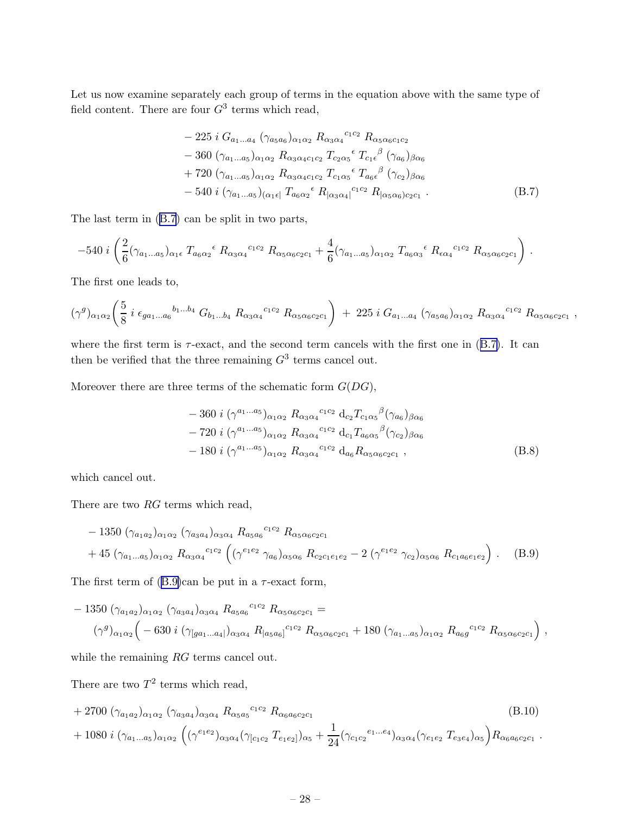Let us now examine separately each group of terms in the equation above with the same type of field content. There are four  $G^3$  terms which read,

$$
- 225 i G_{a_1...a_4} (\gamma_{a_5a_6})_{\alpha_1\alpha_2} R_{\alpha_3\alpha_4}^{c_1c_2} R_{\alpha_5\alpha_6c_1c_2} - 360 (\gamma_{a_1...a_5})_{\alpha_1\alpha_2} R_{\alpha_3\alpha_4c_1c_2} T_{c_2\alpha_5}^{c} T_{c_1\epsilon}^{\beta} (\gamma_{a_6})_{\beta\alpha_6} + 720 (\gamma_{a_1...a_5})_{\alpha_1\alpha_2} R_{\alpha_3\alpha_4c_1c_2} T_{c_1\alpha_5}^{c} T_{a_6\epsilon}^{\beta} (\gamma_{c_2})_{\beta\alpha_6} - 540 i (\gamma_{a_1...a_5})_{\alpha_1\epsilon} T_{a_6\alpha_2}^{c} R_{|\alpha_3\alpha_4|}^{c_1c_2} R_{|\alpha_5\alpha_6}^{c_2c_2c_1} .
$$
\n(B.7)

The last term in (B.7) can be split in two parts,

$$
-540 i \left(\frac{2}{6}(\gamma_{a_1...a_5})_{\alpha_1 \epsilon} T_{a_6 \alpha_2}{}^{\epsilon} R_{\alpha_3 \alpha_4}{}^{c_1 c_2} R_{\alpha_5 \alpha_6 c_2 c_1} + \frac{4}{6}(\gamma_{a_1...a_5})_{\alpha_1 \alpha_2} T_{a_6 \alpha_3}{}^{\epsilon} R_{\epsilon \alpha_4}{}^{c_1 c_2} R_{\alpha_5 \alpha_6 c_2 c_1}\right).
$$

The first one leads to,

$$
(\gamma^g)_{\alpha_1\alpha_2}\left(\frac{5}{8}i\epsilon_{ga_1\ldots a_6}^{b_1\ldots b_4}G_{b_1\ldots b_4}R_{\alpha_3\alpha_4}^{c_1c_2}R_{\alpha_5\alpha_6c_2c_1}\right) + 225 iG_{a_1\ldots a_4}(\gamma_{a_5a_6})_{\alpha_1\alpha_2}R_{\alpha_3\alpha_4}^{c_1c_2}R_{\alpha_5\alpha_6c_2c_1},
$$

where the first term is  $\tau$ -exact, and the second term cancels with the first one in (B.7). It can then be verified that the three remaining  $G^3$  terms cancel out.

Moreover there are three terms of the schematic form  $G(DG)$ ,

$$
- 360 i (\gamma^{a_1...a_5})_{\alpha_1 \alpha_2} R_{\alpha_3 \alpha_4}{}^{c_1 c_2} d_{c_2} T_{c_1 \alpha_5}{}^{\beta} (\gamma_{a_6})_{\beta \alpha_6}
$$
  

$$
- 720 i (\gamma^{a_1...a_5})_{\alpha_1 \alpha_2} R_{\alpha_3 \alpha_4}{}^{c_1 c_2} d_{c_1} T_{a_6 \alpha_5}{}^{\beta} (\gamma_{c_2})_{\beta \alpha_6}
$$
  

$$
- 180 i (\gamma^{a_1...a_5})_{\alpha_1 \alpha_2} R_{\alpha_3 \alpha_4}{}^{c_1 c_2} d_{a_6} R_{\alpha_5 \alpha_6 c_2 c_1} , \qquad (B.8)
$$

which cancel out.

There are two RG terms which read,

$$
- 1350 \left( \gamma_{a_1 a_2} \right)_{\alpha_1 \alpha_2} \left( \gamma_{a_3 a_4} \right)_{\alpha_3 \alpha_4} R_{a_5 a_6}^{c_1 c_2} R_{\alpha_5 \alpha_6 c_2 c_1} + 45 \left( \gamma_{a_1 \dots a_5} \right)_{\alpha_1 \alpha_2} R_{\alpha_3 \alpha_4}^{c_1 c_2} \left( \left( \gamma^{e_1 e_2} \gamma_{a_6} \right)_{\alpha_5 \alpha_6} R_{c_2 c_1 e_1 e_2} - 2 \left( \gamma^{e_1 e_2} \gamma_{c_2} \right)_{\alpha_5 \alpha_6} R_{c_1 a_6 e_1 e_2} \right).
$$
 (B.9)

The first term of  $(B.9)$ can be put in a  $\tau$ -exact form,

$$
- 1350 \left( \gamma_{a_1 a_2} \right)_{\alpha_1 \alpha_2} \left( \gamma_{a_3 a_4} \right)_{\alpha_3 \alpha_4} R_{a_5 a_6}^{c_1 c_2} R_{\alpha_5 \alpha_6 c_2 c_1} =
$$
  

$$
(\gamma^g)_{\alpha_1 \alpha_2} \left( -630 i \left( \gamma_{[ga_1...a_4]} \right)_{\alpha_3 \alpha_4} R_{[a_5 a_6]}^{c_1 c_2} R_{\alpha_5 \alpha_6 c_2 c_1} + 180 \left( \gamma_{a_1...a_5} \right)_{\alpha_1 \alpha_2} R_{a_6 g}^{c_1 c_2} R_{\alpha_5 \alpha_6 c_2 c_1} \right),
$$

while the remaining RG terms cancel out.

There are two  $T^2$  terms which read,

+ 2700 
$$
(\gamma_{a_1 a_2})_{\alpha_1 \alpha_2}
$$
  $(\gamma_{a_3 a_4})_{\alpha_3 \alpha_4}$   $R_{\alpha_5 a_5}^{c_1 c_2}$   $R_{\alpha_6 a_6 c_2 c_1}$   
+ 1080  $i (\gamma_{a_1...a_5})_{\alpha_1 \alpha_2}$   $((\gamma^{e_1 e_2})_{\alpha_3 \alpha_4} (\gamma_{[c_1 c_2} T_{e_1 e_2]})_{\alpha_5} + \frac{1}{24} (\gamma_{c_1 c_2}^{e_1...e_4})_{\alpha_3 \alpha_4} (\gamma_{e_1 e_2} T_{e_3 e_4})_{\alpha_5}) R_{\alpha_6 a_6 c_2 c_1}$ . (B.10)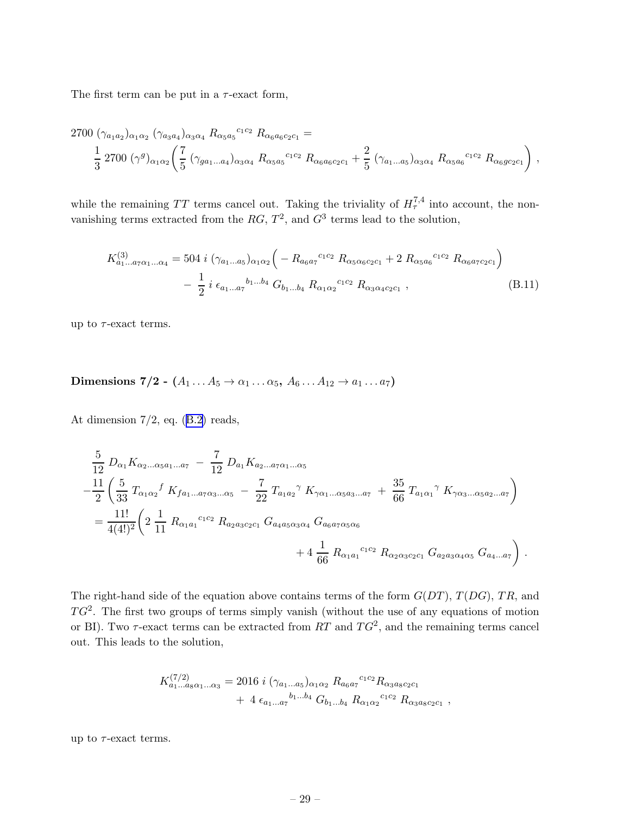The first term can be put in a  $\tau$ -exact form,

$$
2700 \left(\gamma_{a_1 a_2}\right)_{\alpha_1 \alpha_2} \left(\gamma_{a_3 a_4}\right)_{\alpha_3 \alpha_4} R_{\alpha_5 a_5}^{c_1 c_2} R_{\alpha_6 a_6 c_2 c_1} =\n\frac{1}{3} 2700 \left(\gamma^g\right)_{\alpha_1 \alpha_2} \left(\frac{7}{5} \left(\gamma_{g a_1 \dots a_4}\right)_{\alpha_3 \alpha_4} R_{\alpha_5 a_5}^{c_1 c_2} R_{\alpha_6 a_6 c_2 c_1} + \frac{2}{5} \left(\gamma_{a_1 \dots a_5}\right)_{\alpha_3 \alpha_4} R_{\alpha_5 a_6}^{c_1 c_2} R_{\alpha_6 g c_2 c_1}\right),
$$

while the remaining TT terms cancel out. Taking the triviality of  $H_{\tau}^{7,4}$  into account, the nonvanishing terms extracted from the  $RG$ ,  $T^2$ , and  $G^3$  terms lead to the solution,

$$
K_{a_1...a_7\alpha_1...\alpha_4}^{(3)} = 504 \ i \ (\gamma_{a_1...a_5})_{\alpha_1\alpha_2} \left( -R_{a_6a_7}{}^{c_1c_2} R_{\alpha_5\alpha_6c_2c_1} + 2 R_{\alpha_5a_6}{}^{c_1c_2} R_{\alpha_6a_7c_2c_1} \right)
$$

$$
- \frac{1}{2} \ i \ \epsilon_{a_1...a_7}{}^{b_1...b_4} G_{b_1...b_4} R_{\alpha_1\alpha_2}{}^{c_1c_2} R_{\alpha_3\alpha_4c_2c_1} \ , \tag{B.11}
$$

up to  $\tau$ -exact terms.

## Dimensions 7/2 -  $(A_1 \ldots A_5 \rightarrow \alpha_1 \ldots \alpha_5, A_6 \ldots A_{12} \rightarrow \alpha_1 \ldots \alpha_7)$

Atdimension  $7/2$ , eq.  $(B.2)$  $(B.2)$  reads,

$$
\frac{5}{12} D_{\alpha_1} K_{\alpha_2...\alpha_5 a_1...a_7} - \frac{7}{12} D_{a_1} K_{a_2...\alpha_7\alpha_1...\alpha_5}
$$
\n
$$
-\frac{11}{2} \left( \frac{5}{33} T_{\alpha_1\alpha_2} f K_{f a_1...\alpha_7\alpha_3...\alpha_5} - \frac{7}{22} T_{a_1a_2} \gamma K_{\gamma\alpha_1...\alpha_5 a_3...\alpha_7} + \frac{35}{66} T_{a_1\alpha_1} \gamma K_{\gamma\alpha_3...\alpha_5 a_2...\alpha_7} \right)
$$
\n
$$
= \frac{11!}{4(4!)^2} \left( 2 \frac{1}{11} R_{\alpha_1 a_1}{}^{c_1c_2} R_{a_2a_3c_2c_1} G_{a_4a_5\alpha_3\alpha_4} G_{a_6a_7\alpha_5\alpha_6} + 4 \frac{1}{66} R_{\alpha_1 a_1}{}^{c_1c_2} R_{\alpha_2\alpha_3c_2c_1} G_{a_2a_3\alpha_4\alpha_5} G_{a_4...a_7} \right)
$$

.

The right-hand side of the equation above contains terms of the form  $G(DT)$ ,  $T(DG)$ ,  $TR$ , and  $TG^2$ . The first two groups of terms simply vanish (without the use of any equations of motion or BI). Two  $\tau$ -exact terms can be extracted from RT and  $TG^2$ , and the remaining terms cancel out. This leads to the solution,

$$
K_{a_1...a_8\alpha_1... \alpha_3}^{(7/2)} = 2016 \ i \ (\gamma_{a_1...a_5})_{\alpha_1\alpha_2} R_{a_6a_7}^{c_1c_2} R_{\alpha_3a_8c_2c_1} + 4 \ \epsilon_{a_1...a_7}^{b_1...b_4} G_{b_1...b_4} R_{\alpha_1\alpha_2}^{c_1c_2} R_{\alpha_3a_8c_2c_1} ,
$$

up to  $\tau$ -exact terms.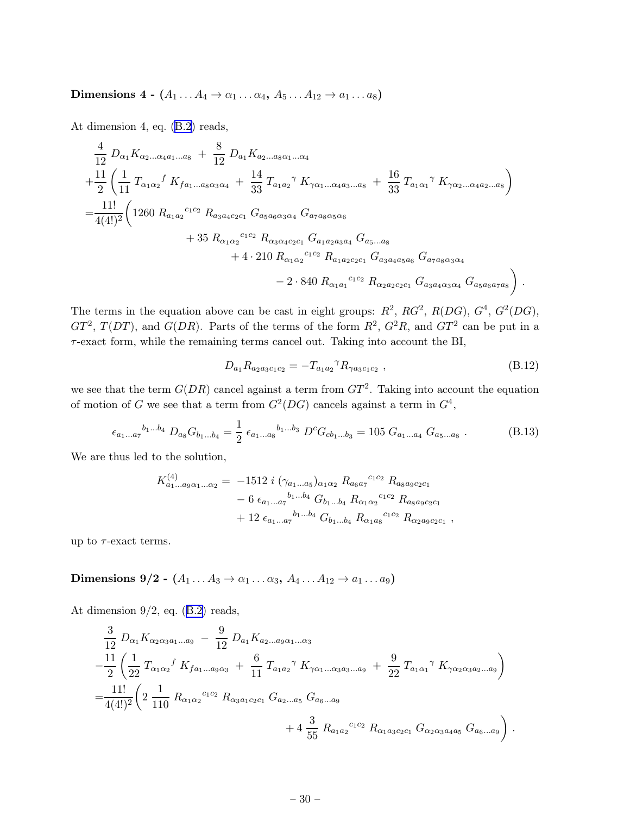<span id="page-30-0"></span>Dimensions 4 -  $(A_1 \ldots A_4 \rightarrow \alpha_1 \ldots \alpha_4, A_5 \ldots A_{12} \rightarrow \alpha_1 \ldots \alpha_8)$ 

At dimension 4, eq.([B.2](#page-25-0)) reads,

$$
\frac{4}{12} D_{\alpha_1} K_{\alpha_2...\alpha_4 a_1...\alpha_8} + \frac{8}{12} D_{a_1} K_{a_2...\alpha_8 \alpha_1...\alpha_4}
$$
\n
$$
+ \frac{11}{2} \left( \frac{1}{11} T_{\alpha_1 \alpha_2} f K_{f a_1...\alpha_8 \alpha_3 \alpha_4} + \frac{14}{33} T_{a_1 a_2} f K_{\gamma \alpha_1...\alpha_4 a_3...\alpha_8} + \frac{16}{33} T_{a_1 \alpha_1} f K_{\gamma \alpha_2...\alpha_4 a_2...\alpha_8} \right)
$$
\n
$$
= \frac{11!}{4(4!)^2} \left( 1260 R_{a_1 a_2}{}^{c_1 c_2} R_{a_3 a_4 c_2 c_1} G_{a_5 a_6 \alpha_3 \alpha_4} G_{a_7 a_8 \alpha_5 \alpha_6} + 35 R_{\alpha_1 \alpha_2}{}^{c_1 c_2} R_{\alpha_3 \alpha_4 c_2 c_1} G_{a_1 a_2 a_3 a_4} G_{a_5...\alpha_8} + 4 \cdot 210 R_{\alpha_1 \alpha_2}{}^{c_1 c_2} R_{a_1 a_2 c_2 c_1} G_{a_3 a_4 a_5 a_6} G_{a_7 a_8 \alpha_3 \alpha_4} - 2 \cdot 840 R_{\alpha_1 a_1}{}^{c_1 c_2} R_{\alpha_2 a_2 c_2 c_1} G_{a_3 a_4 \alpha_3 \alpha_4} G_{a_5 a_6 a_7 a_8} \right)
$$

The terms in the equation above can be cast in eight groups:  $R^2$ ,  $RG^2$ ,  $R(DG)$ ,  $G^4$ ,  $G^2(DG)$ ,  $GT^2$ ,  $T(DT)$ , and  $G(DR)$ . Parts of the terms of the form  $R^2$ ,  $G^2R$ , and  $GT^2$  can be put in a  $\tau$ -exact form, while the remaining terms cancel out. Taking into account the BI,

$$
D_{a_1} R_{a_2 a_3 c_1 c_2} = -T_{a_1 a_2} {}^{\gamma} R_{\gamma a_3 c_1 c_2} , \qquad (B.12)
$$

.

we see that the term  $G(DR)$  cancel against a term from  $GT^2$ . Taking into account the equation of motion of G we see that a term from  $G^2(DG)$  cancels against a term in  $G^4$ ,

$$
\epsilon_{a_1...a_7}{}^{b_1...b_4} D_{a_8} G_{b_1...b_4} = \frac{1}{2} \epsilon_{a_1...a_8}{}^{b_1...b_3} D^c G_{c b_1...b_3} = 105 \ G_{a_1...a_4} G_{a_5...a_8} . \tag{B.13}
$$

We are thus led to the solution,

$$
K_{a_1...a_9\alpha_1... \alpha_2}^{(4)} = -1512 \, i \, (\gamma_{a_1...a_5})_{\alpha_1\alpha_2} R_{a_6a_7}^{c_1c_2} R_{a_8a_9c_2c_1} - 6 \, \epsilon_{a_1...a_7}^{b_1...b_4} G_{b_1...b_4} R_{\alpha_1\alpha_2}^{c_1c_2} R_{a_8a_9c_2c_1} + 12 \, \epsilon_{a_1...a_7}^{b_1...b_4} G_{b_1...b_4} R_{\alpha_1a_8}^{c_1c_2} R_{\alpha_2a_9c_2c_1} ,
$$

up to  $\tau$ -exact terms.

Dimensions 9/2 -  $(A_1 \ldots A_3 \rightarrow \alpha_1 \ldots \alpha_3, A_4 \ldots A_{12} \rightarrow \alpha_1 \ldots \alpha_9)$ 

Atdimension  $9/2$ , eq.  $(B.2)$  $(B.2)$  reads,

$$
\frac{3}{12} D_{\alpha_1} K_{\alpha_2 \alpha_3 a_1 \dots a_9} - \frac{9}{12} D_{a_1} K_{a_2 \dots a_9 \alpha_1 \dots \alpha_3} \n- \frac{11}{2} \left( \frac{1}{22} T_{\alpha_1 \alpha_2} f K_{f a_1 \dots a_9 \alpha_3} + \frac{6}{11} T_{a_1 a_2} \gamma K_{\gamma \alpha_1 \dots \alpha_3 a_3 \dots a_9} + \frac{9}{22} T_{a_1 \alpha_1} \gamma K_{\gamma \alpha_2 \alpha_3 a_2 \dots a_9} \right) \n= \frac{11!}{4(4!)^2} \left( 2 \frac{1}{110} R_{\alpha_1 \alpha_2}{}^{c_1 c_2} R_{\alpha_3 a_1 c_2 c_1} G_{a_2 \dots a_5} G_{a_6 \dots a_9} + 4 \frac{3}{55} R_{a_1 a_2}{}^{c_1 c_2} R_{\alpha_1 a_3 c_2 c_1} G_{\alpha_2 \alpha_3 a_4 a_5} G_{a_6 \dots a_9} \right).
$$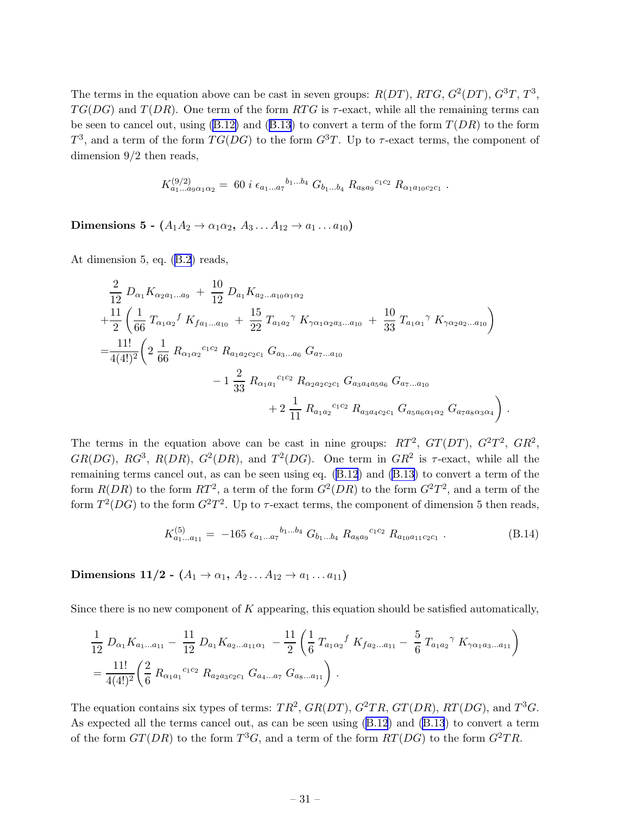<span id="page-31-0"></span>The terms in the equation above can be cast in seven groups:  $R(DT)$ ,  $RTG$ ,  $G^2(DT)$ ,  $G^3T$ ,  $T^3$ ,  $TG(DG)$  and  $T(DR)$ . One term of the form RTG is  $\tau$ -exact, while all the remaining terms can beseen to cancel out, using  $(B.12)$  and  $(B.13)$  $(B.13)$  $(B.13)$  to convert a term of the form  $T(DR)$  to the form  $T^3$ , and a term of the form  $TG(DG)$  to the form  $G^3T$ . Up to  $\tau$ -exact terms, the component of dimension 9/2 then reads,

$$
K_{a_1...a_9\alpha_1\alpha_2}^{(9/2)} = 60 i \epsilon_{a_1...a_7}^{b_1...b_4} G_{b_1...b_4} R_{a_8a_9}^{c_1c_2} R_{\alpha_1a_{10}c_2c_1}.
$$

Dimensions 5 -  $(A_1A_2 \rightarrow \alpha_1\alpha_2, A_3 \ldots A_{12} \rightarrow a_1 \ldots a_{10})$ 

At dimension 5, eq.([B.2](#page-25-0)) reads,

$$
\frac{2}{12} D_{\alpha_1} K_{\alpha_2 a_1 \dots a_9} + \frac{10}{12} D_{a_1} K_{a_2 \dots a_{10} \alpha_1 \alpha_2} \n+ \frac{11}{2} \left( \frac{1}{66} T_{\alpha_1 \alpha_2} f K_{f a_1 \dots a_{10}} + \frac{15}{22} T_{a_1 a_2} \gamma K_{\gamma \alpha_1 \alpha_2 a_3 \dots a_{10}} + \frac{10}{33} T_{a_1 \alpha_1} \gamma K_{\gamma \alpha_2 a_2 \dots a_{10}} \right) \n= \frac{11!}{4(4!)^2} \left( 2 \frac{1}{66} R_{\alpha_1 \alpha_2} c_1 c_2 R_{a_1 a_2 c_2 c_1} G_{a_3 \dots a_6} G_{a_7 \dots a_{10}} - 1 \frac{2}{33} R_{\alpha_1 a_1} c_1 c_2 R_{\alpha_2 a_2 c_2 c_1} G_{a_3 a_4 a_5 a_6} G_{a_7 \dots a_{10}} + 2 \frac{1}{11} R_{a_1 a_2} c_1 c_2 R_{a_3 a_4 c_2 c_1} G_{a_5 a_6 \alpha_1 \alpha_2} G_{a_7 a_8 \alpha_3 \alpha_4} \right).
$$

The terms in the equation above can be cast in nine groups:  $RT^2$ ,  $GT(DT)$ ,  $G^2T^2$ ,  $GR^2$ , GR(DG), RG<sup>3</sup>, R(DR), G<sup>2</sup>(DR), and  $T^2(DG)$ . One term in GR<sup>2</sup> is  $\tau$ -exact, while all the remaining terms cancel out, as can be seen using eq.([B.12](#page-30-0)) and [\(B.13\)](#page-30-0) to convert a term of the form  $R(DR)$  to the form  $RT^2$ , a term of the form  $G^2(DR)$  to the form  $G^2T^2$ , and a term of the form  $T^2(DG)$  to the form  $G^2T^2$ . Up to  $\tau$ -exact terms, the component of dimension 5 then reads,

$$
K_{a_1...a_{11}}^{(5)} = -165 \epsilon_{a_1...a_7}{}^{b_1...b_4} G_{b_1...b_4} R_{a_8a_9}{}^{c_1c_2} R_{a_{10}a_{11}c_2c_1} \,. \tag{B.14}
$$

Dimensions 11/2 -  $(A_1 \rightarrow \alpha_1, A_2 \ldots A_{12} \rightarrow a_1 \ldots a_{11})$ 

Since there is no new component of  $K$  appearing, this equation should be satisfied automatically,

$$
\frac{1}{12} D_{\alpha_1} K_{a_1 \dots a_{11}} - \frac{11}{12} D_{a_1} K_{a_2 \dots a_{11} \alpha_1} - \frac{11}{2} \left( \frac{1}{6} T_{a_1 \alpha_2} f K_{f a_2 \dots a_{11}} - \frac{5}{6} T_{a_1 a_2} \gamma K_{\gamma \alpha_1 a_3 \dots a_{11}} \right)
$$
  
= 
$$
\frac{11!}{4(4!)^2} \left( \frac{2}{6} R_{\alpha_1 a_1}{}^{c_1 c_2} R_{a_2 a_3 c_2 c_1} G_{a_4 \dots a_7} G_{a_8 \dots a_{11}} \right).
$$

The equation contains six types of terms:  $TR^2$ ,  $GR(DT)$ ,  $G^2TR$ ,  $GT(DR)$ ,  $RT(DG)$ , and  $T^3G$ . As expected all the terms cancel out, as can be seen using([B.12](#page-30-0)) and [\(B.13](#page-30-0)) to convert a term of the form  $GT(DR)$  to the form  $T^3G$ , and a term of the form  $RT(DG)$  to the form  $G^2TR$ .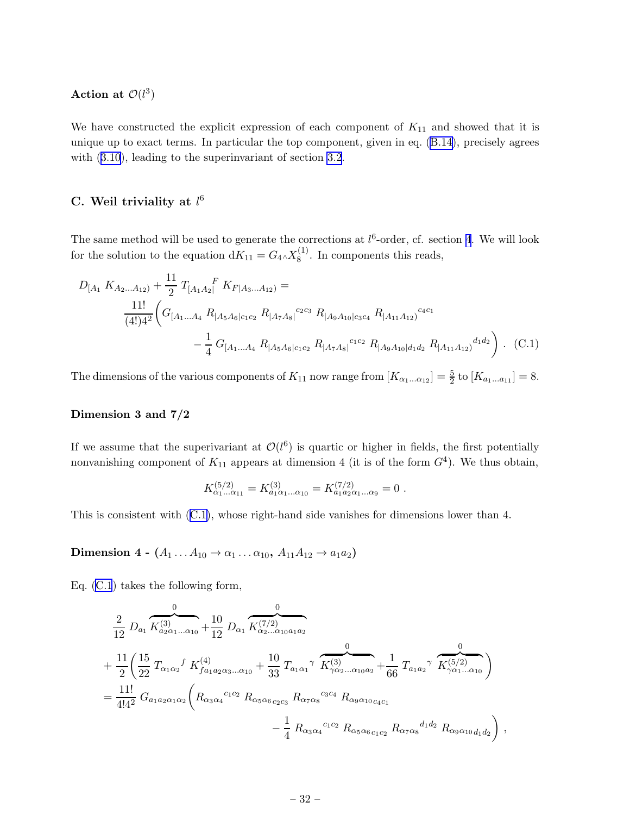<span id="page-32-0"></span>Action at  $\mathcal{O}(l^3)$ 

We have constructed the explicit expression of each component of  $K_{11}$  and showed that it is unique up to exact terms. In particular the top component, given in eq. [\(B.14\)](#page-31-0), precisely agrees with  $(3.10)$ , leading to the superinvariant of section [3.2](#page-12-0).

## C. Weil triviality at  $l^6$

The same method will be used to generate the corrections at  $l<sup>6</sup>$ -order, cf. section [4](#page-13-0). We will look for the solution to the equation  $dK_{11} = G_4 \wedge X_8^{(1)}$  $8^{(1)}$ . In components this reads,

$$
D_{[A_1} K_{A_2...A_{12}} + \frac{11}{2} T_{[A_1A_2]}^F K_{F|A_3...A_{12}} =
$$
  

$$
\frac{11!}{(4!)4^2} \left( G_{[A_1...A_4} R_{|A_5A_6|c_1c_2} R_{|A_7A_8|}^{c_2c_3} R_{|A_9A_{10}|c_3c_4} R_{|A_{11}A_{12}}^{c_4c_1} - \frac{1}{4} G_{[A_1...A_4} R_{|A_5A_6|c_1c_2} R_{|A_7A_8|}^{c_1c_2} R_{|A_7A_8|}^{c_1c_2} R_{|A_9A_{10}|d_1d_2} R_{|A_{11}A_{12}}^{d_1d_2} \right) .
$$
 (C.1)

The dimensions of the various components of  $K_{11}$  now range from  $[K_{\alpha_1...\alpha_{12}}] = \frac{5}{2}$  to  $[K_{a_1...a_{11}}] = 8$ .

#### Dimension 3 and 7/2

If we assume that the superivariant at  $\mathcal{O}(l^6)$  is quartic or higher in fields, the first potentially nonvanishing component of  $K_{11}$  appears at dimension 4 (it is of the form  $G<sup>4</sup>$ ). We thus obtain,

$$
K_{\alpha_1...\alpha_{11}}^{(5/2)} = K_{a_1\alpha_1...\alpha_{10}}^{(3)} = K_{a_1a_2\alpha_1...\alpha_9}^{(7/2)} = 0.
$$

This is consistent with (C.1), whose right-hand side vanishes for dimensions lower than 4.

Dimension 4 -  $(A_1 ... A_{10} \rightarrow \alpha_1 ... \alpha_{10}, A_{11}A_{12} \rightarrow a_{1}a_2)$ 

Eq. (C.1) takes the following form,

$$
\frac{2}{12} D_{a_1} \overbrace{K_{a_2\alpha_1...\alpha_{10}}^{(0)}}^0 + \frac{10}{12} D_{\alpha_1} \overbrace{K_{\alpha_2...\alpha_{10}a_1a_2}^{(7/2)}}^0
$$
\n
$$
+ \frac{11}{2} \left( \frac{15}{22} T_{\alpha_1\alpha_2} f K_{fa_1a_2\alpha_3...\alpha_{10}}^{(4)} + \frac{10}{33} T_{a_1\alpha_1} \gamma \overbrace{K_{\gamma\alpha_2...\alpha_{10}a_2}^{(3)}}^0 + \frac{1}{66} T_{a_1a_2} \gamma \overbrace{K_{\gamma\alpha_1...\alpha_{10}}^{(5/2)}}^0 \right)
$$
\n
$$
= \frac{11!}{4!4^2} G_{a_1a_2\alpha_1\alpha_2} \left( R_{\alpha_3\alpha_4}{}^{c_1c_2} R_{\alpha_5\alpha_6 c_2c_3} R_{\alpha_7\alpha_8}{}^{c_3c_4} R_{\alpha_9\alpha_{10}c_4c_1} - \frac{1}{4} R_{\alpha_3\alpha_4}{}^{c_1c_2} R_{\alpha_5\alpha_6 c_1c_2} R_{\alpha_7\alpha_8}{}^{d_1d_2} R_{\alpha_9\alpha_{10}d_1d_2} \right),
$$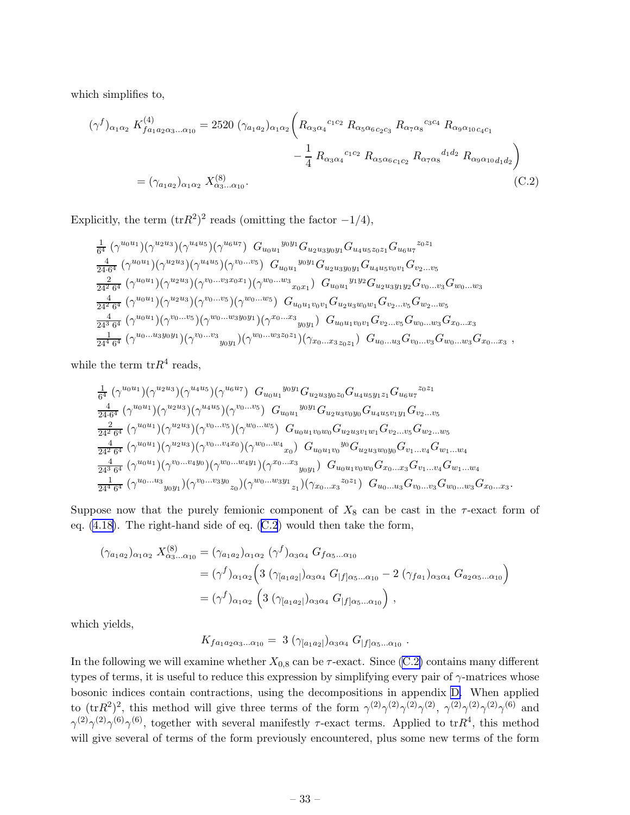which simplifies to,

$$
(\gamma^{f})_{\alpha_{1}\alpha_{2}} K^{(4)}_{f a_{1} a_{2} \alpha_{3} \dots \alpha_{10}} = 2520 \ (\gamma_{a_{1}a_{2}})_{\alpha_{1}\alpha_{2}} \left( R_{\alpha_{3}\alpha_{4}}^{c_{1}c_{2}} R_{\alpha_{5}\alpha_{6}c_{2}c_{3}} R_{\alpha_{7}\alpha_{8}}^{c_{3}c_{4}} R_{\alpha_{9}\alpha_{10}c_{4}c_{1}} - \frac{1}{4} R_{\alpha_{3}\alpha_{4}}^{c_{1}c_{2}} R_{\alpha_{5}\alpha_{6}c_{1}c_{2}} R_{\alpha_{7}\alpha_{8}}^{d_{1}d_{2}} R_{\alpha_{9}\alpha_{10}d_{1}d_{2}} \right)
$$

$$
= (\gamma_{a_{1}a_{2}})_{\alpha_{1}\alpha_{2}} X^{(8)}_{\alpha_{3} \dots \alpha_{10}}.
$$
(C.2)

Explicitly, the term  $(\text{tr}R^2)^2$  reads (omitting the factor  $-1/4$ ),

$$
\frac{1}{6^{4}} \left(\gamma^{u_{0}u_{1}}\right) \left(\gamma^{u_{2}u_{3}}\right) \left(\gamma^{u_{4}u_{5}}\right) \left(\gamma^{u_{6}u_{7}}\right) G_{u_{0}u_{1}}{}^{y_{0}y_{1}} G_{u_{2}u_{3}y_{0}y_{1}} G_{u_{4}u_{5}z_{0}z_{1}} G_{u_{6}u_{7}}{}^{z_{0}z_{1}} \n\frac{4}{24 \cdot 6^{4}} \left(\gamma^{u_{0}u_{1}}\right) \left(\gamma^{u_{2}u_{3}}\right) \left(\gamma^{u_{0}u_{5}}\right) \left(\gamma^{v_{0}...v_{5}}\right) G_{u_{0}u_{1}}{}^{y_{0}y_{1}} G_{u_{2}u_{3}y_{0}y_{1}} G_{u_{4}u_{5}v_{0}v_{1}} G_{v_{2}...v_{5}} \n\frac{2}{24 \cdot 6^{4}} \left(\gamma^{u_{0}u_{1}}\right) \left(\gamma^{u_{2}u_{3}}\right) \left(\gamma^{v_{0}...v_{3}x_{0}x_{1}}\right) \left(\gamma^{w_{0}...w_{3}}\right) G_{u_{0}u_{1}}{}^{y_{1}y_{2}} G_{u_{2}u_{3}y_{1}y_{2}} G_{v_{0}...v_{3}} G_{w_{0}...w_{3}} \n\frac{4}{24^{2} \cdot 6^{4}} \left(\gamma^{u_{0}u_{1}}\right) \left(\gamma^{u_{2}u_{3}}\right) \left(\gamma^{v_{0}...v_{5}}\right) \left(\gamma^{w_{0}...w_{5}}\right) G_{u_{0}u_{1}v_{0}v_{1}} G_{u_{2}u_{3}w_{0}w_{1}} G_{v_{2}...v_{5}} G_{w_{2}...w_{5}} \n\frac{4}{24^{3} \cdot 6^{4}} \left(\gamma^{u_{0}u_{1}}\right) \left(\gamma^{v_{0}...v_{5}}\right) \left(\gamma^{w_{0}...w_{3}y_{0}y_{1}}\right) \left(\gamma^{x_{0}...x_{3}}\right) G_{u_{0}u_{1}v_{0}v_{1}} G_{v_{2}...v_{5}} G_{w_{0}...w_{3}} G_{x_{0}...x_{3}} \n\frac{1}{24^{4} \cdot
$$

while the term  $trR<sup>4</sup>$  reads,

$$
\frac{1}{6^{4}}\left(\gamma^{u_{0}u_{1}}\right)\left(\gamma^{u_{2}u_{3}}\right)\left(\gamma^{u_{4}u_{5}}\right)\left(\gamma^{u_{6}u_{7}}\right) G_{u_{0}u_{1}}{}^{y_{0}y_{1}}G_{u_{2}u_{3}y_{0}z_{0}}G_{u_{4}u_{5}y_{1}z_{1}}G_{u_{6}u_{7}}{}^{z_{0}z_{1}}\n\frac{4}{24\cdot6^{4}}\left(\gamma^{u_{0}u_{1}}\right)\left(\gamma^{u_{2}u_{3}}\right)\left(\gamma^{u_{4}u_{5}}\right)\left(\gamma^{v_{0}...v_{5}}\right) G_{u_{0}u_{1}}{}^{y_{0}y_{1}}G_{u_{2}u_{3}v_{0}y_{0}}G_{u_{4}u_{5}v_{1}y_{1}}G_{v_{2}...v_{5}}\n\frac{2}{24^{2}\cdot6^{4}}\left(\gamma^{u_{0}u_{1}}\right)\left(\gamma^{u_{2}u_{3}}\right)\left(\gamma^{v_{0}...v_{5}}\right)\left(\gamma^{w_{0}...w_{5}}\right) G_{u_{0}u_{1}v_{0}w_{0}}G_{u_{2}u_{3}v_{1}w_{1}}G_{v_{2}...v_{5}}G_{w_{2}...w_{5}}\n\frac{4}{24^{2}\cdot6^{4}}\left(\gamma^{u_{0}u_{1}}\right)\left(\gamma^{u_{2}u_{3}}\right)\left(\gamma^{v_{0}...v_{4}x_{0}}\right)\left(\gamma^{w_{0}...w_{4}}\right) G_{u_{0}u_{1}v_{0}}{}^{y_{0}}G_{u_{2}u_{3}w_{0}y_{0}}G_{v_{1}...v_{4}}G_{w_{1}...w_{4}}\n\frac{4}{24^{3}\cdot6^{4}}\left(\gamma^{u_{0}u_{1}}\right)\left(\gamma^{v_{0}...v_{4}y_{0}}\right)\left(\gamma^{w_{0}...w_{4}y_{1}}\right)\left(\gamma^{x_{0}...x_{3}}\right) G_{u_{0}u_{1}v_{0}w_{0}}G_{x_{0}...x_{3}}G_{v_{1}...v_{4}}G_{w_{1}...w_{4}}\n\frac{1}{24^{4}\cdot6^{4}}\left(\gamma^{u_{0}...u_{3}}\right)_{y_{0
$$

Suppose now that the purely femionic component of  $X_8$  can be cast in the  $\tau$ -exact form of eq. [\(4.18\)](#page-16-0). The right-hand side of eq. (C.2) would then take the form,

$$
(\gamma_{a_1 a_2})_{\alpha_1 \alpha_2} X_{\alpha_3...\alpha_{10}}^{(8)} = (\gamma_{a_1 a_2})_{\alpha_1 \alpha_2} (\gamma^f)_{\alpha_3 \alpha_4} G_{f\alpha_5...\alpha_{10}}
$$
  
=  $(\gamma^f)_{\alpha_1 \alpha_2} \left( 3 (\gamma_{[a_1 a_2]})_{\alpha_3 \alpha_4} G_{|f] \alpha_5...\alpha_{10}} - 2 (\gamma_{f a_1})_{\alpha_3 \alpha_4} G_{a_2 \alpha_5...\alpha_{10}} \right)$   
=  $(\gamma^f)_{\alpha_1 \alpha_2} \left( 3 (\gamma_{[a_1 a_2]})_{\alpha_3 \alpha_4} G_{|f] \alpha_5...\alpha_{10}} \right),$ 

which yields,

$$
K_{f a_1 a_2 \alpha_3...\alpha_{10}} = 3 \left( \gamma_{[a_1 a_2]} \right)_{\alpha_3 \alpha_4} G_{[f] \alpha_5...\alpha_{10}}.
$$

In the following we will examine whether  $X_{0,8}$  can be  $\tau$ -exact. Since (C.2) contains many different types of terms, it is useful to reduce this expression by simplifying every pair of  $\gamma$ -matrices whose bosonic indices contain contractions, using the decompositions in appendix [D.](#page-36-0) When applied to  $(\text{tr}R^2)^2$ , this method will give three terms of the form  $\gamma^{(2)}\gamma^{(2)}\gamma^{(2)}\gamma^{(2)}\gamma^{(2)}\gamma^{(2)}\gamma^{(2)}\gamma^{(6)}$  and  $\gamma^{(2)}\gamma^{(2)}\gamma^{(6)}\gamma^{(6)}$ , together with several manifestly  $\tau$ -exact terms. Applied to tr $R^4$ , this method will give several of terms of the form previously encountered, plus some new terms of the form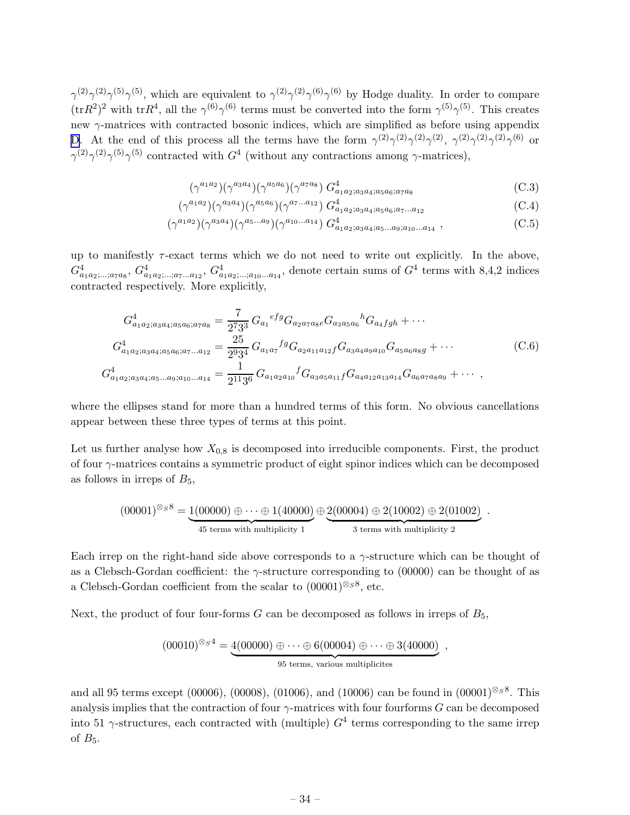<span id="page-34-0"></span> $\gamma^{(2)}\gamma^{(2)}\gamma^{(5)}\gamma^{(5)}$ , which are equivalent to  $\gamma^{(2)}\gamma^{(2)}\gamma^{(6)}\gamma^{(6)}$  by Hodge duality. In order to compare  $(\text{tr}R^2)^2$  with  $\text{tr}R^4$ , all the  $\gamma^{(6)}\gamma^{(6)}$  terms must be converted into the form  $\gamma^{(5)}\gamma^{(5)}$ . This creates new  $\gamma$ -matrices with contracted bosonic indices, which are simplified as before using appendix [D](#page-36-0). At the end of this process all the terms have the form  $\gamma^{(2)}\gamma^{(2)}\gamma^{(2)}\gamma^{(2)}\gamma^{(2)}\gamma^{(2)}\gamma^{(3)}\gamma^{(6)}$  or  $\gamma^{(2)}\gamma^{(2)}\gamma^{(5)}\gamma^{(5)}$  contracted with  $G^4$  (without any contractions among  $\gamma$ -matrices),

$$
(\gamma^{a_1 a_2})(\gamma^{a_3 a_4})(\gamma^{a_5 a_6})(\gamma^{a_7 a_8}) G^4_{a_1 a_2; a_3 a_4; a_5 a_6; a_7 a_8} \tag{C.3}
$$

$$
(\gamma^{a_1 a_2}) (\gamma^{a_3 a_4}) (\gamma^{a_5 a_6}) (\gamma^{a_7 \dots a_{12}}) G^4_{a_1 a_2; a_3 a_4; a_5 a_6; a_7 \dots a_{12}} \tag{C.4}
$$

$$
(\gamma^{a_1 a_2})(\gamma^{a_3 a_4})(\gamma^{a_5 \dots a_9})(\gamma^{a_{10} \dots a_{14}}) G^{4}_{a_1 a_2; a_3 a_4; a_5 \dots a_9; a_{10} \dots a_{14}} ,
$$
 (C.5)

up to manifestly  $\tau$ -exact terms which we do not need to write out explicitly. In the above,  $G_{a_1a_2;\dots;a_{7}a_{8}}^4, G_{a_1a_2;\dots,a_{7}\dots a_{12}}^4, G_{a_1a_2;\dots,a_{10}\dots a_{14}}^4$ , denote certain sums of  $G^4$  terms with 8,4,2 indices contracted respectively. More explicitly,

$$
G_{a_1a_2;a_3a_4;a_5a_6;a_7a_8}^4 = \frac{7}{2^7 3^3} G_{a_1}{}^{efg} G_{a_2a_7a_8e} G_{a_3a_5a_6}{}^h G_{a_4fgh} + \cdots
$$
  
\n
$$
G_{a_1a_2;a_3a_4;a_5a_6;a_7\ldots a_{12}}^4 = \frac{25}{2^9 3^4} G_{a_1a_7}{}^{fg} G_{a_2a_{11}a_{12}f} G_{a_3a_4a_9a_{10}} G_{a_5a_6a_8g} + \cdots
$$
  
\n
$$
G_{a_1a_2;a_3a_4;a_5\ldots a_9;a_{10}\ldots a_{14}}^4 = \frac{1}{2^{11}3^6} G_{a_1a_2a_{10}}{}^f G_{a_3a_5a_{11}f} G_{a_4a_{12}a_{13}a_{14}} G_{a_6a_7a_8a_9} + \cdots,
$$
\n(C.6)

where the ellipses stand for more than a hundred terms of this form. No obvious cancellations appear between these three types of terms at this point.

Let us further analyse how  $X_{0,8}$  is decomposed into irreducible components. First, the product of four  $\gamma$ -matrices contains a symmetric product of eight spinor indices which can be decomposed as follows in irreps of  $B_5$ ,

$$
(00001)^{\otimes_S 8} = \underbrace{1(00000) \oplus \cdots \oplus 1(40000)}_{45 \text{ terms with multiplicity } 1} \oplus \underbrace{2(00004) \oplus 2(10002) \oplus 2(01002)}_{3 \text{ terms with multiplicity } 2}.
$$

Each irrep on the right-hand side above corresponds to a  $\gamma$ -structure which can be thought of as a Clebsch-Gordan coefficient: the  $\gamma$ -structure corresponding to (00000) can be thought of as a Clebsch-Gordan coefficient from the scalar to  $(00001)^{\otimes_S 8}$ , etc.

Next, the product of four four-forms  $G$  can be decomposed as follows in irreps of  $B_5$ ,

$$
(00010)^{\otimes_{S}4} = \underbrace{4(00000) \oplus \cdots \oplus 6(00004) \oplus \cdots \oplus 3(40000)}_{95 \text{ terms, various multiplicites}},
$$

and all 95 terms except (00006), (00008), (01006), and (10006) can be found in  $(00001)^{\otimes_S 8}$ . This analysis implies that the contraction of four  $\gamma$ -matrices with four fourforms G can be decomposed into 51  $\gamma$ -structures, each contracted with (multiple)  $G<sup>4</sup>$  terms corresponding to the same irrep of  $B_5$ .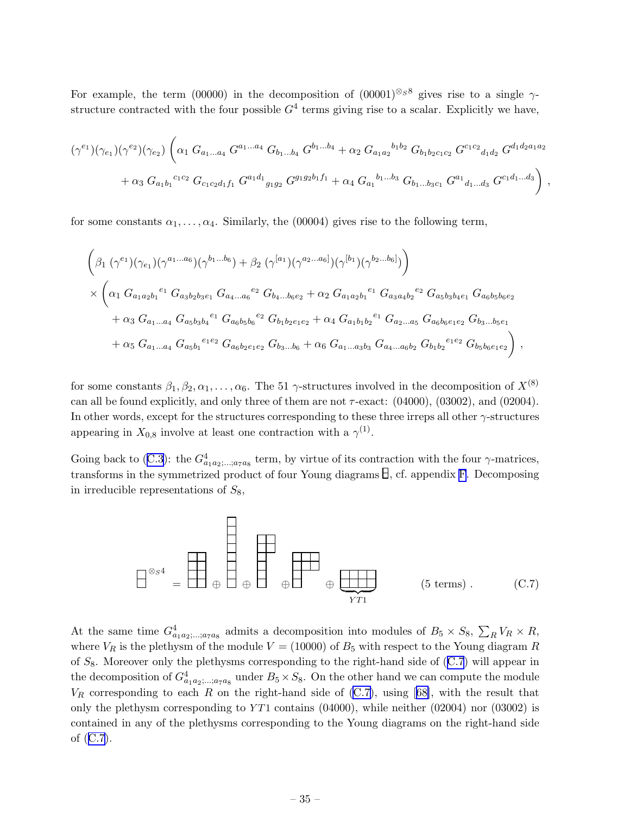For example, the term (00000) in the decomposition of  $(00001)^{\otimes_S 8}$  gives rise to a single  $\gamma$ structure contracted with the four possible  $G<sup>4</sup>$  terms giving rise to a scalar. Explicitly we have,

$$
(\gamma^{e_1})(\gamma_{e_1})(\gamma^{e_2})(\gamma_{e_2}) \left( \alpha_1 G_{a_1...a_4} G^{a_1...a_4} G_{b_1...b_4} G^{b_1...b_4} + \alpha_2 G_{a_1 a_2}^{b_1 b_2} G_{b_1 b_2 c_1 c_2} G^{c_1 c_2}{}_{d_1 d_2} G^{d_1 d_2 a_1 a_2} + \alpha_3 G_{a_1 b_1}^{c_1 c_2} G_{c_1 c_2 d_1 f_1} G^{a_1 d_1}{}_{g_1 g_2} G^{g_1 g_2 b_1 f_1} + \alpha_4 G_{a_1}^{b_1...b_3} G_{b_1...b_3 c_1} G^{a_1}{}_{d_1...d_3} G^{c_1 d_1...d_3} \right),
$$

for some constants  $\alpha_1, \ldots, \alpha_4$ . Similarly, the (00004) gives rise to the following term,

$$
\left(\beta_{1}(\gamma^{e_{1}})(\gamma_{e_{1}})(\gamma^{a_{1}...a_{6}})(\gamma^{b_{1}...b_{6}}) + \beta_{2}(\gamma^{[a_{1}})(\gamma^{a_{2}...a_{6}]})(\gamma^{[b_{1}})(\gamma^{b_{2}...b_{6}]})\right) \times \left(\alpha_{1} G_{a_{1}a_{2}b_{1}}^{e_{1}} G_{a_{3}b_{2}b_{3}e_{1}} G_{a_{4}...a_{6}}^{e_{2}} G_{b_{4}...b_{6}e_{2}} + \alpha_{2} G_{a_{1}a_{2}b_{1}}^{e_{1}} G_{a_{3}a_{4}b_{2}}^{e_{2}} G_{a_{5}b_{3}b_{4}e_{1}} G_{a_{6}b_{5}b_{6}e_{2}} + \alpha_{3} G_{a_{1}...a_{4}} G_{a_{5}b_{3}b_{4}}^{e_{1}} G_{a_{6}b_{5}b_{6}}^{e_{2}} G_{b_{1}b_{2}e_{1}e_{2}} + \alpha_{4} G_{a_{1}b_{1}b_{2}}^{e_{1}} G_{a_{2}...a_{5}} G_{a_{6}b_{6}e_{1}e_{2}} G_{b_{3}...b_{5}e_{1}} + \alpha_{5} G_{a_{1}...a_{4}} G_{a_{5}b_{1}}^{e_{1}e_{2}} G_{a_{6}b_{2}e_{1}e_{2}} G_{b_{3}...b_{6}} + \alpha_{6} G_{a_{1}...a_{3}b_{3}} G_{a_{4}...a_{6}b_{2}} G_{b_{1}b_{2}}^{e_{1}e_{2}} G_{b_{5}b_{6}e_{1}e_{2}}\right),
$$

for some constants  $\beta_1, \beta_2, \alpha_1, \ldots, \alpha_6$ . The 51  $\gamma$ -structures involved in the decomposition of  $X^{(8)}$ can all be found explicitly, and only three of them are not  $\tau$ -exact: (04000), (03002), and (02004). In other words, except for the structures corresponding to these three irreps all other  $\gamma$ -structures appearing in  $X_{0,8}$  involve at least one contraction with a  $\gamma^{(1)}$ .

Goingback to ([C.3\)](#page-34-0): the  $G_{a_1a_2,\dots,a_7a_8}^4$  term, by virtue of its contraction with the four  $\gamma$ -matrices, transforms in the symmetrized product of four Young diagrams  $\exists$ , cf. appendix [F](#page-39-0). Decomposing in irreducible representations of  $S_8$ ,

⊗S4 <sup>=</sup> <sup>⊕</sup> <sup>⊕</sup> <sup>⊕</sup> <sup>⊕</sup> <sup>|</sup> {z } Y T1 (5 terms) . (C.7)

At the same time  $G_{a_1a_2,\dots,a_7a_8}^4$  admits a decomposition into modules of  $B_5 \times S_8$ ,  $\sum_R V_R \times R$ , where  $V_R$  is the plethysm of the module  $V = (10000)$  of  $B_5$  with respect to the Young diagram R of  $S_8$ . Moreover only the plethysms corresponding to the right-hand side of  $(C.7)$  will appear in the decomposition of  $G^4_{a_1a_2;\dots;a_7a_8}$  under  $B_5\times S_8$ . On the other hand we can compute the module  $V_R$ corresponding to each R on the right-hand side of (C.7), using [[68\]](#page-45-0), with the result that only the plethysm corresponding to  $YT1$  contains (04000), while neither (02004) nor (03002) is contained in any of the plethysms corresponding to the Young diagrams on the right-hand side of (C.7).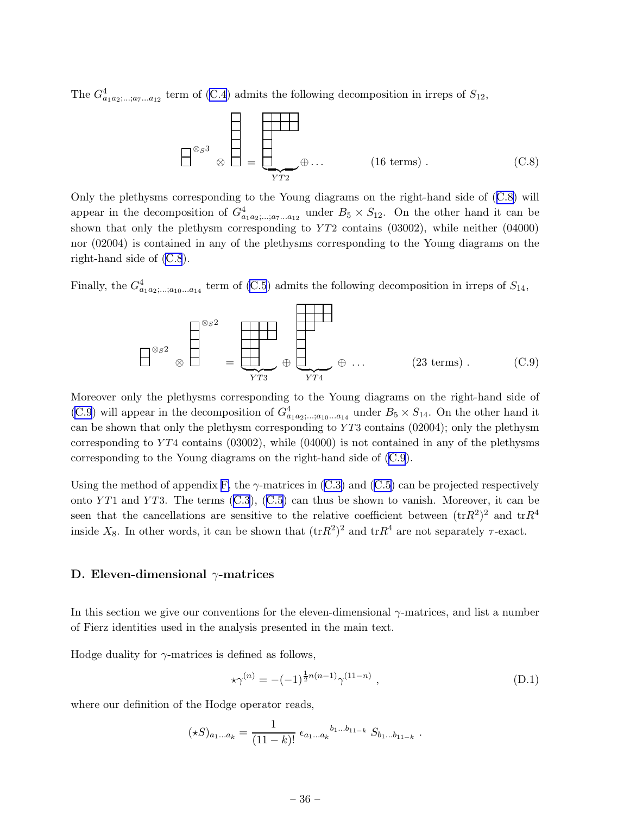<span id="page-36-0"></span>The $G_{a_1a_2;\dots;a_7\ldots a_{12}}^4$  term of ([C.4](#page-34-0)) admits the following decomposition in irreps of  $S_{12}$ ,

$$
\begin{bmatrix}\n\otimes_{S} 3 \\
\otimes \end{bmatrix} = \begin{bmatrix}\n\vdots \\
\vdots \\
\vdots \\
\vdots \\
\end{bmatrix} \oplus \dots \qquad (16 \text{ terms}). \qquad (C.8)
$$

Only the plethysms corresponding to the Young diagrams on the right-hand side of (C.8) will appear in the decomposition of  $G_{a_1a_2,\ldots,a_{7}a_{12}}^4$  under  $B_5 \times S_{12}$ . On the other hand it can be shown that only the plethysm corresponding to  $YT2$  contains (03002), while neither (04000) nor (02004) is contained in any of the plethysms corresponding to the Young diagrams on the right-hand side of (C.8).

Finally, the  $G^4_{a_1a_2; \dots; a_{10} \dots a_{14}}$  term of [\(C.5](#page-34-0)) admits the following decomposition in irreps of  $S_{14}$ ,



Moreover only the plethysms corresponding to the Young diagrams on the right-hand side of (C.9) will appear in the decomposition of  $G_{a_1a_2,\ldots,a_{10}\ldots a_{14}}^4$  under  $B_5 \times S_{14}$ . On the other hand it can be shown that only the plethysm corresponding to  $YT3$  contains (02004); only the plethysm corresponding to  $YT4$  contains (03002), while (04000) is not contained in any of the plethysms corresponding to the Young diagrams on the right-hand side of (C.9).

Using the method of appendix [F,](#page-39-0)the  $\gamma$ -matrices in [\(C.3\)](#page-34-0) and ([C.5](#page-34-0)) can be projected respectively ontoYT1 and YT3. The terms  $(C.3)$  $(C.3)$  $(C.3)$ ,  $(C.5)$  $(C.5)$  $(C.5)$  can thus be shown to vanish. Moreover, it can be seen that the cancellations are sensitive to the relative coefficient between  $(\text{tr}R^2)^2$  and  $\text{tr}R^4$ inside  $X_8$ . In other words, it can be shown that  $(\text{tr}R^2)^2$  and  $\text{tr}R^4$  are not separately  $\tau$ -exact.

#### D. Eleven-dimensional  $\gamma$ -matrices

In this section we give our conventions for the eleven-dimensional  $\gamma$ -matrices, and list a number of Fierz identities used in the analysis presented in the main text.

Hodge duality for  $\gamma$ -matrices is defined as follows,

$$
\star \gamma^{(n)} = -(-1)^{\frac{1}{2}n(n-1)} \gamma^{(11-n)} \tag{D.1}
$$

where our definition of the Hodge operator reads,

$$
(\star S)_{a_1...a_k} = \frac{1}{(11-k)!} \epsilon_{a_1...a_k}{}^{b_1...b_{11-k}} S_{b_1...b_{11-k}}.
$$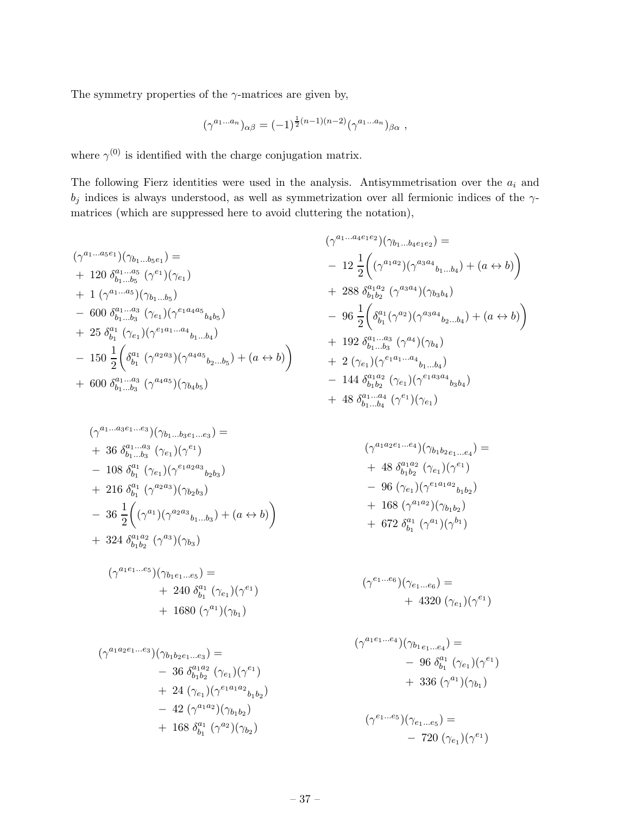The symmetry properties of the  $\gamma$ -matrices are given by,

$$
(\gamma^{a_1...a_n})_{\alpha\beta} = (-1)^{\frac{1}{2}(n-1)(n-2)}(\gamma^{a_1...a_n})_{\beta\alpha},
$$

where  $\gamma^{(0)}$  is identified with the charge conjugation matrix.

The following Fierz identities were used in the analysis. Antisymmetrisation over the  $a_i$  and  $b_j$  indices is always understood, as well as symmetrization over all fermionic indices of the  $\gamma$ matrices (which are suppressed here to avoid cluttering the notation),

$$
(\gamma^{a_1...a_5e_1})(\gamma_{b_1...b_5e_1}) =
$$
  
+ 120  $\delta_{b_1...b_5}^{a_1...a_5} (\gamma^{e_1})(\gamma_{e_1})$   
+ 1  $(\gamma^{a_1...a_5})(\gamma_{b_1...b_5})$   
- 600  $\delta_{b_1...b_3}^{a_1...a_3} (\gamma_{e_1})(\gamma^{e_1a_4a_5}{}_{b_4b_5})$   
+ 25  $\delta_{b_1}^{a_1} (\gamma_{e_1})(\gamma^{e_1a_1...a_4}{}_{b_1...b_4})$   
- 150  $\frac{1}{2}$  $\left(\delta_{b_1}^{a_1} (\gamma^{a_2a_3})(\gamma^{a_4a_5}{}_{b_2...b_5}) + (a \leftrightarrow b)\right)$   
+ 600  $\delta_{b_1...b_3}^{a_1...a_3} (\gamma^{a_4a_5})(\gamma_{b_4b_5})$ 

$$
(\gamma^{a_1...a_4e_1e_2})(\gamma_{b_1...b_4e_1e_2}) =
$$
\n
$$
- 12 \frac{1}{2} \left( (\gamma^{a_1a_2})(\gamma^{a_3a_4}{}_{b_1...b_4}) + (a \leftrightarrow b) \right)
$$
\n
$$
+ 288 \delta^{a_1a_2}_{b_1b_2} (\gamma^{a_3a_4})(\gamma_{b_3b_4})
$$
\n
$$
- 96 \frac{1}{2} \left( \delta^{a_1}_{b_1} (\gamma^{a_2})(\gamma^{a_3a_4}{}_{b_2...b_4}) + (a \leftrightarrow b) \right)
$$
\n
$$
+ 192 \delta^{a_1...a_3}_{b_1...b_3} (\gamma^{a_4})(\gamma_{b_4})
$$
\n
$$
+ 2 (\gamma_{e_1})(\gamma^{e_1a_1...a_4}{}_{b_1...b_4})
$$
\n
$$
- 144 \delta^{a_1a_2}_{b_1b_2} (\gamma_{e_1})(\gamma^{e_1a_3a_4}{}_{b_3b_4})
$$
\n
$$
+ 48 \delta^{a_1...a_4}_{b_1...b_4} (\gamma^{e_1})(\gamma_{e_1})
$$

$$
(\gamma^{a_1...a_3e_1...e_3})(\gamma_{b_1...b_3e_1...e_3}) =
$$
  
+ 36  $\delta_{b_1...b_3}^{a_1...a_3} (\gamma_{e_1})(\gamma^{e_1})$   
- 108  $\delta_{b_1}^{a_1} (\gamma_{e_1})(\gamma^{e_1a_2a_3}{}_{b_2b_3})$   
+ 216  $\delta_{b_1}^{a_1} (\gamma^{a_2a_3})(\gamma_{b_2b_3})$   
- 36  $\frac{1}{2} ((\gamma^{a_1})(\gamma^{a_2a_3}{}_{b_1...b_3}) + (a \leftrightarrow b))$   
+ 324  $\delta_{b_1b_2}^{a_1a_2} (\gamma^{a_3})(\gamma_{b_3})$ 

$$
(\gamma^{a_1 e_1...e_5})(\gamma_{b_1 e_1...e_5}) =
$$
  
+ 240  $\delta_{b_1}^{a_1} (\gamma_{e_1})(\gamma^{e_1})$   
+ 1680  $(\gamma^{a_1})(\gamma_{b_1})$ 

$$
(\gamma^{a_1 a_2 e_1 \dots e_3})(\gamma_{b_1 b_2 e_1 \dots e_3}) =
$$
  
\n
$$
- 36 \delta_{b_1 b_2}^{a_1 a_2} (\gamma_{e_1}) (\gamma^{e_1})
$$
  
\n
$$
+ 24 (\gamma_{e_1}) (\gamma^{e_1 a_1 a_2}{}_{b_1 b_2})
$$
  
\n
$$
- 42 (\gamma^{a_1 a_2}) (\gamma_{b_1 b_2})
$$
  
\n
$$
+ 168 \delta_{b_1}^{a_1} (\gamma^{a_2}) (\gamma_{b_2})
$$

$$
(\gamma^{a_1 a_2 e_1 \dots e_4})(\gamma_{b_1 b_2 e_1 \dots e_4}) =
$$
  
+ 48  $\delta_{b_1 b_2}^{a_1 a_2} (\gamma_{e_1}) (\gamma^{e_1})$   
- 96  $(\gamma_{e_1}) (\gamma^{e_1 a_1 a_2}{}_{b_1 b_2})$   
+ 168  $(\gamma^{a_1 a_2}) (\gamma_{b_1 b_2})$   
+ 672  $\delta_{b_1}^{a_1} (\gamma^{a_1}) (\gamma^{b_1})$ 

$$
(\gamma^{e_1...e_6})(\gamma_{e_1...e_6}) = + 4320 (\gamma_{e_1})(\gamma^{e_1})
$$

$$
(\gamma^{a_1 e_1 \dots e_4})(\gamma_{b_1 e_1 \dots e_4}) =
$$
  
- 96  $\delta_{b_1}^{a_1} (\gamma_{e_1})(\gamma^{e_1})$   
+ 336  $(\gamma^{a_1})(\gamma_{b_1})$ 

$$
(\gamma^{e_1...e_5})(\gamma_{e_1...e_5}) = -720 \; (\gamma_{e_1})(\gamma^{e_1})
$$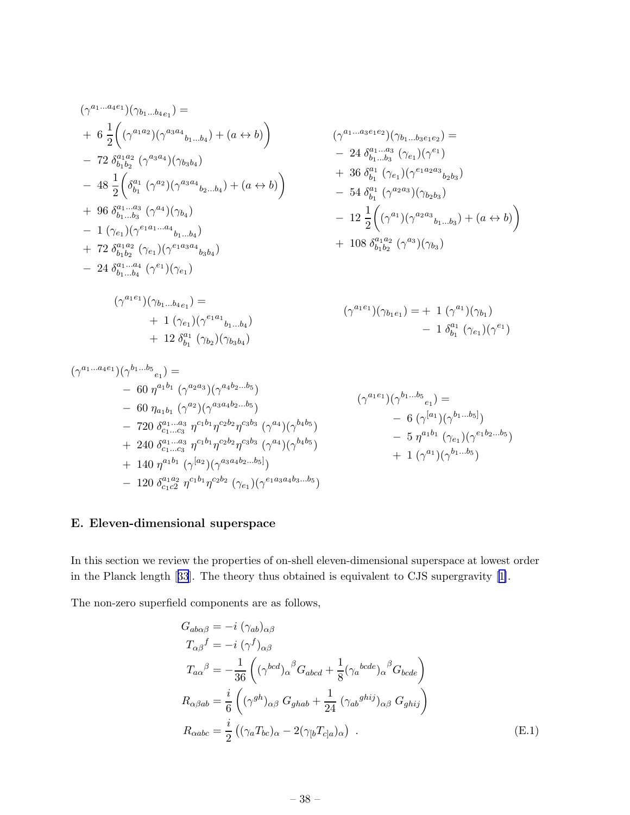<span id="page-38-0"></span>
$$
(\gamma^{a_1...a_4e_1})(\gamma_{b_1...b_4e_1}) =
$$
\n
$$
+ 6 \frac{1}{2} ((\gamma^{a_1a_2})(\gamma^{a_3a_4}{}_{b_1...b_4}) + (a \leftrightarrow b))
$$
\n
$$
- 72 \delta^{a_1a_2}_{b_1b_2} (\gamma^{a_3a_4})(\gamma_{b_3b_4}) + (a \leftrightarrow b))
$$
\n
$$
- 48 \frac{1}{2} (\delta^{a_1}_{b_1} (\gamma^{a_2})(\gamma^{a_3a_4}{}_{b_2...b_4}) + (a \leftrightarrow b))
$$
\n
$$
+ 36 \delta^{a_1}_{b_1} (\gamma_{e_1})(\gamma^{e_1a_2a_3}{}_{b_2b_3})
$$
\n
$$
+ 96 \delta^{a_1...a_3}_{b_1...b_3} (\gamma^{a_4})(\gamma_{b_4}) - 1 (\gamma_{e_1})(\gamma^{e_1a_1...a_4}{}_{b_1...b_4})
$$
\n
$$
+ 72 \delta^{a_1a_2}_{b_1b_2} (\gamma_{e_1})(\gamma^{e_1a_3}{}_{b_3b_4}) + 108 \delta^{a_1a_2}_{b_1b_2} (\gamma^{a_3})(\gamma_{b_3})
$$
\n
$$
- 24 \delta^{a_1...a_4}_{b_1...b_4} (\gamma^{e_1})(\gamma_{e_1})
$$
\n
$$
- 24 \delta^{a_1...a_4}_{b_1...b_4} (\gamma^{e_1})(\gamma_{e_1})
$$
\n
$$
+ 108 \delta^{a_1a_2}_{b_1b_2} (\gamma^{a_3})(\gamma_{b_3})
$$
\n
$$
- 24 \delta^{a_1...a_4}_{b_1...b_4} (\gamma^{e_1})(\gamma_{e_1})
$$
\n
$$
+ 1 (\gamma_{e_1})(\gamma^{e_1a_1}{}_{b_1...b_4})
$$
\n
$$
+ 12 \delta^{a_1}_{b_1} (\gamma_{b_2})(\gamma_{b_3b_4})
$$
\n
$$
(\gamma^{a_1e_1})(\gamma^{b_1...b_5}{}_{e_1}) =
$$
\n
$$
- 6
$$

## E. Eleven-dimensional superspace

− 120  $\delta^{a_1 a_2}_{c_1 c_2}$ 

In this section we review the properties of on-shell eleven-dimensional superspace at lowest order in the Planck length[[33](#page-43-0)]. The theory thus obtained is equivalent to CJS supergravity [\[1\]](#page-42-0).

The non-zero superfield components are as follows,

 $+ 140 \eta^{a_1b_1} (\gamma^{[a_2})(\gamma^{a_3a_4b_2...b_5]})$ 

 $\frac{a_1a_2}{c_1c_2} \eta^{c_1b_1}\eta^{c_2b_2} (\gamma_{e_1})(\gamma^{e_1a_3a_4b_3...b_5})$ 

$$
G_{ab\alpha\beta} = -i \ (\gamma_{ab})_{\alpha\beta}
$$
  
\n
$$
T_{\alpha\beta}^f = -i \ (\gamma^f)_{\alpha\beta}
$$
  
\n
$$
T_{a\alpha}^{\beta} = -\frac{1}{36} \left( (\gamma^{bcd})_{\alpha}^{\beta} G_{abcd} + \frac{1}{8} (\gamma_a^{bcde})_{\alpha}^{\beta} G_{bcde} \right)
$$
  
\n
$$
R_{\alpha\beta ab} = \frac{i}{6} \left( (\gamma^{gh})_{\alpha\beta} G_{ghab} + \frac{1}{24} (\gamma_{ab}^{ghij})_{\alpha\beta} G_{ghij} \right)
$$
  
\n
$$
R_{\alpha abc} = \frac{i}{2} \left( (\gamma_a T_{bc})_{\alpha} - 2(\gamma_{[b} T_{c]a})_{\alpha} \right) .
$$
 (E.1)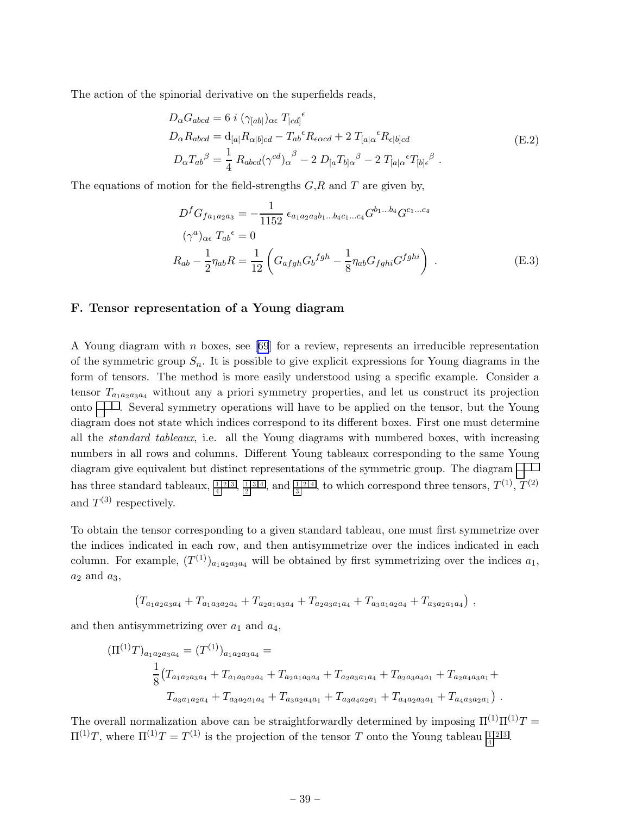<span id="page-39-0"></span>The action of the spinorial derivative on the superfields reads,

$$
D_{\alpha}G_{abcd} = 6 i \left(\gamma_{[ab]}\right)_{\alpha\epsilon} T_{[cd]}^{\epsilon}
$$
  
\n
$$
D_{\alpha}R_{abcd} = d_{[a|}R_{\alpha|b]cd} - T_{ab}^{\epsilon}R_{\epsilon\alpha cd} + 2 T_{[a|\alpha}^{\epsilon}R_{\epsilon|b]cd}
$$
  
\n
$$
D_{\alpha}T_{ab}^{\beta} = \frac{1}{4} R_{abcd}(\gamma^{cd})_{\alpha}^{\beta} - 2 D_{[a}T_{b]\alpha}^{\beta} - 2 T_{[a|\alpha}^{\epsilon}T_{[b]}\epsilon^{\beta} .
$$
\n(E.2)

The equations of motion for the field-strengths  $G, R$  and  $T$  are given by,

$$
D^{f}G_{fa_{1}a_{2}a_{3}} = -\frac{1}{1152} \epsilon_{a_{1}a_{2}a_{3}b_{1}...b_{4}c_{1}...c_{4}} G^{b_{1}...b_{4}} G^{c_{1}...c_{4}}
$$

$$
(\gamma^{a})_{\alpha\epsilon} T_{ab}{}^{\epsilon} = 0
$$

$$
R_{ab} - \frac{1}{2} \eta_{ab} R = \frac{1}{12} \left( G_{afgh} G_{b}{}^{fgh} - \frac{1}{8} \eta_{ab} G_{fghi} G^{fghi} \right) . \tag{E.3}
$$

#### F. Tensor representation of a Young diagram

AYoung diagram with n boxes, see [[69](#page-45-0)] for a review, represents an irreducible representation of the symmetric group  $S_n$ . It is possible to give explicit expressions for Young diagrams in the form of tensors. The method is more easily understood using a specific example. Consider a tensor  $T_{a_1a_2a_3a_4}$  without any a priori symmetry properties, and let us construct its projection onto  $\Box$ . Several symmetry operations will have to be applied on the tensor, but the Young diagram does not state which indices correspond to its different boxes. First one must determine all the *standard tableaux*, i.e. all the Young diagrams with numbered boxes, with increasing numbers in all rows and columns. Different Young tableaux corresponding to the same Young diagram give equivalent but distinct representations of the symmetric group. The diagram has three standard tableaux,  $\frac{1}{4}$ ,  $\frac{1}{2}$ ,  $\frac{1}{3}$ ,  $\frac{1}{4}$ , and  $\frac{1}{3}$ , to which correspond three tensors,  $T^{(1)}$ ,  $T^{(2)}$ and  $T^{(3)}$  respectively.

To obtain the tensor corresponding to a given standard tableau, one must first symmetrize over the indices indicated in each row, and then antisymmetrize over the indices indicated in each column. For example,  $(T^{(1)})_{a_1 a_2 a_3 a_4}$  will be obtained by first symmetrizing over the indices  $a_1$ ,  $a_2$  and  $a_3$ ,

$$
(T_{a_1a_2a_3a_4} + T_{a_1a_3a_2a_4} + T_{a_2a_1a_3a_4} + T_{a_2a_3a_1a_4} + T_{a_3a_1a_2a_4} + T_{a_3a_2a_1a_4}),
$$

and then antisymmetrizing over  $a_1$  and  $a_4$ ,

$$
(\Pi^{(1)}T)_{a_1a_2a_3a_4} = (T^{(1)})_{a_1a_2a_3a_4} =
$$
  
\n
$$
\frac{1}{8}(T_{a_1a_2a_3a_4} + T_{a_1a_3a_2a_4} + T_{a_2a_1a_3a_4} + T_{a_2a_3a_1a_4} + T_{a_2a_3a_4a_1} + T_{a_2a_4a_3a_1} +
$$
  
\n
$$
T_{a_3a_1a_2a_4} + T_{a_3a_2a_1a_4} + T_{a_3a_2a_4a_1} + T_{a_3a_4a_2a_1} + T_{a_4a_2a_3a_1} + T_{a_4a_3a_2a_1})
$$
.

The overall normalization above can be straightforwardly determined by imposing  $\Pi^{(1)}\Pi^{(1)}T =$  $\Pi^{(1)}T$ , where  $\Pi^{(1)}T = T^{(1)}$  is the projection of the tensor T onto the Young tableau  $\frac{\Pi^{(2)}3!}{4!}$ .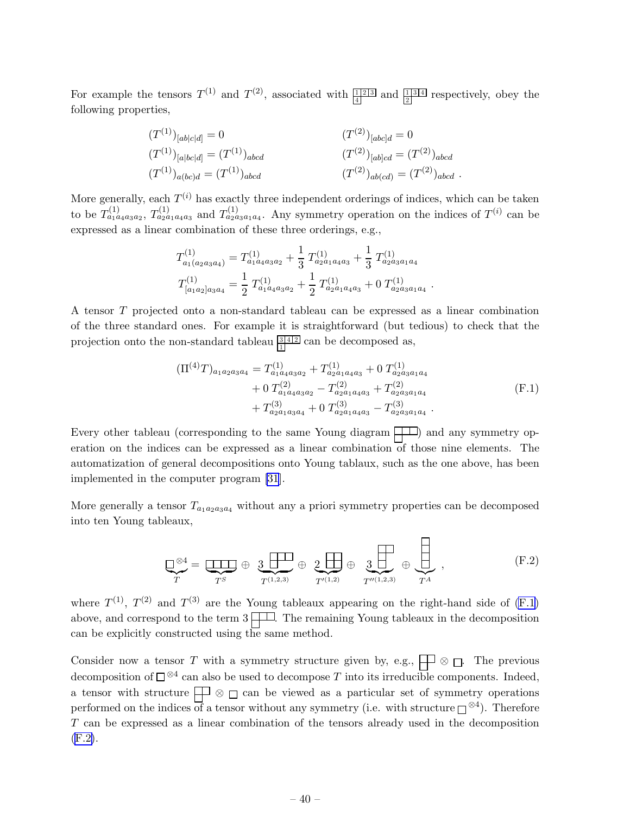For example the tensors  $T^{(1)}$  and  $T^{(2)}$ , associated with  $\frac{1}{4}$  and  $\frac{1}{2}$  respectively, obey the following properties,

$$
(T^{(1)})_{[ab|c|d]} = 0 \t\t (T^{(1)})_{[abc|d]} = (T^{(1)})_{abcd}
$$
\n
$$
(T^{(1)})_{[a|bc|d]} = (T^{(1)})_{abcd}
$$
\n
$$
(T^{(2)})_{[ab]cd} = (T^{(2)})_{abcd}
$$
\n
$$
(T^{(2)})_{abcd} = (T^{(2)})_{abcd}.
$$

More generally, each  $T^{(i)}$  has exactly three independent orderings of indices, which can be taken to be  $T_{a_1a_4a_3a_2}^{(1)}$ ,  $T_{a_2a_1a_4a_3}^{(1)}$  and  $T_{a_2a_3a_1a_4}^{(1)}$ . Any symmetry operation on the indices of  $T^{(i)}$  can be expressed as a linear combination of these three orderings, e.g.,

$$
T_{a_1(a_2a_3a_4)}^{(1)} = T_{a_1a_4a_3a_2}^{(1)} + \frac{1}{3} T_{a_2a_1a_4a_3}^{(1)} + \frac{1}{3} T_{a_2a_3a_1a_4}^{(1)}
$$
  

$$
T_{[a_1a_2]a_3a_4}^{(1)} = \frac{1}{2} T_{a_1a_4a_3a_2}^{(1)} + \frac{1}{2} T_{a_2a_1a_4a_3}^{(1)} + 0 T_{a_2a_3a_1a_4}^{(1)}
$$

A tensor T projected onto a non-standard tableau can be expressed as a linear combination of the three standard ones. For example it is straightforward (but tedious) to check that the projection onto the non-standard tableau  $\frac{3|4|2|}{|1|}$  can be decomposed as,

$$
\begin{aligned} (\Pi^{(4)}T)_{a_1 a_2 a_3 a_4} &= T_{a_1 a_4 a_3 a_2}^{(1)} + T_{a_2 a_1 a_4 a_3}^{(1)} + 0 \ T_{a_1 a_4 a_3 a_2}^{(2)} - T_{a_2 a_1 a_4 a_3}^{(2)} + T_{a_2 a_3 a_1 a_4}^{(2)} \\ &+ T_{a_2 a_1 a_3 a_4}^{(3)} + 0 \ T_{a_2 a_1 a_4 a_3}^{(3)} - T_{a_2 a_3 a_1 a_4}^{(3)} \end{aligned} \tag{F.1}
$$

.

Every other tableau (corresponding to the same Young diagram  $\Box$ ) and any symmetry operation on the indices can be expressed as a linear combination of those nine elements. The automatization of general decompositions onto Young tablaux, such as the one above, has been implemented in the computer program [\[31](#page-43-0)].

More generally a tensor  $T_{a_1a_2a_3a_4}$  without any a priori symmetry properties can be decomposed into ten Young tableaux,

$$
\underbrace{\square^{\otimes 4}}_{T} = \underbrace{\square \square \square}_{T^{S}} \oplus \underbrace{3 \square \square}_{T^{(1,2,3)}} \oplus \underbrace{2 \square \square}_{T'^{(1,2)}} \oplus \underbrace{3 \square \square}_{T'^{(1,2,3)}} \oplus \underbrace{\square \square}_{T^{A}},
$$
(F.2)

where  $T^{(1)}$ ,  $T^{(2)}$  and  $T^{(3)}$  are the Young tableaux appearing on the right-hand side of (F.1) above, and correspond to the term  $3 \downarrow \downarrow \downarrow$ . The remaining Young tableaux in the decomposition can be explicitly constructed using the same method.

Consider now a tensor T with a symmetry structure given by, e.g.,  $\Box$   $\Box$  The previous decomposition of  $\square^{\otimes 4}$  can also be used to decompose T into its irreducible components. Indeed, a tensor with structure  $\Box$   $\otimes$   $\Box$  can be viewed as a particular set of symmetry operations performed on the indices of a tensor without any symmetry (i.e. with structure  $\square^{\otimes 4}$ ). Therefore T can be expressed as a linear combination of the tensors already used in the decomposition (F.2).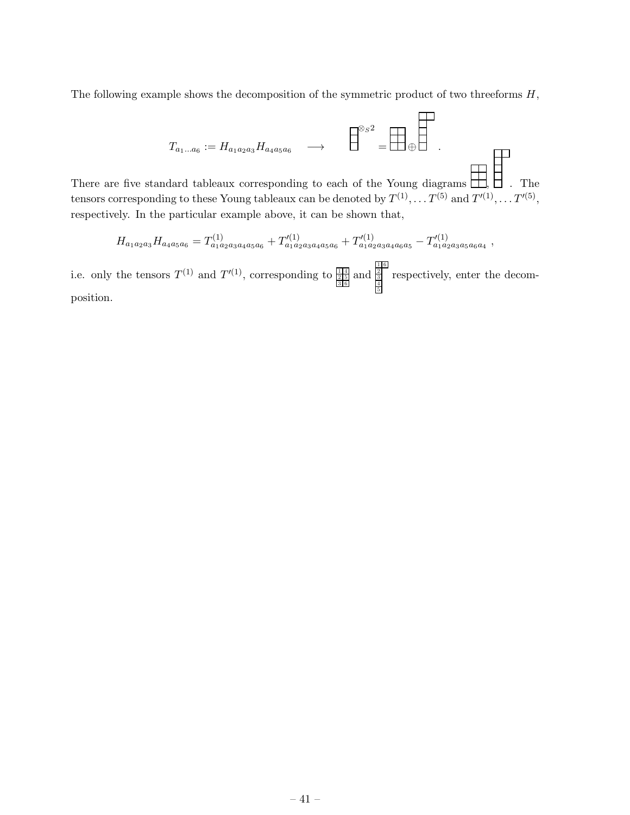The following example shows the decomposition of the symmetric product of two threeforms  $H$ ,

$$
T_{a_1...a_6} := H_{a_1a_2a_3}H_{a_4a_5a_6} \longrightarrow \square
$$
  
There are five standard tableaux corresponding to each of the Young diagrams. The  
tensor corresponding to these Young tableaux can be denoted by  $T^{(1)}$   $T^{(5)}$  and  $T'^{(1)}$   $T'^{(5)}$ .

tensors corresponding to these Young tableaux can be denoted by  $T^{(1)}, \ldots T^{(5)}$  and  $T'^{(1)}, \ldots T'^{(5)}$  $^{\prime\prime},$ respectively. In the particular example above, it can be shown that,

$$
H_{a_1a_2a_3}H_{a_4a_5a_6} = T^{(1)}_{a_1a_2a_3a_4a_5a_6} + T'^{(1)}_{a_1a_2a_3a_4a_5a_6} + T'^{(1)}_{a_1a_2a_3a_4a_6a_5} - T'^{(1)}_{a_1a_2a_3a_5a_6a_4}
$$

i.e. only the tensors  $T^{(1)}$  and  $T'^{(1)}$ , corresponding to  $\frac{\frac{11}{25}}{\frac{215}{35}}$  and  $\frac{\frac{11}{25}}{\frac{4}{5}}$ respectively, enter the decomposition.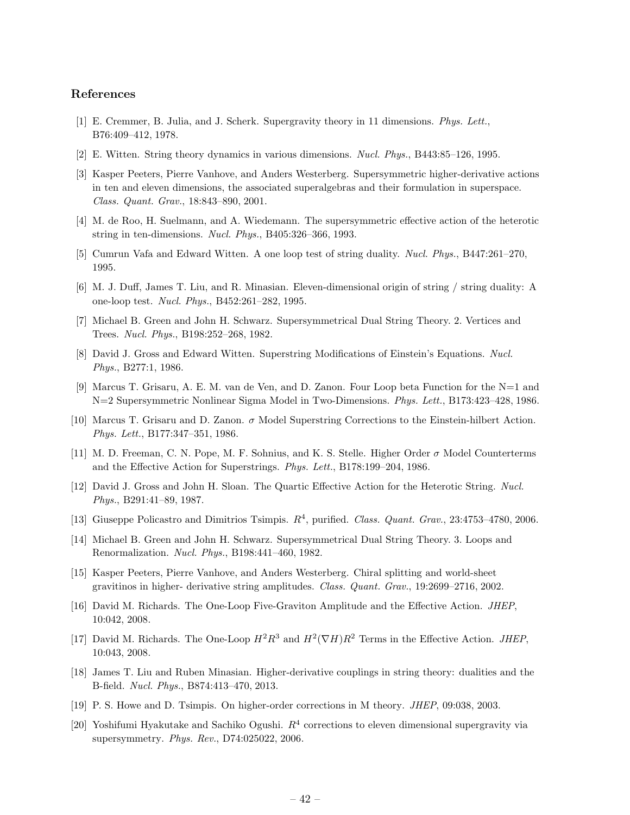#### <span id="page-42-0"></span>References

- [1] E. Cremmer, B. Julia, and J. Scherk. Supergravity theory in 11 dimensions. *Phys. Lett.*, B76:409–412, 1978.
- [2] E. Witten. String theory dynamics in various dimensions. *Nucl. Phys.*, B443:85–126, 1995.
- [3] Kasper Peeters, Pierre Vanhove, and Anders Westerberg. Supersymmetric higher-derivative actions in ten and eleven dimensions, the associated superalgebras and their formulation in superspace. *Class. Quant. Grav.*, 18:843–890, 2001.
- [4] M. de Roo, H. Suelmann, and A. Wiedemann. The supersymmetric effective action of the heterotic string in ten-dimensions. *Nucl. Phys.*, B405:326–366, 1993.
- [5] Cumrun Vafa and Edward Witten. A one loop test of string duality. *Nucl. Phys.*, B447:261–270, 1995.
- [6] M. J. Duff, James T. Liu, and R. Minasian. Eleven-dimensional origin of string / string duality: A one-loop test. *Nucl. Phys.*, B452:261–282, 1995.
- [7] Michael B. Green and John H. Schwarz. Supersymmetrical Dual String Theory. 2. Vertices and Trees. *Nucl. Phys.*, B198:252–268, 1982.
- [8] David J. Gross and Edward Witten. Superstring Modifications of Einstein's Equations. *Nucl. Phys.*, B277:1, 1986.
- [9] Marcus T. Grisaru, A. E. M. van de Ven, and D. Zanon. Four Loop beta Function for the N=1 and N=2 Supersymmetric Nonlinear Sigma Model in Two-Dimensions. *Phys. Lett.*, B173:423–428, 1986.
- [10] Marcus T. Grisaru and D. Zanon. σ Model Superstring Corrections to the Einstein-hilbert Action. *Phys. Lett.*, B177:347–351, 1986.
- [11] M. D. Freeman, C. N. Pope, M. F. Sohnius, and K. S. Stelle. Higher Order  $\sigma$  Model Counterterms and the Effective Action for Superstrings. *Phys. Lett.*, B178:199–204, 1986.
- [12] David J. Gross and John H. Sloan. The Quartic Effective Action for the Heterotic String. *Nucl. Phys.*, B291:41–89, 1987.
- [13] Giuseppe Policastro and Dimitrios Tsimpis.  $R^4$ , purified. *Class. Quant. Grav.*, 23:4753-4780, 2006.
- [14] Michael B. Green and John H. Schwarz. Supersymmetrical Dual String Theory. 3. Loops and Renormalization. *Nucl. Phys.*, B198:441–460, 1982.
- [15] Kasper Peeters, Pierre Vanhove, and Anders Westerberg. Chiral splitting and world-sheet gravitinos in higher- derivative string amplitudes. *Class. Quant. Grav.*, 19:2699–2716, 2002.
- [16] David M. Richards. The One-Loop Five-Graviton Amplitude and the Effective Action. *JHEP*, 10:042, 2008.
- [17] David M. Richards. The One-Loop  $H^2R^3$  and  $H^2(\nabla H)R^2$  Terms in the Effective Action. *JHEP*, 10:043, 2008.
- [18] James T. Liu and Ruben Minasian. Higher-derivative couplings in string theory: dualities and the B-field. *Nucl. Phys.*, B874:413–470, 2013.
- [19] P. S. Howe and D. Tsimpis. On higher-order corrections in M theory. *JHEP*, 09:038, 2003.
- [20] Yoshifumi Hyakutake and Sachiko Ogushi.  $R<sup>4</sup>$  corrections to eleven dimensional supergravity via supersymmetry. *Phys. Rev.*, D74:025022, 2006.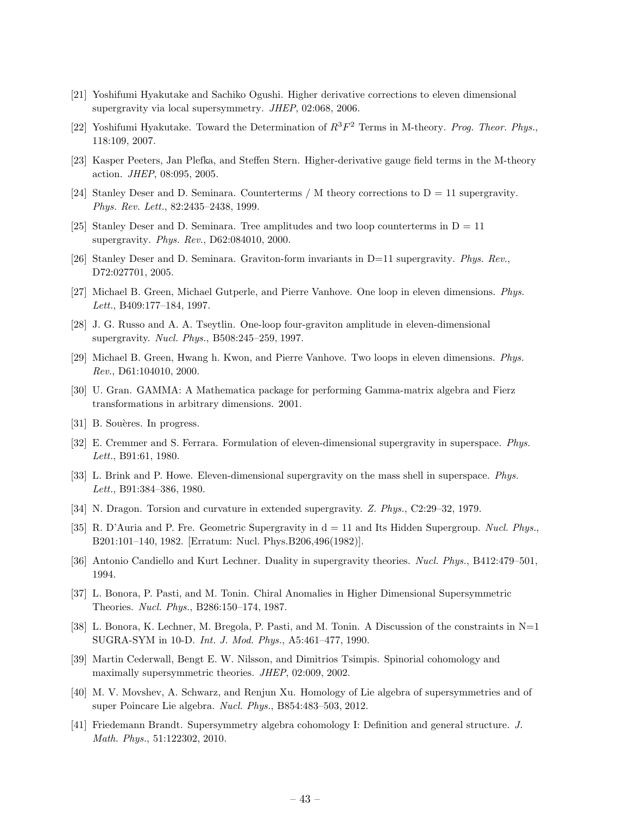- <span id="page-43-0"></span>[21] Yoshifumi Hyakutake and Sachiko Ogushi. Higher derivative corrections to eleven dimensional supergravity via local supersymmetry. *JHEP*, 02:068, 2006.
- [22] Yoshifumi Hyakutake. Toward the Determination of  $R^3F^2$  Terms in M-theory. *Prog. Theor. Phys.*, 118:109, 2007.
- [23] Kasper Peeters, Jan Plefka, and Steffen Stern. Higher-derivative gauge field terms in the M-theory action. *JHEP*, 08:095, 2005.
- [24] Stanley Deser and D. Seminara. Counterterms / M theory corrections to  $D = 11$  supergravity. *Phys. Rev. Lett.*, 82:2435–2438, 1999.
- [25] Stanley Deser and D. Seminara. Tree amplitudes and two loop counterterms in  $D = 11$ supergravity. *Phys. Rev.*, D62:084010, 2000.
- [26] Stanley Deser and D. Seminara. Graviton-form invariants in D=11 supergravity. *Phys. Rev.*, D72:027701, 2005.
- [27] Michael B. Green, Michael Gutperle, and Pierre Vanhove. One loop in eleven dimensions. *Phys. Lett.*, B409:177–184, 1997.
- [28] J. G. Russo and A. A. Tseytlin. One-loop four-graviton amplitude in eleven-dimensional supergravity. *Nucl. Phys.*, B508:245–259, 1997.
- [29] Michael B. Green, Hwang h. Kwon, and Pierre Vanhove. Two loops in eleven dimensions. *Phys. Rev.*, D61:104010, 2000.
- [30] U. Gran. GAMMA: A Mathematica package for performing Gamma-matrix algebra and Fierz transformations in arbitrary dimensions. 2001.
- [31] B. Souères. In progress.
- [32] E. Cremmer and S. Ferrara. Formulation of eleven-dimensional supergravity in superspace. *Phys. Lett.*, B91:61, 1980.
- [33] L. Brink and P. Howe. Eleven-dimensional supergravity on the mass shell in superspace. *Phys. Lett.*, B91:384–386, 1980.
- [34] N. Dragon. Torsion and curvature in extended supergravity. *Z. Phys.*, C2:29–32, 1979.
- [35] R. D'Auria and P. Fre. Geometric Supergravity in  $d = 11$  and Its Hidden Supergroup. *Nucl. Phys.*, B201:101–140, 1982. [Erratum: Nucl. Phys.B206,496(1982)].
- [36] Antonio Candiello and Kurt Lechner. Duality in supergravity theories. *Nucl. Phys.*, B412:479–501, 1994.
- [37] L. Bonora, P. Pasti, and M. Tonin. Chiral Anomalies in Higher Dimensional Supersymmetric Theories. *Nucl. Phys.*, B286:150–174, 1987.
- [38] L. Bonora, K. Lechner, M. Bregola, P. Pasti, and M. Tonin. A Discussion of the constraints in N=1 SUGRA-SYM in 10-D. *Int. J. Mod. Phys.*, A5:461–477, 1990.
- [39] Martin Cederwall, Bengt E. W. Nilsson, and Dimitrios Tsimpis. Spinorial cohomology and maximally supersymmetric theories. *JHEP*, 02:009, 2002.
- [40] M. V. Movshev, A. Schwarz, and Renjun Xu. Homology of Lie algebra of supersymmetries and of super Poincare Lie algebra. *Nucl. Phys.*, B854:483–503, 2012.
- [41] Friedemann Brandt. Supersymmetry algebra cohomology I: Definition and general structure. *J. Math. Phys.*, 51:122302, 2010.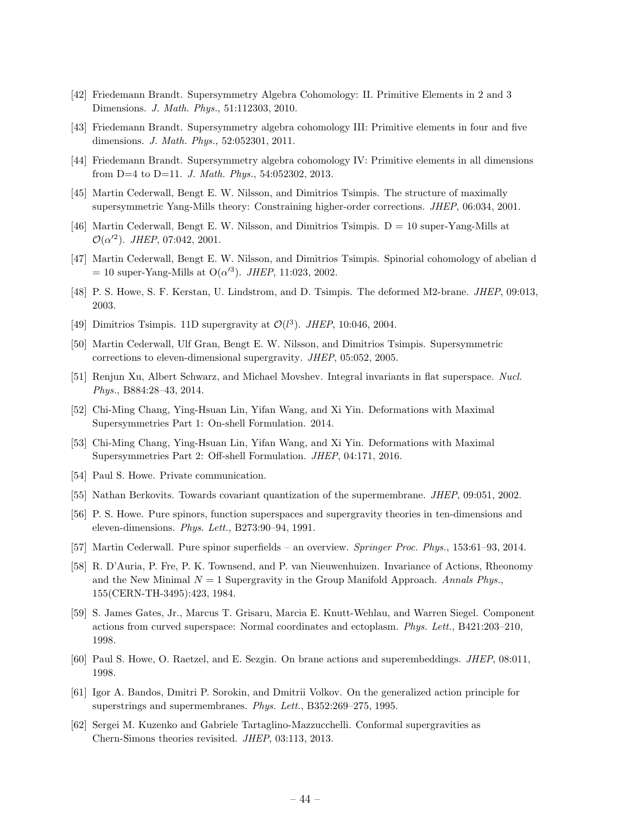- <span id="page-44-0"></span>[42] Friedemann Brandt. Supersymmetry Algebra Cohomology: II. Primitive Elements in 2 and 3 Dimensions. *J. Math. Phys.*, 51:112303, 2010.
- [43] Friedemann Brandt. Supersymmetry algebra cohomology III: Primitive elements in four and five dimensions. *J. Math. Phys.*, 52:052301, 2011.
- [44] Friedemann Brandt. Supersymmetry algebra cohomology IV: Primitive elements in all dimensions from D=4 to D=11. *J. Math. Phys.*, 54:052302, 2013.
- [45] Martin Cederwall, Bengt E. W. Nilsson, and Dimitrios Tsimpis. The structure of maximally supersymmetric Yang-Mills theory: Constraining higher-order corrections. *JHEP*, 06:034, 2001.
- [46] Martin Cederwall, Bengt E. W. Nilsson, and Dimitrios Tsimpis. D = 10 super-Yang-Mills at  $\mathcal{O}(\alpha^2)$ . *JHEP*, 07:042, 2001.
- [47] Martin Cederwall, Bengt E. W. Nilsson, and Dimitrios Tsimpis. Spinorial cohomology of abelian d  $= 10$  super-Yang-Mills at O( $\alpha'^3$ ). *JHEP*, 11:023, 2002.
- [48] P. S. Howe, S. F. Kerstan, U. Lindstrom, and D. Tsimpis. The deformed M2-brane. *JHEP*, 09:013, 2003.
- [49] Dimitrios Tsimpis. 11D supergravity at  $\mathcal{O}(l^3)$ . *JHEP*, 10:046, 2004.
- [50] Martin Cederwall, Ulf Gran, Bengt E. W. Nilsson, and Dimitrios Tsimpis. Supersymmetric corrections to eleven-dimensional supergravity. *JHEP*, 05:052, 2005.
- [51] Renjun Xu, Albert Schwarz, and Michael Movshev. Integral invariants in flat superspace. *Nucl. Phys.*, B884:28–43, 2014.
- [52] Chi-Ming Chang, Ying-Hsuan Lin, Yifan Wang, and Xi Yin. Deformations with Maximal Supersymmetries Part 1: On-shell Formulation. 2014.
- [53] Chi-Ming Chang, Ying-Hsuan Lin, Yifan Wang, and Xi Yin. Deformations with Maximal Supersymmetries Part 2: Off-shell Formulation. *JHEP*, 04:171, 2016.
- [54] Paul S. Howe. Private communication.
- [55] Nathan Berkovits. Towards covariant quantization of the supermembrane. *JHEP*, 09:051, 2002.
- [56] P. S. Howe. Pure spinors, function superspaces and supergravity theories in ten-dimensions and eleven-dimensions. *Phys. Lett.*, B273:90–94, 1991.
- [57] Martin Cederwall. Pure spinor superfields an overview. *Springer Proc. Phys.*, 153:61–93, 2014.
- [58] R. D'Auria, P. Fre, P. K. Townsend, and P. van Nieuwenhuizen. Invariance of Actions, Rheonomy and the New Minimal  $N = 1$  Supergravity in the Group Manifold Approach. *Annals Phys.*, 155(CERN-TH-3495):423, 1984.
- [59] S. James Gates, Jr., Marcus T. Grisaru, Marcia E. Knutt-Wehlau, and Warren Siegel. Component actions from curved superspace: Normal coordinates and ectoplasm. *Phys. Lett.*, B421:203–210, 1998.
- [60] Paul S. Howe, O. Raetzel, and E. Sezgin. On brane actions and superembeddings. *JHEP*, 08:011, 1998.
- [61] Igor A. Bandos, Dmitri P. Sorokin, and Dmitrii Volkov. On the generalized action principle for superstrings and supermembranes. *Phys. Lett.*, B352:269–275, 1995.
- [62] Sergei M. Kuzenko and Gabriele Tartaglino-Mazzucchelli. Conformal supergravities as Chern-Simons theories revisited. *JHEP*, 03:113, 2013.